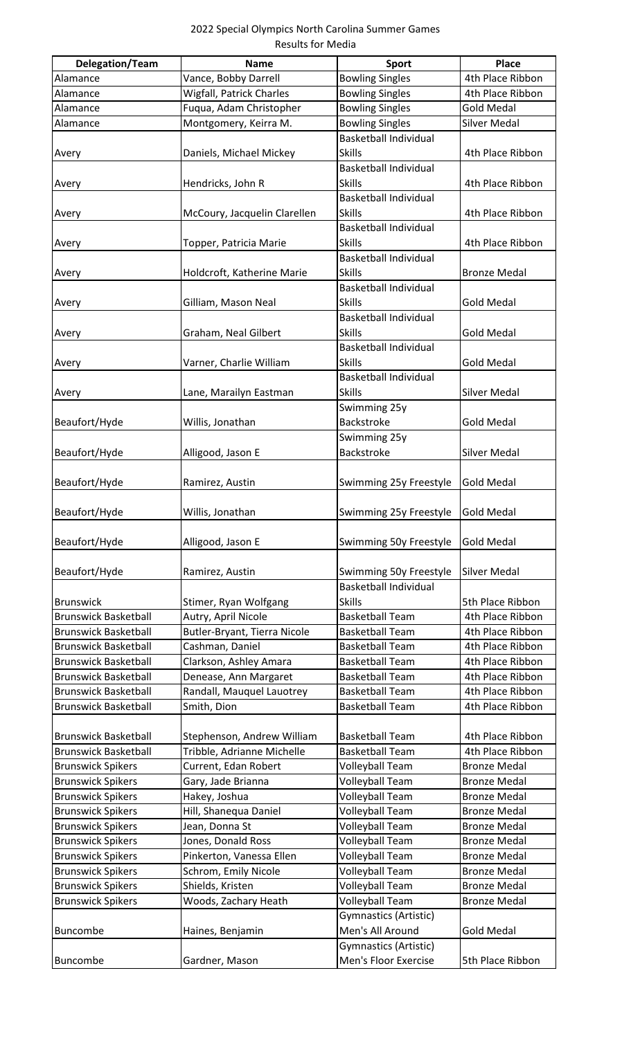| Delegation/Team             | <b>Name</b>                  | <b>Sport</b>                 | Place               |
|-----------------------------|------------------------------|------------------------------|---------------------|
| Alamance                    | Vance, Bobby Darrell         | <b>Bowling Singles</b>       | 4th Place Ribbon    |
| Alamance                    | Wigfall, Patrick Charles     | <b>Bowling Singles</b>       | 4th Place Ribbon    |
| Alamance                    | Fuqua, Adam Christopher      | <b>Bowling Singles</b>       | <b>Gold Medal</b>   |
| Alamance                    | Montgomery, Keirra M.        | <b>Bowling Singles</b>       | <b>Silver Medal</b> |
|                             |                              | <b>Basketball Individual</b> |                     |
| Avery                       | Daniels, Michael Mickey      | <b>Skills</b>                | 4th Place Ribbon    |
|                             |                              | <b>Basketball Individual</b> |                     |
| Avery                       | Hendricks, John R            | <b>Skills</b>                | 4th Place Ribbon    |
|                             |                              | <b>Basketball Individual</b> |                     |
| Avery                       | McCoury, Jacquelin Clarellen | <b>Skills</b>                | 4th Place Ribbon    |
|                             |                              | <b>Basketball Individual</b> |                     |
| Avery                       | Topper, Patricia Marie       | <b>Skills</b>                | 4th Place Ribbon    |
|                             |                              | <b>Basketball Individual</b> |                     |
| Avery                       | Holdcroft, Katherine Marie   | <b>Skills</b>                | <b>Bronze Medal</b> |
|                             |                              | <b>Basketball Individual</b> |                     |
| Avery                       | Gilliam, Mason Neal          | <b>Skills</b>                | <b>Gold Medal</b>   |
|                             |                              | <b>Basketball Individual</b> |                     |
| Avery                       | Graham, Neal Gilbert         | <b>Skills</b>                | <b>Gold Medal</b>   |
|                             |                              | <b>Basketball Individual</b> |                     |
| Avery                       | Varner, Charlie William      | <b>Skills</b>                | <b>Gold Medal</b>   |
|                             |                              | <b>Basketball Individual</b> |                     |
| Avery                       | Lane, Marailyn Eastman       | <b>Skills</b>                | <b>Silver Medal</b> |
|                             |                              | Swimming 25y                 |                     |
| Beaufort/Hyde               | Willis, Jonathan             | Backstroke                   | <b>Gold Medal</b>   |
|                             |                              | Swimming 25y                 |                     |
| Beaufort/Hyde               | Alligood, Jason E            | Backstroke                   | <b>Silver Medal</b> |
|                             |                              |                              |                     |
| Beaufort/Hyde               | Ramirez, Austin              | Swimming 25y Freestyle       | <b>Gold Medal</b>   |
|                             |                              |                              |                     |
| Beaufort/Hyde               | Willis, Jonathan             | Swimming 25y Freestyle       | Gold Medal          |
|                             |                              |                              |                     |
| Beaufort/Hyde               | Alligood, Jason E            | Swimming 50y Freestyle       | <b>Gold Medal</b>   |
|                             |                              |                              |                     |
| Beaufort/Hyde               | Ramirez, Austin              | Swimming 50y Freestyle       | <b>Silver Medal</b> |
|                             |                              | <b>Basketball Individual</b> |                     |
| <b>Brunswick</b>            | Stimer, Ryan Wolfgang        | <b>Skills</b>                | 5th Place Ribbon    |
| <b>Brunswick Basketball</b> | Autry, April Nicole          | <b>Basketball Team</b>       | 4th Place Ribbon    |
| <b>Brunswick Basketball</b> | Butler-Bryant, Tierra Nicole | <b>Basketball Team</b>       | 4th Place Ribbon    |
| <b>Brunswick Basketball</b> | Cashman, Daniel              | <b>Basketball Team</b>       | 4th Place Ribbon    |
| <b>Brunswick Basketball</b> | Clarkson, Ashley Amara       | <b>Basketball Team</b>       | 4th Place Ribbon    |
| <b>Brunswick Basketball</b> | Denease, Ann Margaret        | <b>Basketball Team</b>       | 4th Place Ribbon    |
| <b>Brunswick Basketball</b> | Randall, Mauquel Lauotrey    | <b>Basketball Team</b>       | 4th Place Ribbon    |
| <b>Brunswick Basketball</b> | Smith, Dion                  | <b>Basketball Team</b>       | 4th Place Ribbon    |
|                             |                              |                              |                     |
| <b>Brunswick Basketball</b> | Stephenson, Andrew William   | <b>Basketball Team</b>       | 4th Place Ribbon    |
| <b>Brunswick Basketball</b> | Tribble, Adrianne Michelle   | <b>Basketball Team</b>       | 4th Place Ribbon    |
| <b>Brunswick Spikers</b>    | Current, Edan Robert         | Volleyball Team              | <b>Bronze Medal</b> |
| <b>Brunswick Spikers</b>    | Gary, Jade Brianna           | Volleyball Team              | <b>Bronze Medal</b> |
| <b>Brunswick Spikers</b>    | Hakey, Joshua                | Volleyball Team              | <b>Bronze Medal</b> |
| <b>Brunswick Spikers</b>    | Hill, Shanequa Daniel        | Volleyball Team              | <b>Bronze Medal</b> |
| <b>Brunswick Spikers</b>    | Jean, Donna St               | Volleyball Team              | <b>Bronze Medal</b> |
| <b>Brunswick Spikers</b>    | Jones, Donald Ross           | Volleyball Team              | <b>Bronze Medal</b> |
| <b>Brunswick Spikers</b>    | Pinkerton, Vanessa Ellen     | <b>Volleyball Team</b>       | <b>Bronze Medal</b> |
| <b>Brunswick Spikers</b>    | Schrom, Emily Nicole         | Volleyball Team              | <b>Bronze Medal</b> |
| <b>Brunswick Spikers</b>    | Shields, Kristen             | <b>Volleyball Team</b>       | <b>Bronze Medal</b> |
| <b>Brunswick Spikers</b>    | Woods, Zachary Heath         | Volleyball Team              | <b>Bronze Medal</b> |
|                             |                              | <b>Gymnastics (Artistic)</b> |                     |
| Buncombe                    | Haines, Benjamin             | Men's All Around             | <b>Gold Medal</b>   |
|                             |                              | Gymnastics (Artistic)        |                     |
| Buncombe                    | Gardner, Mason               | Men's Floor Exercise         | 5th Place Ribbon    |
|                             |                              |                              |                     |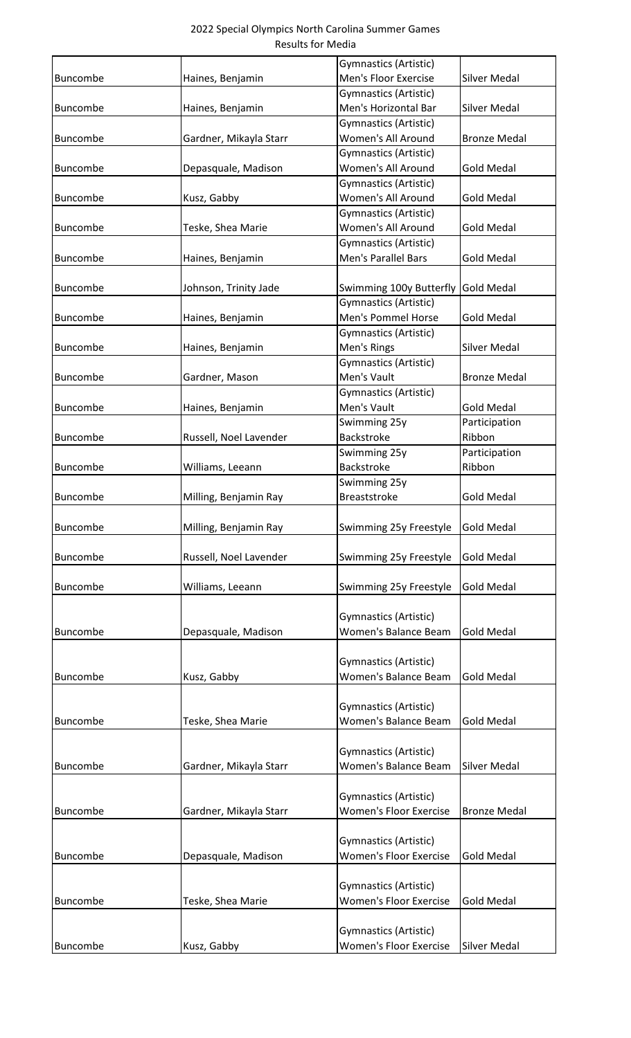|                 |                        | <b>Gymnastics (Artistic)</b>  |                     |
|-----------------|------------------------|-------------------------------|---------------------|
| <b>Buncombe</b> | Haines, Benjamin       | Men's Floor Exercise          | <b>Silver Medal</b> |
|                 |                        | Gymnastics (Artistic)         |                     |
| Buncombe        | Haines, Benjamin       | Men's Horizontal Bar          | <b>Silver Medal</b> |
|                 |                        | Gymnastics (Artistic)         |                     |
| Buncombe        | Gardner, Mikayla Starr | Women's All Around            | <b>Bronze Medal</b> |
|                 |                        | <b>Gymnastics (Artistic)</b>  |                     |
| Buncombe        | Depasquale, Madison    | Women's All Around            | <b>Gold Medal</b>   |
|                 |                        | Gymnastics (Artistic)         |                     |
| Buncombe        | Kusz, Gabby            | Women's All Around            | <b>Gold Medal</b>   |
|                 |                        | Gymnastics (Artistic)         |                     |
| <b>Buncombe</b> | Teske, Shea Marie      | Women's All Around            | <b>Gold Medal</b>   |
|                 |                        | <b>Gymnastics (Artistic)</b>  |                     |
| Buncombe        | Haines, Benjamin       | <b>Men's Parallel Bars</b>    | <b>Gold Medal</b>   |
|                 |                        |                               |                     |
| Buncombe        | Johnson, Trinity Jade  | Swimming 100y Butterfly       | <b>Gold Medal</b>   |
|                 |                        | Gymnastics (Artistic)         |                     |
| Buncombe        | Haines, Benjamin       | Men's Pommel Horse            | <b>Gold Medal</b>   |
|                 |                        | <b>Gymnastics (Artistic)</b>  |                     |
| Buncombe        | Haines, Benjamin       | Men's Rings                   | <b>Silver Medal</b> |
|                 |                        | <b>Gymnastics (Artistic)</b>  |                     |
| Buncombe        | Gardner, Mason         | Men's Vault                   | <b>Bronze Medal</b> |
|                 |                        | <b>Gymnastics (Artistic)</b>  |                     |
| <b>Buncombe</b> | Haines, Benjamin       | Men's Vault                   | <b>Gold Medal</b>   |
|                 |                        | Swimming 25y                  | Participation       |
| <b>Buncombe</b> | Russell, Noel Lavender | Backstroke                    | Ribbon              |
|                 |                        | Swimming 25y                  | Participation       |
| Buncombe        | Williams, Leeann       | Backstroke                    | Ribbon              |
|                 |                        | Swimming 25y                  |                     |
| Buncombe        | Milling, Benjamin Ray  | <b>Breaststroke</b>           | <b>Gold Medal</b>   |
|                 |                        |                               |                     |
| Buncombe        | Milling, Benjamin Ray  | Swimming 25y Freestyle        | <b>Gold Medal</b>   |
|                 |                        |                               |                     |
| Buncombe        | Russell, Noel Lavender | Swimming 25y Freestyle        | <b>Gold Medal</b>   |
|                 |                        |                               |                     |
| <b>Buncombe</b> | Williams, Leeann       | Swimming 25y Freestyle        | <b>Gold Medal</b>   |
|                 |                        |                               |                     |
|                 |                        | <b>Gymnastics (Artistic)</b>  |                     |
| Buncombe        | Depasquale, Madison    | Women's Balance Beam          | <b>Gold Medal</b>   |
|                 |                        |                               |                     |
|                 |                        | <b>Gymnastics (Artistic)</b>  |                     |
| Buncombe        | Kusz, Gabby            | Women's Balance Beam          | <b>Gold Medal</b>   |
|                 |                        |                               |                     |
|                 |                        | <b>Gymnastics (Artistic)</b>  |                     |
| Buncombe        | Teske, Shea Marie      | Women's Balance Beam          | <b>Gold Medal</b>   |
|                 |                        |                               |                     |
|                 |                        | <b>Gymnastics (Artistic)</b>  |                     |
| Buncombe        | Gardner, Mikayla Starr | Women's Balance Beam          | <b>Silver Medal</b> |
|                 |                        |                               |                     |
|                 |                        | <b>Gymnastics (Artistic)</b>  |                     |
| Buncombe        | Gardner, Mikayla Starr | <b>Women's Floor Exercise</b> | <b>Bronze Medal</b> |
|                 |                        |                               |                     |
|                 |                        | <b>Gymnastics (Artistic)</b>  |                     |
| Buncombe        | Depasquale, Madison    | <b>Women's Floor Exercise</b> | <b>Gold Medal</b>   |
|                 |                        |                               |                     |
|                 |                        | <b>Gymnastics (Artistic)</b>  |                     |
| Buncombe        | Teske, Shea Marie      | <b>Women's Floor Exercise</b> | <b>Gold Medal</b>   |
|                 |                        |                               |                     |
|                 |                        | <b>Gymnastics (Artistic)</b>  |                     |
| Buncombe        | Kusz, Gabby            | <b>Women's Floor Exercise</b> | <b>Silver Medal</b> |
|                 |                        |                               |                     |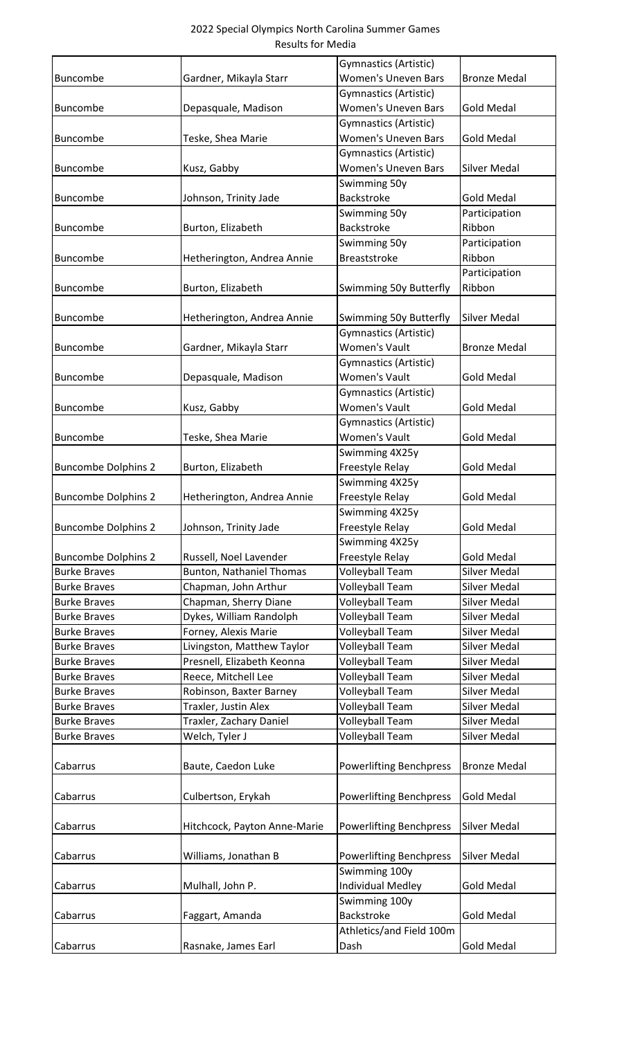| 2022 Special Olympics North Carolina Summer Games |
|---------------------------------------------------|
| Results for Media                                 |

|                            |                              | <b>Gymnastics (Artistic)</b>   |                     |
|----------------------------|------------------------------|--------------------------------|---------------------|
| Buncombe                   | Gardner, Mikayla Starr       | <b>Women's Uneven Bars</b>     | <b>Bronze Medal</b> |
|                            |                              | Gymnastics (Artistic)          |                     |
| Buncombe                   | Depasquale, Madison          | <b>Women's Uneven Bars</b>     | <b>Gold Medal</b>   |
|                            |                              | <b>Gymnastics (Artistic)</b>   |                     |
| Buncombe                   | Teske, Shea Marie            | <b>Women's Uneven Bars</b>     | <b>Gold Medal</b>   |
|                            |                              | Gymnastics (Artistic)          |                     |
| <b>Buncombe</b>            | Kusz, Gabby                  | <b>Women's Uneven Bars</b>     | <b>Silver Medal</b> |
|                            |                              | Swimming 50y                   |                     |
| <b>Buncombe</b>            | Johnson, Trinity Jade        | Backstroke                     | <b>Gold Medal</b>   |
|                            |                              | Swimming 50y                   | Participation       |
| <b>Buncombe</b>            | Burton, Elizabeth            | <b>Backstroke</b>              | Ribbon              |
|                            |                              | Swimming 50y                   | Participation       |
| Buncombe                   | Hetherington, Andrea Annie   | <b>Breaststroke</b>            | Ribbon              |
|                            |                              |                                | Participation       |
| Buncombe                   | Burton, Elizabeth            | Swimming 50y Butterfly         | Ribbon              |
|                            |                              |                                |                     |
| <b>Buncombe</b>            | Hetherington, Andrea Annie   | Swimming 50y Butterfly         | <b>Silver Medal</b> |
|                            |                              | <b>Gymnastics (Artistic)</b>   |                     |
| <b>Buncombe</b>            | Gardner, Mikayla Starr       | <b>Women's Vault</b>           | <b>Bronze Medal</b> |
|                            |                              | Gymnastics (Artistic)          |                     |
| Buncombe                   | Depasquale, Madison          | <b>Women's Vault</b>           | <b>Gold Medal</b>   |
|                            |                              | Gymnastics (Artistic)          |                     |
| <b>Buncombe</b>            | Kusz, Gabby                  | <b>Women's Vault</b>           | <b>Gold Medal</b>   |
|                            |                              | Gymnastics (Artistic)          |                     |
| Buncombe                   | Teske, Shea Marie            | <b>Women's Vault</b>           | <b>Gold Medal</b>   |
|                            |                              | Swimming 4X25y                 |                     |
| <b>Buncombe Dolphins 2</b> | Burton, Elizabeth            | Freestyle Relay                | <b>Gold Medal</b>   |
|                            |                              | Swimming 4X25y                 |                     |
| <b>Buncombe Dolphins 2</b> | Hetherington, Andrea Annie   | Freestyle Relay                | <b>Gold Medal</b>   |
|                            |                              | Swimming 4X25y                 |                     |
| <b>Buncombe Dolphins 2</b> | Johnson, Trinity Jade        | Freestyle Relay                | <b>Gold Medal</b>   |
|                            |                              | Swimming 4X25y                 |                     |
| <b>Buncombe Dolphins 2</b> | Russell, Noel Lavender       | Freestyle Relay                | <b>Gold Medal</b>   |
| <b>Burke Braves</b>        | Bunton, Nathaniel Thomas     | <b>Volleyball Team</b>         | <b>Silver Medal</b> |
| <b>Burke Braves</b>        | Chapman, John Arthur         | Volleyball Team                | <b>Silver Medal</b> |
| <b>Burke Braves</b>        | Chapman, Sherry Diane        | Volleyball Team                | Silver Medal        |
| <b>Burke Braves</b>        | Dykes, William Randolph      | <b>Volleyball Team</b>         | <b>Silver Medal</b> |
| <b>Burke Braves</b>        | Forney, Alexis Marie         | <b>Volleyball Team</b>         | <b>Silver Medal</b> |
| <b>Burke Braves</b>        | Livingston, Matthew Taylor   | Volleyball Team                | <b>Silver Medal</b> |
| <b>Burke Braves</b>        | Presnell, Elizabeth Keonna   | Volleyball Team                | <b>Silver Medal</b> |
| <b>Burke Braves</b>        | Reece, Mitchell Lee          | <b>Volleyball Team</b>         | Silver Medal        |
| <b>Burke Braves</b>        | Robinson, Baxter Barney      | <b>Volleyball Team</b>         | Silver Medal        |
| <b>Burke Braves</b>        | Traxler, Justin Alex         | Volleyball Team                | Silver Medal        |
| <b>Burke Braves</b>        | Traxler, Zachary Daniel      | Volleyball Team                | <b>Silver Medal</b> |
| <b>Burke Braves</b>        | Welch, Tyler J               | Volleyball Team                | Silver Medal        |
|                            |                              |                                |                     |
| Cabarrus                   | Baute, Caedon Luke           | <b>Powerlifting Benchpress</b> | <b>Bronze Medal</b> |
|                            |                              |                                |                     |
| Cabarrus                   | Culbertson, Erykah           | <b>Powerlifting Benchpress</b> | <b>Gold Medal</b>   |
|                            |                              |                                |                     |
| Cabarrus                   | Hitchcock, Payton Anne-Marie | <b>Powerlifting Benchpress</b> | Silver Medal        |
|                            |                              |                                |                     |
| Cabarrus                   | Williams, Jonathan B         | <b>Powerlifting Benchpress</b> | Silver Medal        |
|                            |                              | Swimming 100y                  |                     |
| Cabarrus                   | Mulhall, John P.             | <b>Individual Medley</b>       | <b>Gold Medal</b>   |
|                            |                              | Swimming 100y                  |                     |
| Cabarrus                   | Faggart, Amanda              | <b>Backstroke</b>              | <b>Gold Medal</b>   |
|                            |                              | Athletics/and Field 100m       |                     |
| Cabarrus                   | Rasnake, James Earl          | Dash                           | Gold Medal          |
|                            |                              |                                |                     |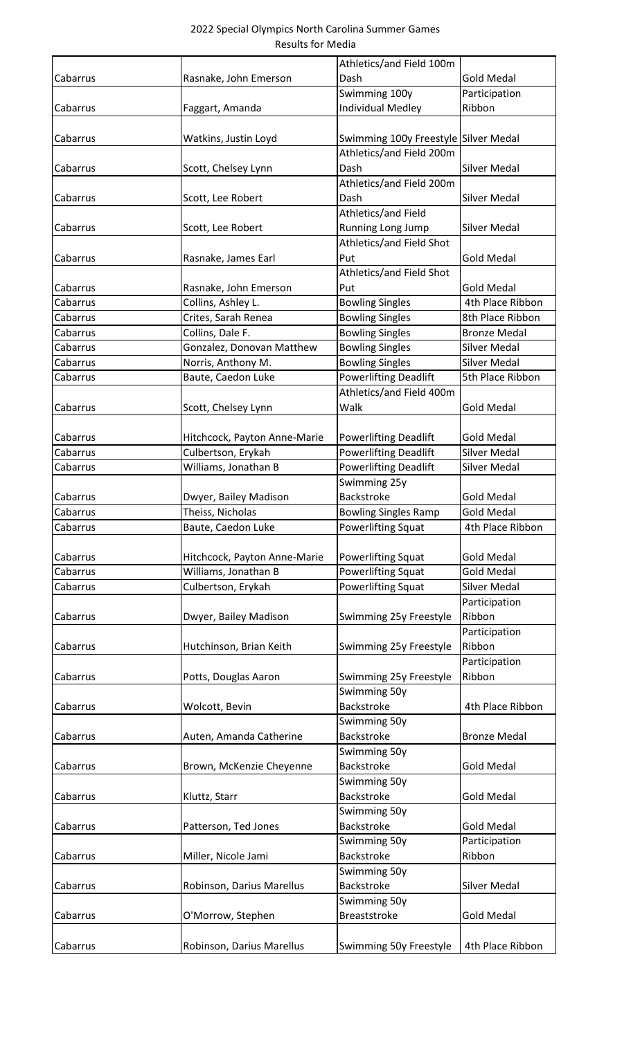|                      |                                           | Athletics/and Field 100m                         |                                       |
|----------------------|-------------------------------------------|--------------------------------------------------|---------------------------------------|
| Cabarrus             | Rasnake, John Emerson                     | Dash                                             | <b>Gold Medal</b>                     |
|                      |                                           | Swimming 100y                                    | Participation                         |
| Cabarrus             | Faggart, Amanda                           | <b>Individual Medley</b>                         | Ribbon                                |
|                      |                                           |                                                  |                                       |
| Cabarrus             | Watkins, Justin Loyd                      | Swimming 100y Freestyle Silver Medal             |                                       |
|                      |                                           | Athletics/and Field 200m                         |                                       |
| Cabarrus             | Scott, Chelsey Lynn                       | Dash                                             | <b>Silver Medal</b>                   |
|                      |                                           | Athletics/and Field 200m                         |                                       |
| Cabarrus             | Scott, Lee Robert                         | Dash                                             | Silver Medal                          |
|                      |                                           | Athletics/and Field                              |                                       |
| Cabarrus             | Scott, Lee Robert                         | Running Long Jump                                | Silver Medal                          |
|                      |                                           | Athletics/and Field Shot                         |                                       |
| Cabarrus             | Rasnake, James Earl                       | Put                                              | <b>Gold Medal</b>                     |
|                      |                                           | Athletics/and Field Shot                         |                                       |
| Cabarrus             | Rasnake, John Emerson                     | Put                                              | <b>Gold Medal</b><br>4th Place Ribbon |
| Cabarrus<br>Cabarrus | Collins, Ashley L.<br>Crites, Sarah Renea | <b>Bowling Singles</b><br><b>Bowling Singles</b> | 8th Place Ribbon                      |
| Cabarrus             | Collins, Dale F.                          | <b>Bowling Singles</b>                           | <b>Bronze Medal</b>                   |
| Cabarrus             | Gonzalez, Donovan Matthew                 | <b>Bowling Singles</b>                           | Silver Medal                          |
| Cabarrus             | Norris, Anthony M.                        | <b>Bowling Singles</b>                           | Silver Medal                          |
| Cabarrus             | Baute, Caedon Luke                        | <b>Powerlifting Deadlift</b>                     | 5th Place Ribbon                      |
|                      |                                           | Athletics/and Field 400m                         |                                       |
| Cabarrus             | Scott, Chelsey Lynn                       | Walk                                             | <b>Gold Medal</b>                     |
|                      |                                           |                                                  |                                       |
| Cabarrus             | Hitchcock, Payton Anne-Marie              | <b>Powerlifting Deadlift</b>                     | <b>Gold Medal</b>                     |
| Cabarrus             | Culbertson, Erykah                        | <b>Powerlifting Deadlift</b>                     | Silver Medal                          |
| Cabarrus             | Williams, Jonathan B                      | <b>Powerlifting Deadlift</b>                     | Silver Medal                          |
|                      |                                           | Swimming 25y                                     |                                       |
| Cabarrus             | Dwyer, Bailey Madison                     | Backstroke                                       | <b>Gold Medal</b>                     |
| Cabarrus             | Theiss, Nicholas                          | <b>Bowling Singles Ramp</b>                      | <b>Gold Medal</b>                     |
| Cabarrus             | Baute, Caedon Luke                        | <b>Powerlifting Squat</b>                        | 4th Place Ribbon                      |
|                      |                                           |                                                  |                                       |
| Cabarrus             | Hitchcock, Payton Anne-Marie              | <b>Powerlifting Squat</b>                        | <b>Gold Medal</b>                     |
| Cabarrus             | Williams, Jonathan B                      | Powerlifting Squat                               | <b>Gold Medal</b>                     |
| Cabarrus             | Culbertson, Erykah                        | <b>Powerlifting Squat</b>                        | Silver Medal                          |
|                      |                                           |                                                  | Participation                         |
| Cabarrus             | Dwyer, Bailey Madison                     | Swimming 25y Freestyle                           | Ribbon                                |
|                      |                                           |                                                  | Participation                         |
| Cabarrus             | Hutchinson, Brian Keith                   | Swimming 25y Freestyle                           | Ribbon                                |
|                      |                                           |                                                  | Participation                         |
| Cabarrus             | Potts, Douglas Aaron                      | Swimming 25y Freestyle                           | Ribbon                                |
|                      |                                           | Swimming 50y                                     |                                       |
| Cabarrus             | Wolcott, Bevin                            | Backstroke                                       | 4th Place Ribbon                      |
|                      |                                           | Swimming 50y                                     |                                       |
| Cabarrus             | Auten, Amanda Catherine                   | Backstroke                                       | <b>Bronze Medal</b>                   |
|                      |                                           | Swimming 50y                                     |                                       |
| Cabarrus             | Brown, McKenzie Cheyenne                  | <b>Backstroke</b>                                | <b>Gold Medal</b>                     |
|                      |                                           | Swimming 50y                                     |                                       |
| Cabarrus             | Kluttz, Starr                             | Backstroke                                       | <b>Gold Medal</b>                     |
| Cabarrus             |                                           | Swimming 50y<br>Backstroke                       | <b>Gold Medal</b>                     |
|                      | Patterson, Ted Jones                      | Swimming 50y                                     | Participation                         |
| Cabarrus             | Miller, Nicole Jami                       | Backstroke                                       | Ribbon                                |
|                      |                                           | Swimming 50y                                     |                                       |
| Cabarrus             | Robinson, Darius Marellus                 | <b>Backstroke</b>                                | <b>Silver Medal</b>                   |
|                      |                                           | Swimming 50y                                     |                                       |
| Cabarrus             | O'Morrow, Stephen                         | <b>Breaststroke</b>                              | <b>Gold Medal</b>                     |
|                      |                                           |                                                  |                                       |
| Cabarrus             | Robinson, Darius Marellus                 | Swimming 50y Freestyle                           | 4th Place Ribbon                      |
|                      |                                           |                                                  |                                       |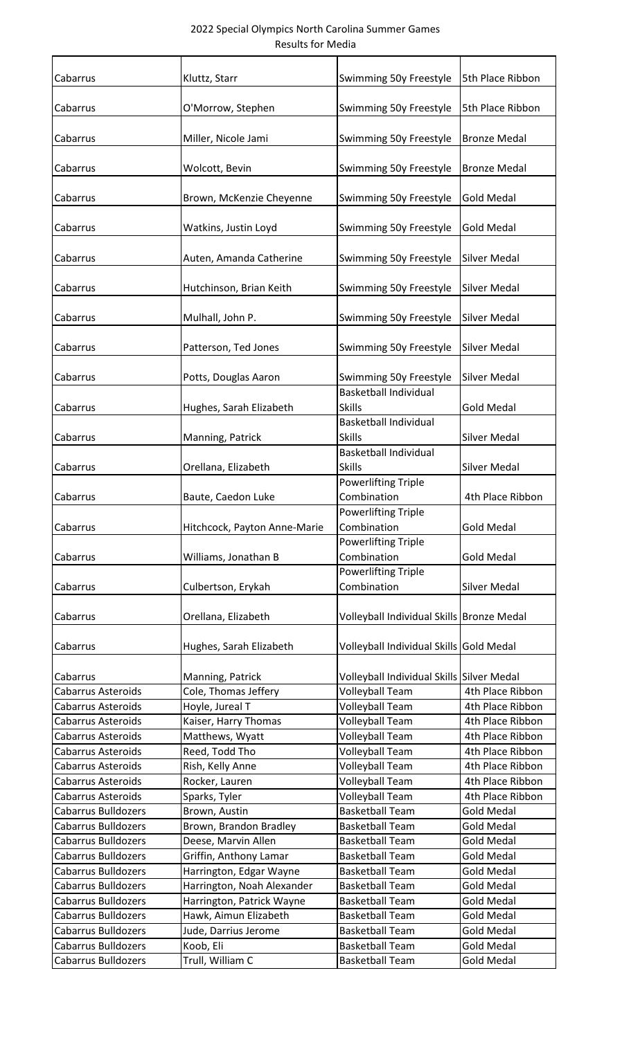| Cabarrus                   | Kluttz, Starr                | Swimming 50y Freestyle                                 | 5th Place Ribbon    |
|----------------------------|------------------------------|--------------------------------------------------------|---------------------|
| Cabarrus                   | O'Morrow, Stephen            | Swimming 50y Freestyle                                 | 5th Place Ribbon    |
| Cabarrus                   | Miller, Nicole Jami          | Swimming 50y Freestyle                                 | <b>Bronze Medal</b> |
| Cabarrus                   | Wolcott, Bevin               | Swimming 50y Freestyle                                 | <b>Bronze Medal</b> |
| Cabarrus                   | Brown, McKenzie Cheyenne     | Swimming 50y Freestyle                                 | <b>Gold Medal</b>   |
| Cabarrus                   | Watkins, Justin Loyd         | Swimming 50y Freestyle                                 | <b>Gold Medal</b>   |
| Cabarrus                   | Auten, Amanda Catherine      | Swimming 50y Freestyle                                 | <b>Silver Medal</b> |
| Cabarrus                   | Hutchinson, Brian Keith      | Swimming 50y Freestyle                                 | Silver Medal        |
| Cabarrus                   | Mulhall, John P.             | Swimming 50y Freestyle                                 | <b>Silver Medal</b> |
| Cabarrus                   | Patterson, Ted Jones         | Swimming 50y Freestyle                                 | <b>Silver Medal</b> |
| Cabarrus                   | Potts, Douglas Aaron         | Swimming 50y Freestyle<br><b>Basketball Individual</b> | Silver Medal        |
| Cabarrus                   | Hughes, Sarah Elizabeth      | <b>Skills</b>                                          | <b>Gold Medal</b>   |
| Cabarrus                   | Manning, Patrick             | <b>Basketball Individual</b><br><b>Skills</b>          | <b>Silver Medal</b> |
| Cabarrus                   | Orellana, Elizabeth          | <b>Basketball Individual</b><br><b>Skills</b>          | Silver Medal        |
| Cabarrus                   | Baute, Caedon Luke           | <b>Powerlifting Triple</b><br>Combination              | 4th Place Ribbon    |
| Cabarrus                   | Hitchcock, Payton Anne-Marie | <b>Powerlifting Triple</b><br>Combination              | <b>Gold Medal</b>   |
| Cabarrus                   | Williams, Jonathan B         | <b>Powerlifting Triple</b><br>Combination              | <b>Gold Medal</b>   |
| Cabarrus                   | Culbertson, Erykah           | <b>Powerlifting Triple</b><br>Combination              | <b>Silver Medal</b> |
| Cabarrus                   | Orellana, Elizabeth          | Volleyball Individual Skills Bronze Medal              |                     |
| Cabarrus                   | Hughes, Sarah Elizabeth      | Volleyball Individual Skills Gold Medal                |                     |
| Cabarrus                   | Manning, Patrick             | Volleyball Individual Skills Silver Medal              |                     |
| Cabarrus Asteroids         | Cole, Thomas Jeffery         | Volleyball Team                                        | 4th Place Ribbon    |
| <b>Cabarrus Asteroids</b>  | Hoyle, Jureal T              | <b>Volleyball Team</b>                                 | 4th Place Ribbon    |
| <b>Cabarrus Asteroids</b>  | Kaiser, Harry Thomas         | Volleyball Team                                        | 4th Place Ribbon    |
| <b>Cabarrus Asteroids</b>  | Matthews, Wyatt              | Volleyball Team                                        | 4th Place Ribbon    |
| Cabarrus Asteroids         | Reed, Todd Tho               | <b>Volleyball Team</b>                                 | 4th Place Ribbon    |
| Cabarrus Asteroids         | Rish, Kelly Anne             | Volleyball Team                                        | 4th Place Ribbon    |
| Cabarrus Asteroids         | Rocker, Lauren               | <b>Volleyball Team</b>                                 | 4th Place Ribbon    |
| Cabarrus Asteroids         | Sparks, Tyler                | Volleyball Team                                        | 4th Place Ribbon    |
| <b>Cabarrus Bulldozers</b> | Brown, Austin                | <b>Basketball Team</b>                                 | <b>Gold Medal</b>   |
| <b>Cabarrus Bulldozers</b> | Brown, Brandon Bradley       | <b>Basketball Team</b>                                 | <b>Gold Medal</b>   |
| <b>Cabarrus Bulldozers</b> | Deese, Marvin Allen          | <b>Basketball Team</b>                                 | <b>Gold Medal</b>   |
| <b>Cabarrus Bulldozers</b> | Griffin, Anthony Lamar       | <b>Basketball Team</b>                                 | <b>Gold Medal</b>   |
| <b>Cabarrus Bulldozers</b> | Harrington, Edgar Wayne      | <b>Basketball Team</b>                                 | <b>Gold Medal</b>   |
| <b>Cabarrus Bulldozers</b> | Harrington, Noah Alexander   | <b>Basketball Team</b>                                 | <b>Gold Medal</b>   |
| Cabarrus Bulldozers        | Harrington, Patrick Wayne    | <b>Basketball Team</b>                                 | <b>Gold Medal</b>   |
| <b>Cabarrus Bulldozers</b> | Hawk, Aimun Elizabeth        | <b>Basketball Team</b>                                 | <b>Gold Medal</b>   |
| <b>Cabarrus Bulldozers</b> | Jude, Darrius Jerome         | <b>Basketball Team</b>                                 | <b>Gold Medal</b>   |
| <b>Cabarrus Bulldozers</b> | Koob, Eli                    | <b>Basketball Team</b>                                 | <b>Gold Medal</b>   |
| Cabarrus Bulldozers        | Trull, William C             | <b>Basketball Team</b>                                 | <b>Gold Medal</b>   |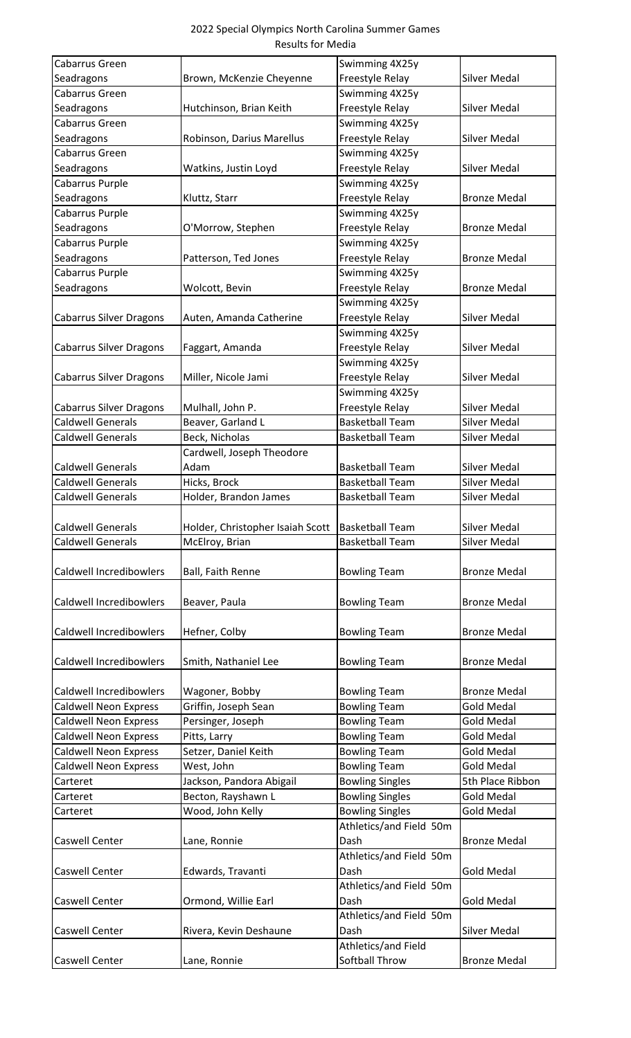| 2022 Special Olympics North Carolina Summer Games |
|---------------------------------------------------|
| <b>Results for Media</b>                          |

| Cabarrus Green                 |                                                    | Swimming 4X25y                        |                     |
|--------------------------------|----------------------------------------------------|---------------------------------------|---------------------|
| Seadragons                     | Brown, McKenzie Cheyenne                           | Freestyle Relay                       | Silver Medal        |
| Cabarrus Green                 |                                                    | Swimming 4X25y                        |                     |
| Seadragons                     | Hutchinson, Brian Keith                            | Freestyle Relay                       | Silver Medal        |
| Cabarrus Green                 |                                                    | Swimming 4X25y                        |                     |
| Seadragons                     | Robinson, Darius Marellus                          | Freestyle Relay                       | Silver Medal        |
| Cabarrus Green                 |                                                    | Swimming 4X25y                        |                     |
| Seadragons                     | Watkins, Justin Loyd                               | Freestyle Relay                       | <b>Silver Medal</b> |
| Cabarrus Purple                |                                                    | Swimming 4X25y                        |                     |
| Seadragons                     | Kluttz, Starr                                      | Freestyle Relay                       | <b>Bronze Medal</b> |
| Cabarrus Purple                |                                                    | Swimming 4X25y                        |                     |
| Seadragons                     | O'Morrow, Stephen                                  | Freestyle Relay                       | <b>Bronze Medal</b> |
| Cabarrus Purple                |                                                    | Swimming 4X25y                        |                     |
| Seadragons                     | Patterson, Ted Jones                               | Freestyle Relay                       | <b>Bronze Medal</b> |
| Cabarrus Purple                |                                                    | Swimming 4X25y                        |                     |
|                                |                                                    |                                       |                     |
| Seadragons                     | Wolcott, Bevin                                     | Freestyle Relay                       | <b>Bronze Medal</b> |
|                                |                                                    | Swimming 4X25y                        |                     |
| <b>Cabarrus Silver Dragons</b> | Auten, Amanda Catherine                            | Freestyle Relay                       | Silver Medal        |
|                                |                                                    | Swimming 4X25y                        |                     |
| <b>Cabarrus Silver Dragons</b> | Faggart, Amanda                                    | Freestyle Relay                       | <b>Silver Medal</b> |
|                                |                                                    | Swimming 4X25y                        |                     |
| <b>Cabarrus Silver Dragons</b> | Miller, Nicole Jami                                | Freestyle Relay                       | <b>Silver Medal</b> |
|                                |                                                    | Swimming 4X25y                        |                     |
| <b>Cabarrus Silver Dragons</b> | Mulhall, John P.                                   | Freestyle Relay                       | <b>Silver Medal</b> |
| <b>Caldwell Generals</b>       | Beaver, Garland L                                  | <b>Basketball Team</b>                | Silver Medal        |
| <b>Caldwell Generals</b>       | Beck, Nicholas                                     | <b>Basketball Team</b>                | <b>Silver Medal</b> |
|                                | Cardwell, Joseph Theodore                          |                                       |                     |
| <b>Caldwell Generals</b>       | Adam                                               | <b>Basketball Team</b>                | Silver Medal        |
| <b>Caldwell Generals</b>       | Hicks, Brock                                       | <b>Basketball Team</b>                | Silver Medal        |
| <b>Caldwell Generals</b>       | Holder, Brandon James                              | <b>Basketball Team</b>                | <b>Silver Medal</b> |
|                                |                                                    |                                       |                     |
| <b>Caldwell Generals</b>       | Holder, Christopher Isaiah Scott   Basketball Team |                                       | <b>Silver Medal</b> |
| <b>Caldwell Generals</b>       | McElroy, Brian                                     | <b>Basketball Team</b>                | <b>Silver Medal</b> |
|                                |                                                    |                                       |                     |
| Caldwell Incredibowlers        | Ball, Faith Renne                                  | <b>Bowling Team</b>                   | <b>Bronze Medal</b> |
|                                |                                                    |                                       |                     |
| <b>Caldwell Incredibowlers</b> | Beaver, Paula                                      | <b>Bowling Team</b>                   | <b>Bronze Medal</b> |
|                                |                                                    |                                       |                     |
| <b>Caldwell Incredibowlers</b> | Hefner, Colby                                      | <b>Bowling Team</b>                   | <b>Bronze Medal</b> |
|                                |                                                    |                                       |                     |
| Caldwell Incredibowlers        |                                                    |                                       | <b>Bronze Medal</b> |
|                                | Smith, Nathaniel Lee                               | <b>Bowling Team</b>                   |                     |
|                                |                                                    |                                       |                     |
| <b>Caldwell Incredibowlers</b> | Wagoner, Bobby                                     | <b>Bowling Team</b>                   | <b>Bronze Medal</b> |
| <b>Caldwell Neon Express</b>   | Griffin, Joseph Sean                               | <b>Bowling Team</b>                   | <b>Gold Medal</b>   |
| <b>Caldwell Neon Express</b>   | Persinger, Joseph                                  | <b>Bowling Team</b>                   | <b>Gold Medal</b>   |
| <b>Caldwell Neon Express</b>   | Pitts, Larry                                       | <b>Bowling Team</b>                   | <b>Gold Medal</b>   |
| <b>Caldwell Neon Express</b>   | Setzer, Daniel Keith                               | <b>Bowling Team</b>                   | <b>Gold Medal</b>   |
| <b>Caldwell Neon Express</b>   | West, John                                         | <b>Bowling Team</b>                   | <b>Gold Medal</b>   |
| Carteret                       | Jackson, Pandora Abigail                           | <b>Bowling Singles</b>                | 5th Place Ribbon    |
| Carteret                       | Becton, Rayshawn L                                 | <b>Bowling Singles</b>                | <b>Gold Medal</b>   |
| Carteret                       | Wood, John Kelly                                   | <b>Bowling Singles</b>                | <b>Gold Medal</b>   |
|                                |                                                    | Athletics/and Field 50m               |                     |
| Caswell Center                 | Lane, Ronnie                                       | Dash                                  | <b>Bronze Medal</b> |
|                                |                                                    | Athletics/and Field 50m               |                     |
|                                |                                                    |                                       |                     |
| Caswell Center                 | Edwards, Travanti                                  | Dash                                  | <b>Gold Medal</b>   |
|                                |                                                    |                                       |                     |
|                                |                                                    | Athletics/and Field 50m               |                     |
| Caswell Center                 | Ormond, Willie Earl                                | Dash                                  | <b>Gold Medal</b>   |
|                                |                                                    | Athletics/and Field 50m               |                     |
| <b>Caswell Center</b>          | Rivera, Kevin Deshaune                             | Dash                                  | Silver Medal        |
| <b>Caswell Center</b>          | Lane, Ronnie                                       | Athletics/and Field<br>Softball Throw | <b>Bronze Medal</b> |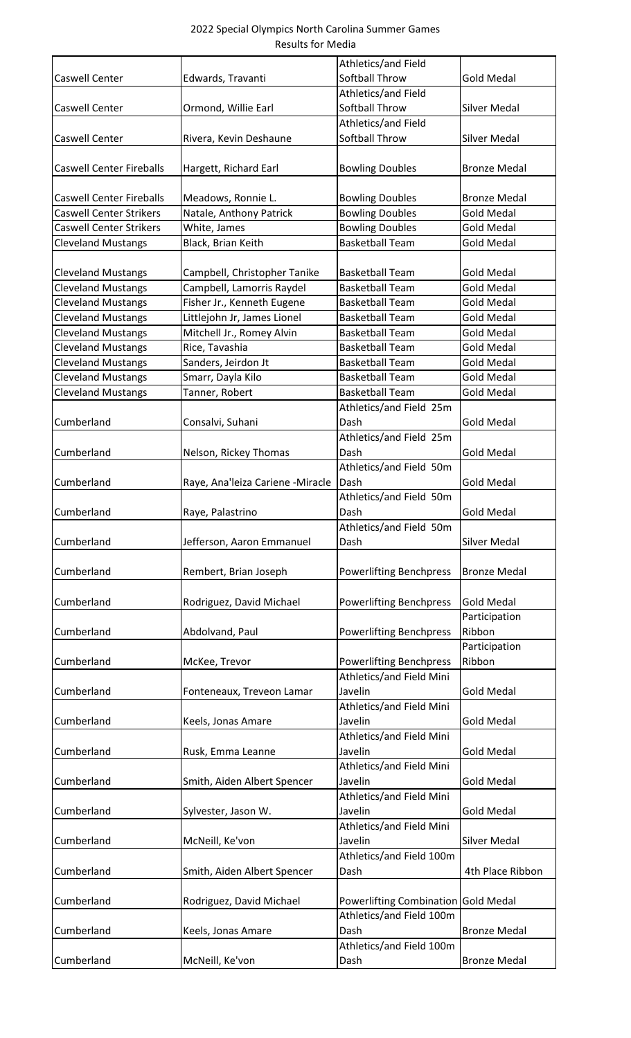|                                                                   |                                               | <b>Athletics/and Field</b>                       |                                          |
|-------------------------------------------------------------------|-----------------------------------------------|--------------------------------------------------|------------------------------------------|
| Caswell Center                                                    | Edwards, Travanti                             | Softball Throw                                   | <b>Gold Medal</b>                        |
|                                                                   |                                               | Athletics/and Field                              |                                          |
| <b>Caswell Center</b>                                             | Ormond, Willie Earl                           | Softball Throw                                   | <b>Silver Medal</b>                      |
|                                                                   |                                               | Athletics/and Field                              |                                          |
| Caswell Center                                                    | Rivera, Kevin Deshaune                        | Softball Throw                                   | <b>Silver Medal</b>                      |
|                                                                   |                                               |                                                  |                                          |
| <b>Caswell Center Fireballs</b>                                   | Hargett, Richard Earl                         | <b>Bowling Doubles</b>                           | <b>Bronze Medal</b>                      |
|                                                                   |                                               |                                                  |                                          |
| <b>Caswell Center Fireballs</b><br><b>Caswell Center Strikers</b> | Meadows, Ronnie L.<br>Natale, Anthony Patrick | <b>Bowling Doubles</b><br><b>Bowling Doubles</b> | <b>Bronze Medal</b><br><b>Gold Medal</b> |
| <b>Caswell Center Strikers</b>                                    | White, James                                  | <b>Bowling Doubles</b>                           | <b>Gold Medal</b>                        |
| <b>Cleveland Mustangs</b>                                         | Black, Brian Keith                            | <b>Basketball Team</b>                           | <b>Gold Medal</b>                        |
|                                                                   |                                               |                                                  |                                          |
| <b>Cleveland Mustangs</b>                                         | Campbell, Christopher Tanike                  | <b>Basketball Team</b>                           | <b>Gold Medal</b>                        |
| <b>Cleveland Mustangs</b>                                         | Campbell, Lamorris Raydel                     | <b>Basketball Team</b>                           | <b>Gold Medal</b>                        |
| <b>Cleveland Mustangs</b>                                         | Fisher Jr., Kenneth Eugene                    | <b>Basketball Team</b>                           | <b>Gold Medal</b>                        |
| <b>Cleveland Mustangs</b>                                         | Littlejohn Jr, James Lionel                   | <b>Basketball Team</b>                           | <b>Gold Medal</b>                        |
| <b>Cleveland Mustangs</b>                                         | Mitchell Jr., Romey Alvin                     | <b>Basketball Team</b>                           | <b>Gold Medal</b>                        |
| <b>Cleveland Mustangs</b>                                         | Rice, Tavashia                                | <b>Basketball Team</b>                           | <b>Gold Medal</b>                        |
| <b>Cleveland Mustangs</b>                                         | Sanders, Jeirdon Jt                           | <b>Basketball Team</b>                           | <b>Gold Medal</b>                        |
| <b>Cleveland Mustangs</b>                                         | Smarr, Dayla Kilo                             | <b>Basketball Team</b>                           | <b>Gold Medal</b>                        |
| <b>Cleveland Mustangs</b>                                         | Tanner, Robert                                | <b>Basketball Team</b>                           | <b>Gold Medal</b>                        |
|                                                                   |                                               | Athletics/and Field 25m                          |                                          |
| Cumberland                                                        | Consalvi, Suhani                              | Dash                                             | <b>Gold Medal</b>                        |
|                                                                   |                                               | Athletics/and Field 25m                          |                                          |
| Cumberland                                                        | Nelson, Rickey Thomas                         | Dash                                             | <b>Gold Medal</b>                        |
|                                                                   |                                               | Athletics/and Field 50m                          |                                          |
| Cumberland                                                        | Raye, Ana'leiza Cariene - Miracle             | Dash                                             | <b>Gold Medal</b>                        |
|                                                                   |                                               | Athletics/and Field 50m                          |                                          |
| Cumberland                                                        | Raye, Palastrino                              | Dash                                             | <b>Gold Medal</b>                        |
| Cumberland                                                        |                                               | Athletics/and Field 50m<br>Dash                  | <b>Silver Medal</b>                      |
|                                                                   | Jefferson, Aaron Emmanuel                     |                                                  |                                          |
| Cumberland                                                        | Rembert, Brian Joseph                         | <b>Powerlifting Benchpress</b>                   | <b>Bronze Medal</b>                      |
|                                                                   |                                               |                                                  |                                          |
| Cumberland                                                        | Rodriguez, David Michael                      | <b>Powerlifting Benchpress</b>                   | <b>Gold Medal</b>                        |
|                                                                   |                                               |                                                  | Participation                            |
| Cumberland                                                        | Abdolvand, Paul                               | <b>Powerlifting Benchpress</b>                   | Ribbon                                   |
|                                                                   |                                               |                                                  | Participation                            |
| Cumberland                                                        | McKee, Trevor                                 | <b>Powerlifting Benchpress</b>                   | Ribbon                                   |
|                                                                   |                                               | Athletics/and Field Mini                         |                                          |
| Cumberland                                                        | Fonteneaux, Treveon Lamar                     | Javelin                                          | <b>Gold Medal</b>                        |
|                                                                   |                                               | Athletics/and Field Mini                         |                                          |
| Cumberland                                                        | Keels, Jonas Amare                            | Javelin                                          | <b>Gold Medal</b>                        |
|                                                                   |                                               | Athletics/and Field Mini                         |                                          |
| Cumberland                                                        | Rusk, Emma Leanne                             | Javelin                                          | <b>Gold Medal</b>                        |
|                                                                   |                                               | Athletics/and Field Mini                         |                                          |
| Cumberland                                                        | Smith, Aiden Albert Spencer                   | Javelin                                          | <b>Gold Medal</b>                        |
|                                                                   |                                               | Athletics/and Field Mini                         |                                          |
| Cumberland                                                        | Sylvester, Jason W.                           | Javelin<br>Athletics/and Field Mini              | <b>Gold Medal</b>                        |
| Cumberland                                                        |                                               | Javelin                                          | <b>Silver Medal</b>                      |
|                                                                   | McNeill, Ke'von                               | Athletics/and Field 100m                         |                                          |
| Cumberland                                                        | Smith, Aiden Albert Spencer                   | Dash                                             | 4th Place Ribbon                         |
|                                                                   |                                               |                                                  |                                          |
| Cumberland                                                        | Rodriguez, David Michael                      | <b>Powerlifting Combination</b>                  | <b>Gold Medal</b>                        |
|                                                                   |                                               | Athletics/and Field 100m                         |                                          |
| Cumberland                                                        | Keels, Jonas Amare                            | Dash                                             | <b>Bronze Medal</b>                      |
|                                                                   |                                               | Athletics/and Field 100m                         |                                          |
| Cumberland                                                        | McNeill, Ke'von                               | Dash                                             | <b>Bronze Medal</b>                      |
|                                                                   |                                               |                                                  |                                          |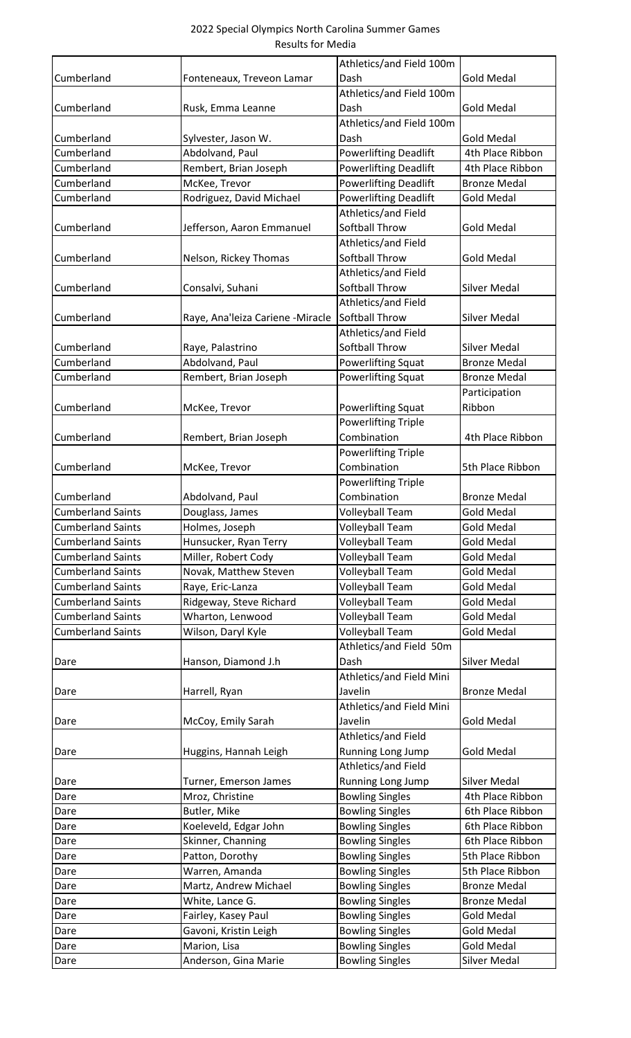|                          |                                          | Athletics/and Field 100m                    |                     |
|--------------------------|------------------------------------------|---------------------------------------------|---------------------|
| Cumberland               | Fonteneaux, Treveon Lamar                | Dash                                        | <b>Gold Medal</b>   |
|                          |                                          | Athletics/and Field 100m                    |                     |
| Cumberland               | Rusk, Emma Leanne                        | Dash                                        | <b>Gold Medal</b>   |
|                          |                                          | Athletics/and Field 100m                    |                     |
| Cumberland               | Sylvester, Jason W.                      | Dash                                        | <b>Gold Medal</b>   |
| Cumberland               | Abdolvand, Paul                          | <b>Powerlifting Deadlift</b>                | 4th Place Ribbon    |
| Cumberland               | Rembert, Brian Joseph                    | <b>Powerlifting Deadlift</b>                | 4th Place Ribbon    |
| Cumberland               | McKee, Trevor                            | <b>Powerlifting Deadlift</b>                | <b>Bronze Medal</b> |
| Cumberland               | Rodriguez, David Michael                 | <b>Powerlifting Deadlift</b>                | <b>Gold Medal</b>   |
|                          |                                          | Athletics/and Field                         |                     |
| Cumberland               | Jefferson, Aaron Emmanuel                | Softball Throw                              | <b>Gold Medal</b>   |
|                          |                                          | Athletics/and Field                         |                     |
| Cumberland               | Nelson, Rickey Thomas                    | Softball Throw                              | <b>Gold Medal</b>   |
|                          |                                          | Athletics/and Field                         |                     |
| Cumberland               | Consalvi, Suhani                         | Softball Throw                              | <b>Silver Medal</b> |
|                          |                                          | Athletics/and Field                         |                     |
| Cumberland               | Raye, Ana'leiza Cariene - Miracle        | <b>Softball Throw</b>                       | <b>Silver Medal</b> |
|                          |                                          | Athletics/and Field                         |                     |
| Cumberland               | Raye, Palastrino                         | Softball Throw                              | <b>Silver Medal</b> |
| Cumberland               | Abdolvand, Paul                          | <b>Powerlifting Squat</b>                   | <b>Bronze Medal</b> |
| Cumberland               | Rembert, Brian Joseph                    | <b>Powerlifting Squat</b>                   | <b>Bronze Medal</b> |
|                          |                                          |                                             | Participation       |
| Cumberland               | McKee, Trevor                            | <b>Powerlifting Squat</b>                   | Ribbon              |
|                          |                                          | <b>Powerlifting Triple</b>                  |                     |
| Cumberland               | Rembert, Brian Joseph                    | Combination                                 | 4th Place Ribbon    |
|                          |                                          | <b>Powerlifting Triple</b>                  |                     |
| Cumberland               | McKee, Trevor                            | Combination                                 | 5th Place Ribbon    |
|                          |                                          | <b>Powerlifting Triple</b>                  |                     |
| Cumberland               | Abdolvand, Paul                          | Combination                                 | <b>Bronze Medal</b> |
| <b>Cumberland Saints</b> | Douglass, James                          | <b>Volleyball Team</b>                      | <b>Gold Medal</b>   |
| <b>Cumberland Saints</b> | Holmes, Joseph                           | <b>Volleyball Team</b>                      | <b>Gold Medal</b>   |
| <b>Cumberland Saints</b> | Hunsucker, Ryan Terry                    | Volleyball Team                             | <b>Gold Medal</b>   |
| <b>Cumberland Saints</b> | Miller, Robert Cody                      | Volleyball Team                             | <b>Gold Medal</b>   |
| <b>Cumberland Saints</b> | Novak, Matthew Steven                    | Volleyball Team                             | <b>Gold Medal</b>   |
| <b>Cumberland Saints</b> | Raye, Eric-Lanza                         | Volleyball Team                             | <b>Gold Medal</b>   |
| <b>Cumberland Saints</b> | Ridgeway, Steve Richard                  | Volleyball Team                             | <b>Gold Medal</b>   |
| <b>Cumberland Saints</b> | Wharton, Lenwood                         | Volleyball Team                             | <b>Gold Medal</b>   |
| <b>Cumberland Saints</b> | Wilson, Daryl Kyle                       | Volleyball Team                             | <b>Gold Medal</b>   |
|                          |                                          | Athletics/and Field 50m                     |                     |
| Dare                     | Hanson, Diamond J.h                      | Dash                                        | Silver Medal        |
|                          |                                          | Athletics/and Field Mini                    |                     |
|                          | Harrell, Ryan                            | Javelin                                     | <b>Bronze Medal</b> |
| Dare                     |                                          | Athletics/and Field Mini                    |                     |
| Dare                     |                                          | Javelin                                     | <b>Gold Medal</b>   |
|                          | McCoy, Emily Sarah                       | Athletics/and Field                         |                     |
| Dare                     | Huggins, Hannah Leigh                    | Running Long Jump                           | <b>Gold Medal</b>   |
|                          |                                          | Athletics/and Field                         |                     |
|                          |                                          |                                             | <b>Silver Medal</b> |
| Dare<br>Dare             | Turner, Emerson James<br>Mroz, Christine | Running Long Jump<br><b>Bowling Singles</b> | 4th Place Ribbon    |
|                          |                                          |                                             |                     |
| Dare                     | Butler, Mike                             | <b>Bowling Singles</b>                      | 6th Place Ribbon    |
| Dare                     | Koeleveld, Edgar John                    | <b>Bowling Singles</b>                      | 6th Place Ribbon    |
| Dare                     | Skinner, Channing                        | <b>Bowling Singles</b>                      | 6th Place Ribbon    |
| Dare                     | Patton, Dorothy                          | <b>Bowling Singles</b>                      | 5th Place Ribbon    |
| Dare                     | Warren, Amanda                           | <b>Bowling Singles</b>                      | 5th Place Ribbon    |
| Dare                     | Martz, Andrew Michael                    | <b>Bowling Singles</b>                      | <b>Bronze Medal</b> |
| Dare                     | White, Lance G.                          | <b>Bowling Singles</b>                      | <b>Bronze Medal</b> |
| Dare                     | Fairley, Kasey Paul                      | <b>Bowling Singles</b>                      | <b>Gold Medal</b>   |
| Dare                     | Gavoni, Kristin Leigh                    | <b>Bowling Singles</b>                      | <b>Gold Medal</b>   |
| Dare                     | Marion, Lisa                             | <b>Bowling Singles</b>                      | <b>Gold Medal</b>   |
| Dare                     | Anderson, Gina Marie                     | <b>Bowling Singles</b>                      | <b>Silver Medal</b> |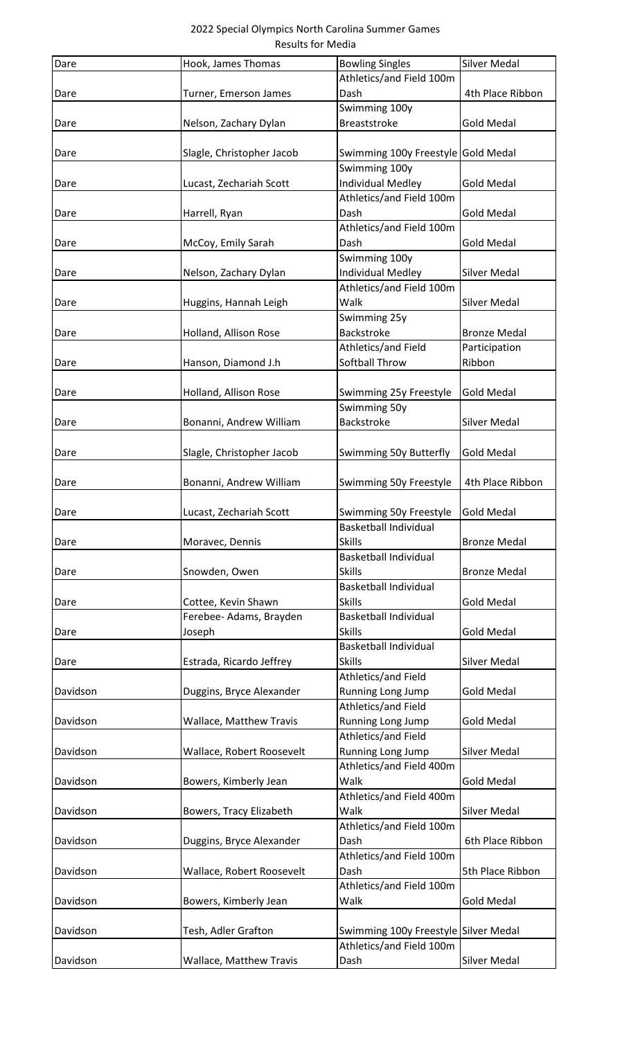| Dare     | Hook, James Thomas             | <b>Bowling Singles</b>                                           | <b>Silver Medal</b> |
|----------|--------------------------------|------------------------------------------------------------------|---------------------|
|          |                                | Athletics/and Field 100m                                         |                     |
| Dare     | Turner, Emerson James          | Dash                                                             | 4th Place Ribbon    |
|          |                                | Swimming 100y                                                    |                     |
| Dare     | Nelson, Zachary Dylan          | Breaststroke                                                     | <b>Gold Medal</b>   |
|          |                                |                                                                  |                     |
| Dare     | Slagle, Christopher Jacob      | Swimming 100y Freestyle Gold Medal                               |                     |
|          |                                | Swimming 100y                                                    |                     |
| Dare     | Lucast, Zechariah Scott        | <b>Individual Medley</b>                                         | <b>Gold Medal</b>   |
|          |                                | Athletics/and Field 100m                                         |                     |
| Dare     | Harrell, Ryan                  | Dash                                                             | <b>Gold Medal</b>   |
|          |                                | Athletics/and Field 100m                                         |                     |
| Dare     | McCoy, Emily Sarah             | Dash                                                             | <b>Gold Medal</b>   |
|          |                                | Swimming 100y                                                    |                     |
| Dare     | Nelson, Zachary Dylan          | <b>Individual Medley</b>                                         | <b>Silver Medal</b> |
|          |                                | Athletics/and Field 100m                                         |                     |
| Dare     | Huggins, Hannah Leigh          | Walk                                                             | <b>Silver Medal</b> |
|          |                                | Swimming 25y                                                     |                     |
| Dare     | Holland, Allison Rose          | Backstroke                                                       | <b>Bronze Medal</b> |
|          |                                | Athletics/and Field                                              | Participation       |
| Dare     | Hanson, Diamond J.h            | Softball Throw                                                   | Ribbon              |
|          |                                |                                                                  |                     |
| Dare     | Holland, Allison Rose          | Swimming 25y Freestyle                                           | <b>Gold Medal</b>   |
|          |                                | Swimming 50y                                                     |                     |
| Dare     | Bonanni, Andrew William        | Backstroke                                                       | Silver Medal        |
|          |                                |                                                                  |                     |
| Dare     | Slagle, Christopher Jacob      | Swimming 50y Butterfly                                           | <b>Gold Medal</b>   |
|          |                                |                                                                  |                     |
| Dare     | Bonanni, Andrew William        | Swimming 50y Freestyle                                           | 4th Place Ribbon    |
|          |                                |                                                                  |                     |
| Dare     | Lucast, Zechariah Scott        | Swimming 50y Freestyle                                           | <b>Gold Medal</b>   |
|          |                                | <b>Basketball Individual</b>                                     |                     |
| Dare     | Moravec, Dennis                | <b>Skills</b>                                                    | <b>Bronze Medal</b> |
|          |                                | <b>Basketball Individual</b>                                     |                     |
| Dare     | Snowden, Owen                  | <b>Skills</b>                                                    | <b>Bronze Medal</b> |
|          |                                | <b>Basketball Individual</b>                                     |                     |
| Dare     | Cottee, Kevin Shawn            | <b>Skills</b>                                                    | <b>Gold Medal</b>   |
|          | Ferebee- Adams, Brayden        | <b>Basketball Individual</b>                                     |                     |
| Dare     | Joseph                         | <b>Skills</b>                                                    | <b>Gold Medal</b>   |
|          |                                | <b>Basketball Individual</b>                                     |                     |
| Dare     | Estrada, Ricardo Jeffrey       | <b>Skills</b>                                                    | <b>Silver Medal</b> |
|          |                                | Athletics/and Field                                              |                     |
| Davidson | Duggins, Bryce Alexander       | <b>Running Long Jump</b>                                         | <b>Gold Medal</b>   |
|          |                                | Athletics/and Field                                              |                     |
| Davidson | Wallace, Matthew Travis        | Running Long Jump                                                | <b>Gold Medal</b>   |
|          |                                | Athletics/and Field                                              |                     |
| Davidson | Wallace, Robert Roosevelt      | Running Long Jump                                                | <b>Silver Medal</b> |
|          |                                | Athletics/and Field 400m                                         |                     |
| Davidson | Bowers, Kimberly Jean          | Walk                                                             | <b>Gold Medal</b>   |
|          |                                | Athletics/and Field 400m                                         |                     |
| Davidson | Bowers, Tracy Elizabeth        | Walk                                                             | Silver Medal        |
|          |                                | Athletics/and Field 100m                                         |                     |
| Davidson | Duggins, Bryce Alexander       | Dash                                                             | 6th Place Ribbon    |
|          |                                | Athletics/and Field 100m                                         |                     |
| Davidson | Wallace, Robert Roosevelt      | Dash                                                             | 5th Place Ribbon    |
|          |                                | Athletics/and Field 100m                                         |                     |
| Davidson | Bowers, Kimberly Jean          | Walk                                                             | <b>Gold Medal</b>   |
|          |                                |                                                                  |                     |
| Davidson | Tesh, Adler Grafton            | Swimming 100y Freestyle Silver Medal<br>Athletics/and Field 100m |                     |
| Davidson |                                | Dash                                                             | <b>Silver Medal</b> |
|          | <b>Wallace, Matthew Travis</b> |                                                                  |                     |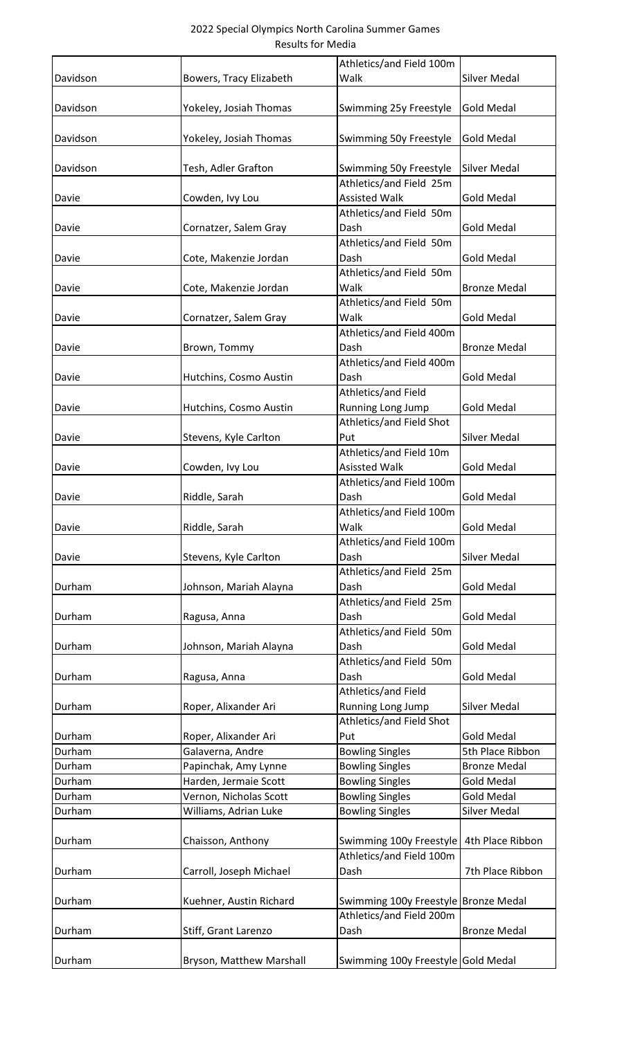|          |                          | Athletics/and Field 100m                                         |                     |
|----------|--------------------------|------------------------------------------------------------------|---------------------|
| Davidson | Bowers, Tracy Elizabeth  | Walk                                                             | Silver Medal        |
| Davidson | Yokeley, Josiah Thomas   | Swimming 25y Freestyle                                           | <b>Gold Medal</b>   |
| Davidson | Yokeley, Josiah Thomas   | Swimming 50y Freestyle                                           | Gold Medal          |
| Davidson | Tesh, Adler Grafton      | Swimming 50y Freestyle                                           | Silver Medal        |
| Davie    | Cowden, Ivy Lou          | Athletics/and Field 25m<br><b>Assisted Walk</b>                  | <b>Gold Medal</b>   |
| Davie    | Cornatzer, Salem Gray    | Athletics/and Field 50m<br>Dash                                  | <b>Gold Medal</b>   |
| Davie    | Cote, Makenzie Jordan    | Athletics/and Field 50m<br>Dash                                  | <b>Gold Medal</b>   |
| Davie    | Cote, Makenzie Jordan    | Athletics/and Field 50m<br>Walk                                  | <b>Bronze Medal</b> |
| Davie    | Cornatzer, Salem Gray    | Athletics/and Field 50m<br>Walk                                  | <b>Gold Medal</b>   |
| Davie    | Brown, Tommy             | Athletics/and Field 400m<br>Dash                                 | <b>Bronze Medal</b> |
| Davie    | Hutchins, Cosmo Austin   | Athletics/and Field 400m<br>Dash                                 | <b>Gold Medal</b>   |
| Davie    | Hutchins, Cosmo Austin   | Athletics/and Field<br>Running Long Jump                         | <b>Gold Medal</b>   |
| Davie    | Stevens, Kyle Carlton    | Athletics/and Field Shot<br>Put                                  | Silver Medal        |
| Davie    | Cowden, Ivy Lou          | Athletics/and Field 10m<br><b>Asissted Walk</b>                  | <b>Gold Medal</b>   |
| Davie    | Riddle, Sarah            | Athletics/and Field 100m<br>Dash                                 | <b>Gold Medal</b>   |
| Davie    | Riddle, Sarah            | Athletics/and Field 100m<br>Walk                                 | <b>Gold Medal</b>   |
| Davie    | Stevens, Kyle Carlton    | Athletics/and Field 100m<br>Dash                                 | <b>Silver Medal</b> |
| Durham   | Johnson, Mariah Alayna   | Athletics/and Field 25m<br>Dash                                  | <b>Gold Medal</b>   |
| Durham   | Ragusa, Anna             | Athletics/and Field 25m<br>Dash                                  | <b>Gold Medal</b>   |
| Durham   | Johnson, Mariah Alayna   | Athletics/and Field 50m<br>Dash                                  | <b>Gold Medal</b>   |
| Durham   | Ragusa, Anna             | Athletics/and Field 50m<br>Dash                                  | <b>Gold Medal</b>   |
| Durham   | Roper, Alixander Ari     | Athletics/and Field<br>Running Long Jump                         | <b>Silver Medal</b> |
| Durham   | Roper, Alixander Ari     | Athletics/and Field Shot<br>Put                                  | <b>Gold Medal</b>   |
| Durham   | Galaverna, Andre         | <b>Bowling Singles</b>                                           | 5th Place Ribbon    |
| Durham   | Papinchak, Amy Lynne     | <b>Bowling Singles</b>                                           | <b>Bronze Medal</b> |
| Durham   | Harden, Jermaie Scott    | <b>Bowling Singles</b>                                           | <b>Gold Medal</b>   |
| Durham   | Vernon, Nicholas Scott   | <b>Bowling Singles</b>                                           | <b>Gold Medal</b>   |
| Durham   | Williams, Adrian Luke    | <b>Bowling Singles</b>                                           | <b>Silver Medal</b> |
|          |                          |                                                                  |                     |
| Durham   | Chaisson, Anthony        | Swimming 100y Freestyle<br>Athletics/and Field 100m              | 4th Place Ribbon    |
| Durham   | Carroll, Joseph Michael  | Dash                                                             | 7th Place Ribbon    |
| Durham   | Kuehner, Austin Richard  | Swimming 100y Freestyle Bronze Medal<br>Athletics/and Field 200m |                     |
| Durham   | Stiff, Grant Larenzo     | Dash                                                             | <b>Bronze Medal</b> |
| Durham   | Bryson, Matthew Marshall | Swimming 100y Freestyle Gold Medal                               |                     |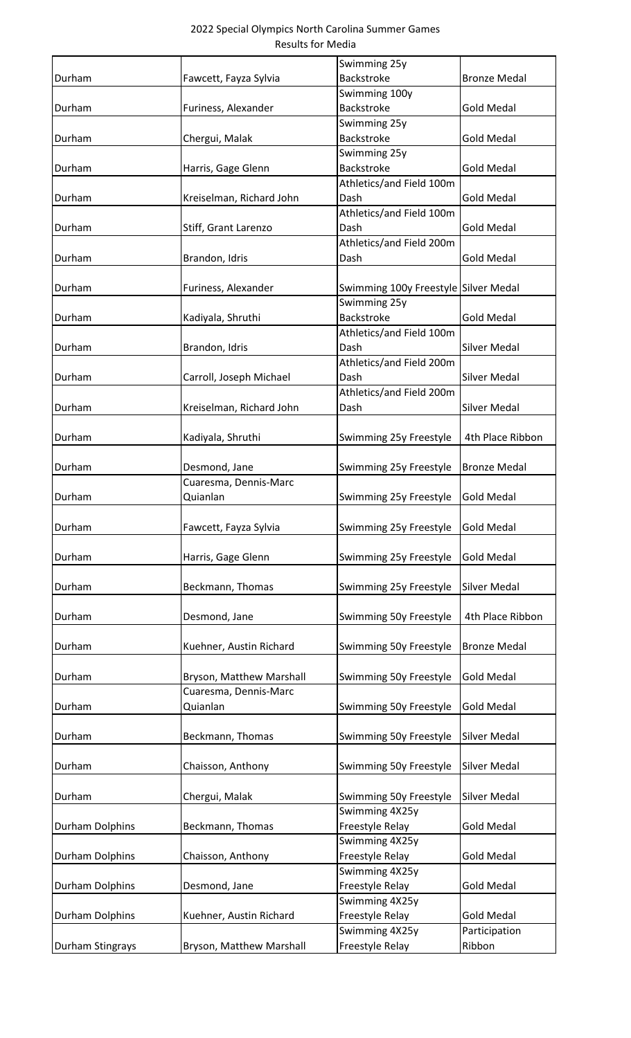|                         |                          | Swimming 25y                         |                     |
|-------------------------|--------------------------|--------------------------------------|---------------------|
| Durham                  | Fawcett, Fayza Sylvia    | Backstroke                           | <b>Bronze Medal</b> |
|                         |                          | Swimming 100y                        |                     |
| Durham                  | Furiness, Alexander      | <b>Backstroke</b>                    | <b>Gold Medal</b>   |
|                         |                          | Swimming 25y                         |                     |
| Durham                  | Chergui, Malak           | Backstroke                           | <b>Gold Medal</b>   |
|                         |                          | Swimming 25y<br><b>Backstroke</b>    |                     |
| Durham                  | Harris, Gage Glenn       | Athletics/and Field 100m             | <b>Gold Medal</b>   |
| Durham                  | Kreiselman, Richard John | Dash                                 | <b>Gold Medal</b>   |
|                         |                          | Athletics/and Field 100m             |                     |
| Durham                  | Stiff, Grant Larenzo     | Dash                                 | <b>Gold Medal</b>   |
|                         |                          | Athletics/and Field 200m             |                     |
| Durham                  | Brandon, Idris           | Dash                                 | <b>Gold Medal</b>   |
|                         |                          |                                      |                     |
| Durham                  | Furiness, Alexander      | Swimming 100y Freestyle Silver Medal |                     |
|                         |                          | Swimming 25y                         |                     |
| Durham                  | Kadiyala, Shruthi        | <b>Backstroke</b>                    | <b>Gold Medal</b>   |
|                         |                          | Athletics/and Field 100m             |                     |
| Durham                  | Brandon, Idris           | Dash                                 | <b>Silver Medal</b> |
|                         |                          | Athletics/and Field 200m             |                     |
| Durham                  | Carroll, Joseph Michael  | Dash                                 | Silver Medal        |
|                         |                          | Athletics/and Field 200m             |                     |
| Durham                  | Kreiselman, Richard John | Dash                                 | Silver Medal        |
|                         |                          |                                      |                     |
| Durham                  | Kadiyala, Shruthi        | Swimming 25y Freestyle               | 4th Place Ribbon    |
|                         |                          |                                      |                     |
| Durham                  | Desmond, Jane            | Swimming 25y Freestyle               | <b>Bronze Medal</b> |
|                         | Cuaresma, Dennis-Marc    |                                      |                     |
| Durham                  | Quianlan                 | Swimming 25y Freestyle               | <b>Gold Medal</b>   |
|                         |                          |                                      |                     |
| Durham                  | Fawcett, Fayza Sylvia    | Swimming 25y Freestyle               | <b>Gold Medal</b>   |
| Durham                  | Harris, Gage Glenn       |                                      | <b>Gold Medal</b>   |
|                         |                          | Swimming 25y Freestyle               |                     |
| Durham                  | Beckmann, Thomas         | Swimming 25y Freestyle               | <b>Silver Medal</b> |
|                         |                          |                                      |                     |
| Durham                  | Desmond, Jane            | Swimming 50y Freestyle               | 4th Place Ribbon    |
|                         |                          |                                      |                     |
| Durham                  | Kuehner, Austin Richard  | Swimming 50y Freestyle               | <b>Bronze Medal</b> |
|                         |                          |                                      |                     |
| Durham                  | Bryson, Matthew Marshall | Swimming 50y Freestyle               | <b>Gold Medal</b>   |
|                         | Cuaresma, Dennis-Marc    |                                      |                     |
| Durham                  | Quianlan                 | Swimming 50y Freestyle               | <b>Gold Medal</b>   |
|                         |                          |                                      |                     |
| Durham                  | Beckmann, Thomas         | Swimming 50y Freestyle               | <b>Silver Medal</b> |
|                         |                          |                                      |                     |
| Durham                  | Chaisson, Anthony        | Swimming 50y Freestyle               | <b>Silver Medal</b> |
|                         |                          |                                      |                     |
| Durham                  | Chergui, Malak           | Swimming 50y Freestyle               | <b>Silver Medal</b> |
|                         |                          | Swimming 4X25y                       |                     |
| <b>Durham Dolphins</b>  | Beckmann, Thomas         | Freestyle Relay                      | <b>Gold Medal</b>   |
|                         |                          | Swimming 4X25y                       |                     |
| <b>Durham Dolphins</b>  | Chaisson, Anthony        | Freestyle Relay                      | <b>Gold Medal</b>   |
|                         |                          | Swimming 4X25y                       |                     |
| <b>Durham Dolphins</b>  | Desmond, Jane            | Freestyle Relay                      | <b>Gold Medal</b>   |
|                         |                          | Swimming 4X25y                       |                     |
| Durham Dolphins         | Kuehner, Austin Richard  | Freestyle Relay<br>Swimming 4X25y    | <b>Gold Medal</b>   |
|                         |                          |                                      | Participation       |
| <b>Durham Stingrays</b> | Bryson, Matthew Marshall | Freestyle Relay                      | Ribbon              |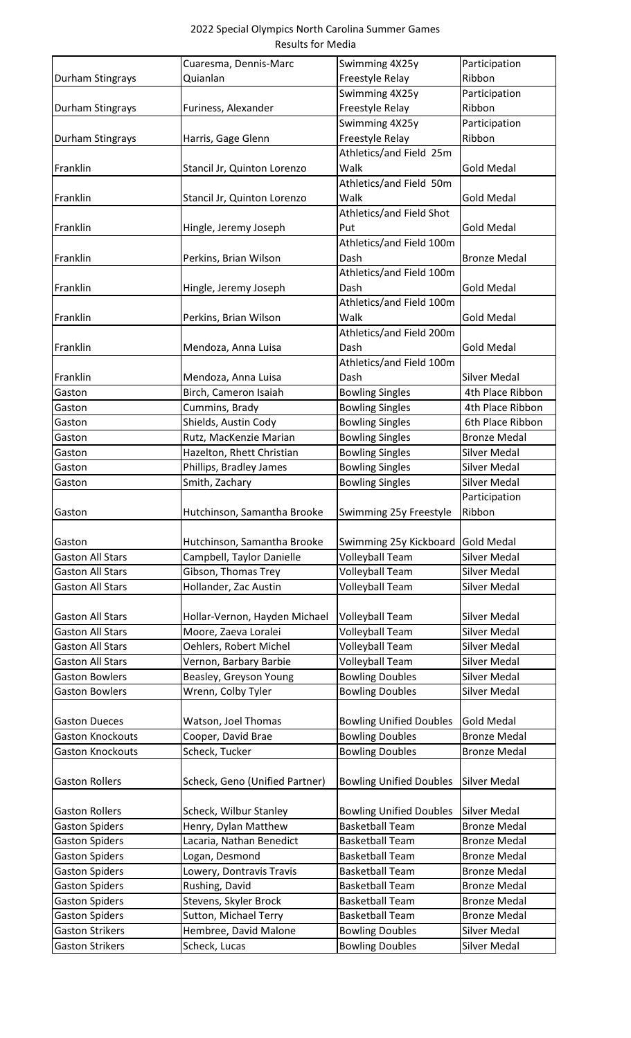|                         | Cuaresma, Dennis-Marc          | Swimming 4X25y                 | Participation       |
|-------------------------|--------------------------------|--------------------------------|---------------------|
| Durham Stingrays        | Quianlan                       | Freestyle Relay                | Ribbon              |
|                         |                                | Swimming 4X25y                 | Participation       |
| Durham Stingrays        | Furiness, Alexander            | Freestyle Relay                | Ribbon              |
|                         |                                | Swimming 4X25y                 | Participation       |
| Durham Stingrays        | Harris, Gage Glenn             | Freestyle Relay                | Ribbon              |
|                         |                                | Athletics/and Field 25m        |                     |
| Franklin                | Stancil Jr, Quinton Lorenzo    | Walk                           | <b>Gold Medal</b>   |
|                         |                                | Athletics/and Field 50m        |                     |
| Franklin                | Stancil Jr, Quinton Lorenzo    | Walk                           | <b>Gold Medal</b>   |
|                         |                                | Athletics/and Field Shot       |                     |
| Franklin                | Hingle, Jeremy Joseph          | Put                            | <b>Gold Medal</b>   |
|                         |                                | Athletics/and Field 100m       |                     |
| Franklin                | Perkins, Brian Wilson          | Dash                           | <b>Bronze Medal</b> |
|                         |                                | Athletics/and Field 100m       |                     |
| Franklin                | Hingle, Jeremy Joseph          | Dash                           | <b>Gold Medal</b>   |
|                         |                                | Athletics/and Field 100m       |                     |
| Franklin                | Perkins, Brian Wilson          | Walk                           | <b>Gold Medal</b>   |
|                         |                                | Athletics/and Field 200m       |                     |
| Franklin                | Mendoza, Anna Luisa            | Dash                           | <b>Gold Medal</b>   |
|                         |                                | Athletics/and Field 100m       |                     |
| Franklin                | Mendoza, Anna Luisa            | Dash                           | <b>Silver Medal</b> |
| Gaston                  | Birch, Cameron Isaiah          | <b>Bowling Singles</b>         | 4th Place Ribbon    |
| Gaston                  | Cummins, Brady                 | <b>Bowling Singles</b>         | 4th Place Ribbon    |
| Gaston                  | Shields, Austin Cody           | <b>Bowling Singles</b>         | 6th Place Ribbon    |
| Gaston                  | Rutz, MacKenzie Marian         | <b>Bowling Singles</b>         | <b>Bronze Medal</b> |
| Gaston                  | Hazelton, Rhett Christian      | <b>Bowling Singles</b>         | <b>Silver Medal</b> |
| Gaston                  | Phillips, Bradley James        | <b>Bowling Singles</b>         | <b>Silver Medal</b> |
| Gaston                  | Smith, Zachary                 | <b>Bowling Singles</b>         | <b>Silver Medal</b> |
|                         |                                |                                | Participation       |
| Gaston                  | Hutchinson, Samantha Brooke    | Swimming 25y Freestyle         | Ribbon              |
|                         |                                |                                |                     |
| Gaston                  | Hutchinson, Samantha Brooke    | Swimming 25y Kickboard         | <b>Gold Medal</b>   |
| <b>Gaston All Stars</b> | Campbell, Taylor Danielle      | Volleyball Team                | <b>Silver Medal</b> |
| <b>Gaston All Stars</b> | Gibson, Thomas Trey            | <b>Volleyball Team</b>         | <b>Silver Medal</b> |
| <b>Gaston All Stars</b> | Hollander, Zac Austin          | <b>Volleyball Team</b>         | <b>Silver Medal</b> |
|                         |                                |                                |                     |
| <b>Gaston All Stars</b> | Hollar-Vernon, Hayden Michael  | <b>Volleyball Team</b>         | <b>Silver Medal</b> |
| <b>Gaston All Stars</b> | Moore, Zaeva Loralei           | <b>Volleyball Team</b>         | <b>Silver Medal</b> |
| <b>Gaston All Stars</b> | Oehlers, Robert Michel         | <b>Volleyball Team</b>         | <b>Silver Medal</b> |
| <b>Gaston All Stars</b> | Vernon, Barbary Barbie         | Volleyball Team                | <b>Silver Medal</b> |
| <b>Gaston Bowlers</b>   | Beasley, Greyson Young         | <b>Bowling Doubles</b>         | <b>Silver Medal</b> |
| <b>Gaston Bowlers</b>   | Wrenn, Colby Tyler             | <b>Bowling Doubles</b>         | <b>Silver Medal</b> |
|                         |                                |                                |                     |
| <b>Gaston Dueces</b>    | Watson, Joel Thomas            | <b>Bowling Unified Doubles</b> | <b>Gold Medal</b>   |
| <b>Gaston Knockouts</b> | Cooper, David Brae             | <b>Bowling Doubles</b>         | <b>Bronze Medal</b> |
| <b>Gaston Knockouts</b> | Scheck, Tucker                 | <b>Bowling Doubles</b>         | <b>Bronze Medal</b> |
|                         |                                |                                |                     |
| <b>Gaston Rollers</b>   | Scheck, Geno (Unified Partner) | <b>Bowling Unified Doubles</b> | <b>Silver Medal</b> |
|                         |                                |                                |                     |
| <b>Gaston Rollers</b>   | Scheck, Wilbur Stanley         | <b>Bowling Unified Doubles</b> | <b>Silver Medal</b> |
| <b>Gaston Spiders</b>   | Henry, Dylan Matthew           | <b>Basketball Team</b>         | <b>Bronze Medal</b> |
| <b>Gaston Spiders</b>   | Lacaria, Nathan Benedict       | <b>Basketball Team</b>         | <b>Bronze Medal</b> |
| <b>Gaston Spiders</b>   | Logan, Desmond                 | <b>Basketball Team</b>         | <b>Bronze Medal</b> |
| <b>Gaston Spiders</b>   | Lowery, Dontravis Travis       | <b>Basketball Team</b>         | <b>Bronze Medal</b> |
| <b>Gaston Spiders</b>   | Rushing, David                 | <b>Basketball Team</b>         | <b>Bronze Medal</b> |
| <b>Gaston Spiders</b>   | Stevens, Skyler Brock          | <b>Basketball Team</b>         | <b>Bronze Medal</b> |
| <b>Gaston Spiders</b>   | Sutton, Michael Terry          | <b>Basketball Team</b>         | <b>Bronze Medal</b> |
| <b>Gaston Strikers</b>  | Hembree, David Malone          | <b>Bowling Doubles</b>         | <b>Silver Medal</b> |
| <b>Gaston Strikers</b>  | Scheck, Lucas                  | <b>Bowling Doubles</b>         | <b>Silver Medal</b> |
|                         |                                |                                |                     |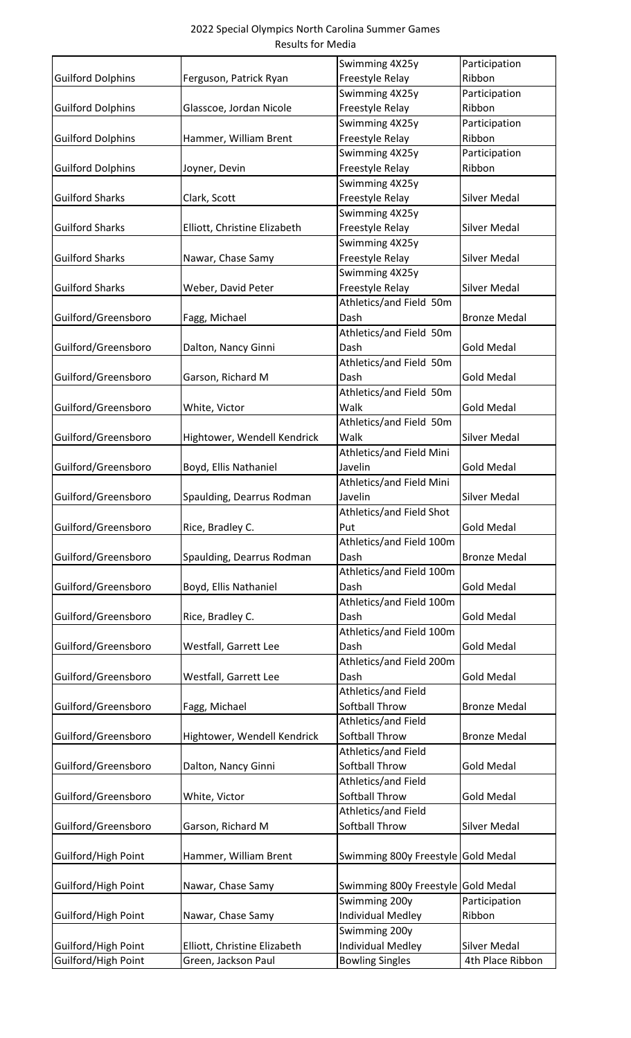| 2022 Special Olympics North Carolina Summer Games |
|---------------------------------------------------|
| Results for Media                                 |

|                          |                              | Swimming 4X25y                     | Participation       |
|--------------------------|------------------------------|------------------------------------|---------------------|
| <b>Guilford Dolphins</b> | Ferguson, Patrick Ryan       | Freestyle Relay                    | Ribbon              |
|                          |                              | Swimming 4X25y                     | Participation       |
| <b>Guilford Dolphins</b> | Glasscoe, Jordan Nicole      | Freestyle Relay                    | Ribbon              |
|                          |                              | Swimming 4X25y                     | Participation       |
| <b>Guilford Dolphins</b> | Hammer, William Brent        | Freestyle Relay                    | Ribbon              |
|                          |                              | Swimming 4X25y                     | Participation       |
| <b>Guilford Dolphins</b> | Joyner, Devin                | Freestyle Relay                    | Ribbon              |
|                          |                              | Swimming 4X25y                     |                     |
| <b>Guilford Sharks</b>   | Clark, Scott                 | Freestyle Relay                    | <b>Silver Medal</b> |
|                          |                              | Swimming 4X25y                     |                     |
| <b>Guilford Sharks</b>   | Elliott, Christine Elizabeth | Freestyle Relay                    | <b>Silver Medal</b> |
|                          |                              | Swimming 4X25y                     |                     |
| <b>Guilford Sharks</b>   | Nawar, Chase Samy            | Freestyle Relay                    | <b>Silver Medal</b> |
|                          |                              | Swimming 4X25y                     |                     |
| <b>Guilford Sharks</b>   | Weber, David Peter           | Freestyle Relay                    | <b>Silver Medal</b> |
|                          |                              | Athletics/and Field 50m            |                     |
| Guilford/Greensboro      | Fagg, Michael                | Dash                               | <b>Bronze Medal</b> |
|                          |                              | Athletics/and Field 50m            |                     |
| Guilford/Greensboro      | Dalton, Nancy Ginni          | Dash                               | <b>Gold Medal</b>   |
|                          |                              | Athletics/and Field 50m            |                     |
| Guilford/Greensboro      | Garson, Richard M            | Dash                               | <b>Gold Medal</b>   |
|                          |                              | Athletics/and Field 50m            |                     |
| Guilford/Greensboro      | White, Victor                | Walk                               | <b>Gold Medal</b>   |
|                          |                              | Athletics/and Field 50m            |                     |
| Guilford/Greensboro      | Hightower, Wendell Kendrick  | Walk                               | <b>Silver Medal</b> |
|                          |                              | Athletics/and Field Mini           |                     |
| Guilford/Greensboro      | Boyd, Ellis Nathaniel        | Javelin                            | <b>Gold Medal</b>   |
|                          |                              | Athletics/and Field Mini           |                     |
| Guilford/Greensboro      | Spaulding, Dearrus Rodman    | Javelin                            | <b>Silver Medal</b> |
|                          |                              | Athletics/and Field Shot           |                     |
| Guilford/Greensboro      | Rice, Bradley C.             | Put                                | <b>Gold Medal</b>   |
|                          |                              | Athletics/and Field 100m           |                     |
| Guilford/Greensboro      | Spaulding, Dearrus Rodman    | Dash                               | <b>Bronze Medal</b> |
|                          |                              | Athletics/and Field 100m           |                     |
| Guilford/Greensboro      | Boyd, Ellis Nathaniel        | Dash                               | <b>Gold Medal</b>   |
|                          |                              | Athletics/and Field 100m           |                     |
| Guilford/Greensboro      | Rice, Bradley C.             | Dash                               | <b>Gold Medal</b>   |
|                          |                              | Athletics/and Field 100m           |                     |
|                          |                              |                                    |                     |
| Guilford/Greensboro      | Westfall, Garrett Lee        | Dash                               | <b>Gold Medal</b>   |
|                          |                              | Athletics/and Field 200m           |                     |
| Guilford/Greensboro      | Westfall, Garrett Lee        | Dash                               | <b>Gold Medal</b>   |
|                          |                              | Athletics/and Field                |                     |
| Guilford/Greensboro      | Fagg, Michael                | Softball Throw                     | <b>Bronze Medal</b> |
|                          |                              | Athletics/and Field                |                     |
| Guilford/Greensboro      | Hightower, Wendell Kendrick  | Softball Throw                     | <b>Bronze Medal</b> |
|                          |                              | Athletics/and Field                |                     |
| Guilford/Greensboro      | Dalton, Nancy Ginni          | Softball Throw                     | <b>Gold Medal</b>   |
|                          |                              | Athletics/and Field                |                     |
| Guilford/Greensboro      | White, Victor                | Softball Throw                     | <b>Gold Medal</b>   |
|                          |                              | Athletics/and Field                |                     |
| Guilford/Greensboro      | Garson, Richard M            | Softball Throw                     | <b>Silver Medal</b> |
|                          |                              |                                    |                     |
| Guilford/High Point      | Hammer, William Brent        | Swimming 800y Freestyle Gold Medal |                     |
|                          |                              |                                    |                     |
| Guilford/High Point      | Nawar, Chase Samy            | Swimming 800y Freestyle Gold Medal |                     |
|                          |                              | Swimming 200y                      | Participation       |
| Guilford/High Point      | Nawar, Chase Samy            | <b>Individual Medley</b>           | Ribbon              |
|                          |                              | Swimming 200y                      |                     |
| Guilford/High Point      | Elliott, Christine Elizabeth | <b>Individual Medley</b>           | <b>Silver Medal</b> |
| Guilford/High Point      | Green, Jackson Paul          | <b>Bowling Singles</b>             | 4th Place Ribbon    |
|                          |                              |                                    |                     |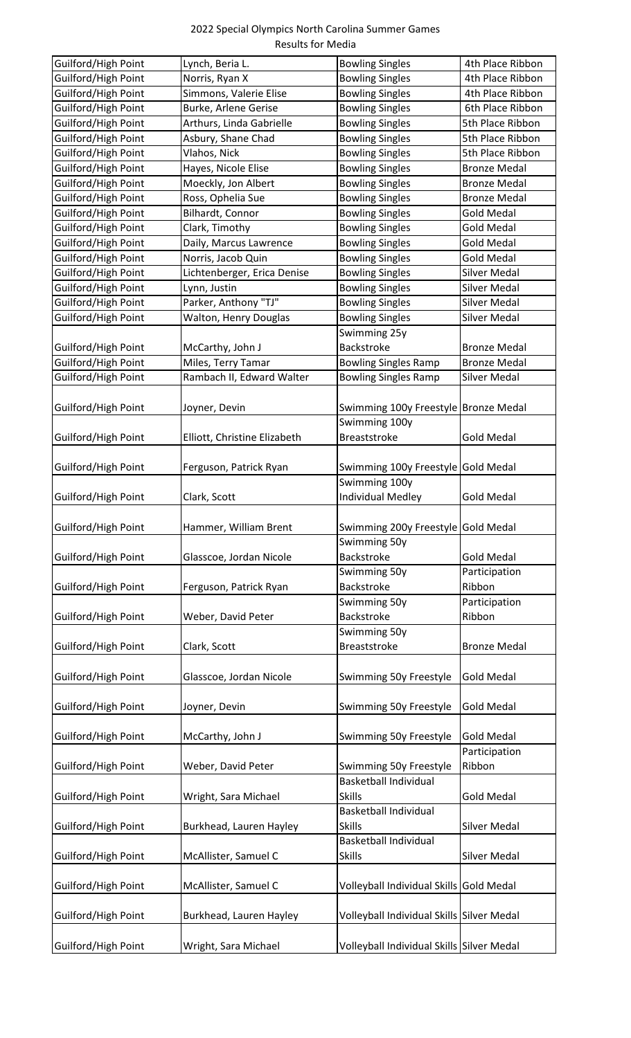| Guilford/High Point | Lynch, Beria L.              | <b>Bowling Singles</b>                    | 4th Place Ribbon    |
|---------------------|------------------------------|-------------------------------------------|---------------------|
| Guilford/High Point | Norris, Ryan X               | <b>Bowling Singles</b>                    | 4th Place Ribbon    |
| Guilford/High Point | Simmons, Valerie Elise       | <b>Bowling Singles</b>                    | 4th Place Ribbon    |
| Guilford/High Point | Burke, Arlene Gerise         | <b>Bowling Singles</b>                    | 6th Place Ribbon    |
| Guilford/High Point | Arthurs, Linda Gabrielle     | <b>Bowling Singles</b>                    | 5th Place Ribbon    |
| Guilford/High Point | Asbury, Shane Chad           | <b>Bowling Singles</b>                    | 5th Place Ribbon    |
| Guilford/High Point | Vlahos, Nick                 | <b>Bowling Singles</b>                    | 5th Place Ribbon    |
| Guilford/High Point | Hayes, Nicole Elise          | <b>Bowling Singles</b>                    | <b>Bronze Medal</b> |
| Guilford/High Point | Moeckly, Jon Albert          | <b>Bowling Singles</b>                    | <b>Bronze Medal</b> |
| Guilford/High Point | Ross, Ophelia Sue            | <b>Bowling Singles</b>                    | <b>Bronze Medal</b> |
| Guilford/High Point | Bilhardt, Connor             | <b>Bowling Singles</b>                    | <b>Gold Medal</b>   |
| Guilford/High Point | Clark, Timothy               | <b>Bowling Singles</b>                    | <b>Gold Medal</b>   |
| Guilford/High Point | Daily, Marcus Lawrence       | <b>Bowling Singles</b>                    | <b>Gold Medal</b>   |
| Guilford/High Point | Norris, Jacob Quin           | <b>Bowling Singles</b>                    | <b>Gold Medal</b>   |
| Guilford/High Point | Lichtenberger, Erica Denise  | <b>Bowling Singles</b>                    | Silver Medal        |
| Guilford/High Point | Lynn, Justin                 | <b>Bowling Singles</b>                    | <b>Silver Medal</b> |
| Guilford/High Point | Parker, Anthony "TJ"         | <b>Bowling Singles</b>                    | Silver Medal        |
| Guilford/High Point | Walton, Henry Douglas        | <b>Bowling Singles</b>                    | Silver Medal        |
|                     |                              | Swimming 25y                              |                     |
|                     |                              | Backstroke                                | <b>Bronze Medal</b> |
| Guilford/High Point | McCarthy, John J             |                                           |                     |
| Guilford/High Point | Miles, Terry Tamar           | <b>Bowling Singles Ramp</b>               | <b>Bronze Medal</b> |
| Guilford/High Point | Rambach II, Edward Walter    | <b>Bowling Singles Ramp</b>               | <b>Silver Medal</b> |
|                     |                              |                                           |                     |
| Guilford/High Point | Joyner, Devin                | Swimming 100y Freestyle Bronze Medal      |                     |
|                     |                              | Swimming 100y                             |                     |
| Guilford/High Point | Elliott, Christine Elizabeth | <b>Breaststroke</b>                       | <b>Gold Medal</b>   |
|                     |                              |                                           |                     |
| Guilford/High Point | Ferguson, Patrick Ryan       | Swimming 100y Freestyle Gold Medal        |                     |
|                     |                              | Swimming 100y                             |                     |
| Guilford/High Point | Clark, Scott                 | <b>Individual Medley</b>                  | <b>Gold Medal</b>   |
|                     |                              |                                           |                     |
| Guilford/High Point | Hammer, William Brent        | Swimming 200y Freestyle Gold Medal        |                     |
|                     |                              | Swimming 50y                              |                     |
| Guilford/High Point | Glasscoe, Jordan Nicole      | Backstroke                                | <b>Gold Medal</b>   |
|                     |                              | Swimming 50y                              | Participation       |
| Guilford/High Point | Ferguson, Patrick Ryan       | Backstroke                                | Ribbon              |
|                     |                              | Swimming 50y                              | Participation       |
| Guilford/High Point | Weber, David Peter           | Backstroke                                | Ribbon              |
|                     |                              | Swimming 50y                              |                     |
| Guilford/High Point | Clark, Scott                 | Breaststroke                              | <b>Bronze Medal</b> |
|                     |                              |                                           |                     |
| Guilford/High Point | Glasscoe, Jordan Nicole      | Swimming 50y Freestyle                    | <b>Gold Medal</b>   |
|                     |                              |                                           |                     |
| Guilford/High Point | Joyner, Devin                | Swimming 50y Freestyle                    | <b>Gold Medal</b>   |
|                     |                              |                                           |                     |
| Guilford/High Point | McCarthy, John J             | Swimming 50y Freestyle                    | <b>Gold Medal</b>   |
|                     |                              |                                           | Participation       |
| Guilford/High Point | Weber, David Peter           | Swimming 50y Freestyle                    | Ribbon              |
|                     |                              | <b>Basketball Individual</b>              |                     |
| Guilford/High Point | Wright, Sara Michael         | <b>Skills</b>                             | <b>Gold Medal</b>   |
|                     |                              | <b>Basketball Individual</b>              |                     |
| Guilford/High Point | Burkhead, Lauren Hayley      | <b>Skills</b>                             | Silver Medal        |
|                     |                              | <b>Basketball Individual</b>              |                     |
| Guilford/High Point | McAllister, Samuel C         | <b>Skills</b>                             | <b>Silver Medal</b> |
|                     |                              |                                           |                     |
| Guilford/High Point | McAllister, Samuel C         | Volleyball Individual Skills Gold Medal   |                     |
|                     |                              |                                           |                     |
| Guilford/High Point | Burkhead, Lauren Hayley      | Volleyball Individual Skills Silver Medal |                     |
|                     |                              |                                           |                     |
| Guilford/High Point | Wright, Sara Michael         | Volleyball Individual Skills Silver Medal |                     |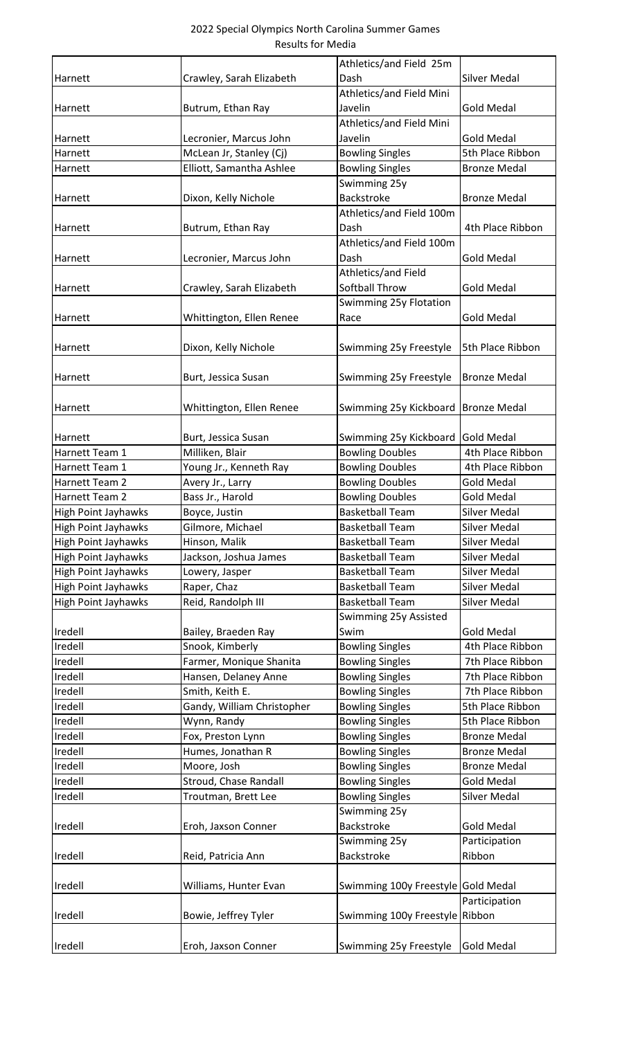|                            |                            | Athletics/and Field 25m            |                     |
|----------------------------|----------------------------|------------------------------------|---------------------|
| Harnett                    | Crawley, Sarah Elizabeth   | Dash                               | <b>Silver Medal</b> |
|                            |                            | Athletics/and Field Mini           |                     |
| Harnett                    | Butrum, Ethan Ray          | Javelin                            | <b>Gold Medal</b>   |
|                            |                            | Athletics/and Field Mini           |                     |
| Harnett                    | Lecronier, Marcus John     | Javelin                            | <b>Gold Medal</b>   |
| Harnett                    | McLean Jr, Stanley (Cj)    | <b>Bowling Singles</b>             | 5th Place Ribbon    |
| Harnett                    | Elliott, Samantha Ashlee   | <b>Bowling Singles</b>             | <b>Bronze Medal</b> |
|                            |                            | Swimming 25y                       |                     |
| Harnett                    | Dixon, Kelly Nichole       | Backstroke                         | <b>Bronze Medal</b> |
|                            |                            | Athletics/and Field 100m           |                     |
| Harnett                    |                            | Dash                               | 4th Place Ribbon    |
|                            | Butrum, Ethan Ray          |                                    |                     |
|                            |                            | Athletics/and Field 100m<br>Dash   |                     |
| Harnett                    | Lecronier, Marcus John     |                                    | <b>Gold Medal</b>   |
|                            |                            | Athletics/and Field                |                     |
| Harnett                    | Crawley, Sarah Elizabeth   | Softball Throw                     | <b>Gold Medal</b>   |
|                            |                            | Swimming 25y Flotation             |                     |
| Harnett                    | Whittington, Ellen Renee   | Race                               | <b>Gold Medal</b>   |
|                            |                            |                                    |                     |
| Harnett                    | Dixon, Kelly Nichole       | Swimming 25y Freestyle             | 5th Place Ribbon    |
|                            |                            |                                    |                     |
| Harnett                    | Burt, Jessica Susan        | Swimming 25y Freestyle             | <b>Bronze Medal</b> |
|                            |                            |                                    |                     |
| Harnett                    | Whittington, Ellen Renee   | Swimming 25y Kickboard             | <b>Bronze Medal</b> |
|                            |                            |                                    |                     |
| Harnett                    | Burt, Jessica Susan        | Swimming 25y Kickboard             | <b>Gold Medal</b>   |
| Harnett Team 1             | Milliken, Blair            | <b>Bowling Doubles</b>             | 4th Place Ribbon    |
| Harnett Team 1             | Young Jr., Kenneth Ray     | <b>Bowling Doubles</b>             | 4th Place Ribbon    |
| Harnett Team 2             | Avery Jr., Larry           | <b>Bowling Doubles</b>             | <b>Gold Medal</b>   |
| Harnett Team 2             | Bass Jr., Harold           | <b>Bowling Doubles</b>             | <b>Gold Medal</b>   |
| <b>High Point Jayhawks</b> | Boyce, Justin              | <b>Basketball Team</b>             | <b>Silver Medal</b> |
| <b>High Point Jayhawks</b> | Gilmore, Michael           | <b>Basketball Team</b>             | <b>Silver Medal</b> |
| <b>High Point Jayhawks</b> | Hinson, Malik              | <b>Basketball Team</b>             | <b>Silver Medal</b> |
| <b>High Point Jayhawks</b> | Jackson, Joshua James      | <b>Basketball Team</b>             | <b>Silver Medal</b> |
| <b>High Point Jayhawks</b> | Lowery, Jasper             | <b>Basketball Team</b>             | <b>Silver Medal</b> |
| <b>High Point Jayhawks</b> | Raper, Chaz                | <b>Basketball Team</b>             | <b>Silver Medal</b> |
| <b>High Point Jayhawks</b> | Reid, Randolph III         | <b>Basketball Team</b>             | Silver Medal        |
|                            |                            | Swimming 25y Assisted              |                     |
| Iredell                    | Bailey, Braeden Ray        | Swim                               | <b>Gold Medal</b>   |
| Iredell                    | Snook, Kimberly            | <b>Bowling Singles</b>             | 4th Place Ribbon    |
| Iredell                    | Farmer, Monique Shanita    | <b>Bowling Singles</b>             | 7th Place Ribbon    |
| Iredell                    | Hansen, Delaney Anne       | <b>Bowling Singles</b>             | 7th Place Ribbon    |
| Iredell                    | Smith, Keith E.            | <b>Bowling Singles</b>             | 7th Place Ribbon    |
| Iredell                    | Gandy, William Christopher | <b>Bowling Singles</b>             | 5th Place Ribbon    |
| Iredell                    | Wynn, Randy                | <b>Bowling Singles</b>             | 5th Place Ribbon    |
| Iredell                    |                            |                                    | <b>Bronze Medal</b> |
| Iredell                    | Fox, Preston Lynn          | <b>Bowling Singles</b>             |                     |
|                            | Humes, Jonathan R          | <b>Bowling Singles</b>             | <b>Bronze Medal</b> |
| Iredell                    | Moore, Josh                | <b>Bowling Singles</b>             | <b>Bronze Medal</b> |
| Iredell                    | Stroud, Chase Randall      | <b>Bowling Singles</b>             | <b>Gold Medal</b>   |
| Iredell                    | Troutman, Brett Lee        | <b>Bowling Singles</b>             | <b>Silver Medal</b> |
|                            |                            | Swimming 25y                       |                     |
| Iredell                    | Eroh, Jaxson Conner        | Backstroke                         | <b>Gold Medal</b>   |
|                            |                            | Swimming 25y                       | Participation       |
| Iredell                    | Reid, Patricia Ann         | Backstroke                         | Ribbon              |
|                            |                            |                                    |                     |
| Iredell                    | Williams, Hunter Evan      | Swimming 100y Freestyle Gold Medal |                     |
|                            |                            |                                    | Participation       |
| Iredell                    | Bowie, Jeffrey Tyler       | Swimming 100y Freestyle Ribbon     |                     |
|                            |                            |                                    |                     |
| Iredell                    | Eroh, Jaxson Conner        | Swimming 25y Freestyle             | <b>Gold Medal</b>   |
|                            |                            |                                    |                     |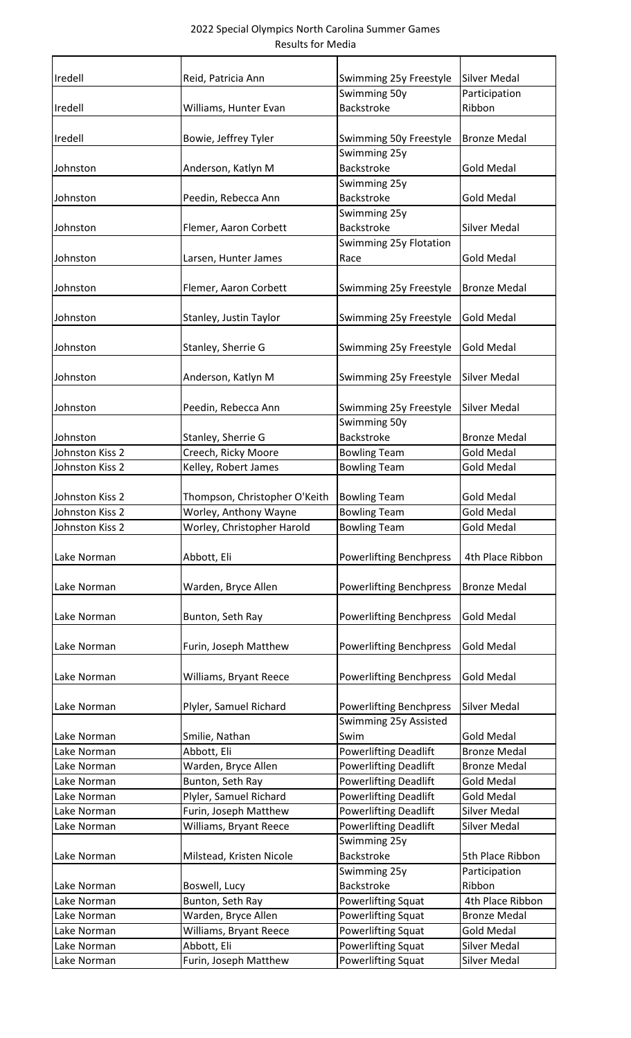| Iredell         | Reid, Patricia Ann            | Swimming 25y Freestyle         | <b>Silver Medal</b> |
|-----------------|-------------------------------|--------------------------------|---------------------|
|                 |                               | Swimming 50y                   | Participation       |
| Iredell         | Williams, Hunter Evan         | Backstroke                     | Ribbon              |
|                 |                               |                                |                     |
| Iredell         | Bowie, Jeffrey Tyler          | Swimming 50y Freestyle         | <b>Bronze Medal</b> |
| Johnston        |                               | Swimming 25y<br>Backstroke     | <b>Gold Medal</b>   |
|                 | Anderson, Katlyn M            | Swimming 25y                   |                     |
| Johnston        | Peedin, Rebecca Ann           | Backstroke                     | <b>Gold Medal</b>   |
|                 |                               | Swimming 25y                   |                     |
| Johnston        | Flemer, Aaron Corbett         | Backstroke                     | <b>Silver Medal</b> |
|                 |                               | Swimming 25y Flotation         |                     |
| Johnston        | Larsen, Hunter James          | Race                           | <b>Gold Medal</b>   |
|                 |                               |                                |                     |
| Johnston        | Flemer, Aaron Corbett         | Swimming 25y Freestyle         | <b>Bronze Medal</b> |
|                 |                               |                                |                     |
| Johnston        | Stanley, Justin Taylor        | Swimming 25y Freestyle         | <b>Gold Medal</b>   |
|                 |                               |                                |                     |
| Johnston        | Stanley, Sherrie G            | Swimming 25y Freestyle         | <b>Gold Medal</b>   |
| Johnston        | Anderson, Katlyn M            | Swimming 25y Freestyle         | <b>Silver Medal</b> |
|                 |                               |                                |                     |
| Johnston        | Peedin, Rebecca Ann           | Swimming 25y Freestyle         | <b>Silver Medal</b> |
|                 |                               | Swimming 50y                   |                     |
| Johnston        | Stanley, Sherrie G            | <b>Backstroke</b>              | <b>Bronze Medal</b> |
| Johnston Kiss 2 | Creech, Ricky Moore           | <b>Bowling Team</b>            | <b>Gold Medal</b>   |
| Johnston Kiss 2 | Kelley, Robert James          | <b>Bowling Team</b>            | <b>Gold Medal</b>   |
|                 |                               |                                |                     |
| Johnston Kiss 2 | Thompson, Christopher O'Keith | <b>Bowling Team</b>            | <b>Gold Medal</b>   |
| Johnston Kiss 2 | Worley, Anthony Wayne         | <b>Bowling Team</b>            | <b>Gold Medal</b>   |
| Johnston Kiss 2 | Worley, Christopher Harold    | <b>Bowling Team</b>            | <b>Gold Medal</b>   |
|                 |                               |                                |                     |
| Lake Norman     | Abbott, Eli                   | <b>Powerlifting Benchpress</b> | 4th Place Ribbon    |
|                 |                               |                                |                     |
| Lake Norman     | Warden, Bryce Allen           | <b>Powerlifting Benchpress</b> | <b>Bronze Medal</b> |
|                 |                               |                                |                     |
| Lake Norman     | Bunton, Seth Ray              | <b>Powerlifting Benchpress</b> | <b>Gold Medal</b>   |
| Lake Norman     | Furin, Joseph Matthew         | <b>Powerlifting Benchpress</b> | <b>Gold Medal</b>   |
|                 |                               |                                |                     |
| Lake Norman     | Williams, Bryant Reece        | <b>Powerlifting Benchpress</b> | <b>Gold Medal</b>   |
|                 |                               |                                |                     |
| Lake Norman     | Plyler, Samuel Richard        | <b>Powerlifting Benchpress</b> | <b>Silver Medal</b> |
|                 |                               | Swimming 25y Assisted          |                     |
| Lake Norman     | Smilie, Nathan                | Swim                           | <b>Gold Medal</b>   |
| Lake Norman     | Abbott, Eli                   | <b>Powerlifting Deadlift</b>   | <b>Bronze Medal</b> |
| Lake Norman     | Warden, Bryce Allen           | <b>Powerlifting Deadlift</b>   | <b>Bronze Medal</b> |
| Lake Norman     | Bunton, Seth Ray              | <b>Powerlifting Deadlift</b>   | <b>Gold Medal</b>   |
| Lake Norman     | Plyler, Samuel Richard        | <b>Powerlifting Deadlift</b>   | <b>Gold Medal</b>   |
| Lake Norman     | Furin, Joseph Matthew         | <b>Powerlifting Deadlift</b>   | <b>Silver Medal</b> |
| Lake Norman     | Williams, Bryant Reece        | <b>Powerlifting Deadlift</b>   | <b>Silver Medal</b> |
|                 |                               | Swimming 25y                   |                     |
| Lake Norman     | Milstead, Kristen Nicole      | Backstroke                     | 5th Place Ribbon    |
|                 |                               | Swimming 25y                   | Participation       |
| Lake Norman     | Boswell, Lucy                 | Backstroke                     | Ribbon              |
| Lake Norman     | Bunton, Seth Ray              | <b>Powerlifting Squat</b>      | 4th Place Ribbon    |
| Lake Norman     | Warden, Bryce Allen           | <b>Powerlifting Squat</b>      | <b>Bronze Medal</b> |
| Lake Norman     | Williams, Bryant Reece        | <b>Powerlifting Squat</b>      | <b>Gold Medal</b>   |
| Lake Norman     | Abbott, Eli                   | <b>Powerlifting Squat</b>      | <b>Silver Medal</b> |
| Lake Norman     | Furin, Joseph Matthew         | <b>Powerlifting Squat</b>      | <b>Silver Medal</b> |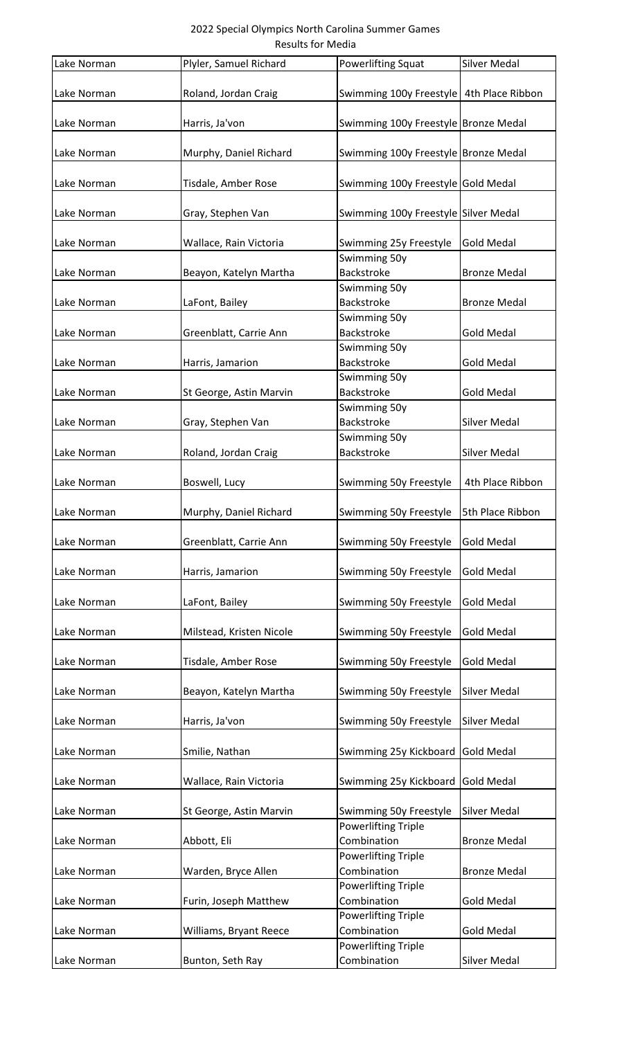| Lake Norman | Plyler, Samuel Richard   | <b>Powerlifting Squat</b>                  | <b>Silver Medal</b> |
|-------------|--------------------------|--------------------------------------------|---------------------|
|             |                          |                                            |                     |
| Lake Norman | Roland, Jordan Craig     | Swimming 100y Freestyle   4th Place Ribbon |                     |
| Lake Norman | Harris, Ja'von           | Swimming 100y Freestyle Bronze Medal       |                     |
|             |                          |                                            |                     |
| Lake Norman | Murphy, Daniel Richard   | Swimming 100y Freestyle Bronze Medal       |                     |
|             |                          |                                            |                     |
| Lake Norman | Tisdale, Amber Rose      | Swimming 100y Freestyle Gold Medal         |                     |
| Lake Norman |                          |                                            |                     |
|             | Gray, Stephen Van        | Swimming 100y Freestyle Silver Medal       |                     |
| Lake Norman | Wallace, Rain Victoria   | Swimming 25y Freestyle                     | <b>Gold Medal</b>   |
|             |                          | Swimming 50y                               |                     |
| Lake Norman | Beayon, Katelyn Martha   | Backstroke                                 | <b>Bronze Medal</b> |
|             |                          | Swimming 50y                               |                     |
| Lake Norman | LaFont, Bailey           | Backstroke<br>Swimming 50y                 | <b>Bronze Medal</b> |
| Lake Norman | Greenblatt, Carrie Ann   | Backstroke                                 | <b>Gold Medal</b>   |
|             |                          | Swimming 50y                               |                     |
| Lake Norman | Harris, Jamarion         | Backstroke                                 | <b>Gold Medal</b>   |
|             |                          | Swimming 50y                               |                     |
| Lake Norman | St George, Astin Marvin  | Backstroke                                 | <b>Gold Medal</b>   |
| Lake Norman | Gray, Stephen Van        | Swimming 50y<br>Backstroke                 | <b>Silver Medal</b> |
|             |                          | Swimming 50y                               |                     |
| Lake Norman | Roland, Jordan Craig     | Backstroke                                 | <b>Silver Medal</b> |
|             |                          |                                            |                     |
| Lake Norman | Boswell, Lucy            | Swimming 50y Freestyle                     | 4th Place Ribbon    |
|             |                          |                                            |                     |
| Lake Norman | Murphy, Daniel Richard   | Swimming 50y Freestyle                     | 5th Place Ribbon    |
| Lake Norman | Greenblatt, Carrie Ann   | Swimming 50y Freestyle                     | <b>Gold Medal</b>   |
|             |                          |                                            |                     |
| Lake Norman | Harris, Jamarion         | Swimming 50y Freestyle                     | <b>Gold Medal</b>   |
|             |                          |                                            |                     |
| Lake Norman | LaFont, Bailey           | Swimming 50y Freestyle                     | <b>Gold Medal</b>   |
| Lake Norman | Milstead, Kristen Nicole | Swimming 50y Freestyle                     | <b>Gold Medal</b>   |
|             |                          |                                            |                     |
| Lake Norman | Tisdale, Amber Rose      | Swimming 50y Freestyle                     | <b>Gold Medal</b>   |
|             |                          |                                            |                     |
| Lake Norman | Beayon, Katelyn Martha   | Swimming 50y Freestyle                     | <b>Silver Medal</b> |
| Lake Norman | Harris, Ja'von           | Swimming 50y Freestyle                     | <b>Silver Medal</b> |
|             |                          |                                            |                     |
| Lake Norman | Smilie, Nathan           | Swimming 25y Kickboard                     | <b>Gold Medal</b>   |
|             |                          |                                            |                     |
| Lake Norman | Wallace, Rain Victoria   | Swimming 25y Kickboard                     | <b>Gold Medal</b>   |
| Lake Norman | St George, Astin Marvin  | Swimming 50y Freestyle                     | <b>Silver Medal</b> |
|             |                          | <b>Powerlifting Triple</b>                 |                     |
| Lake Norman | Abbott, Eli              | Combination                                | <b>Bronze Medal</b> |
|             |                          | <b>Powerlifting Triple</b>                 |                     |
| Lake Norman | Warden, Bryce Allen      | Combination                                | <b>Bronze Medal</b> |
| Lake Norman | Furin, Joseph Matthew    | <b>Powerlifting Triple</b><br>Combination  | <b>Gold Medal</b>   |
|             |                          | <b>Powerlifting Triple</b>                 |                     |
| Lake Norman | Williams, Bryant Reece   | Combination                                | <b>Gold Medal</b>   |
|             |                          | <b>Powerlifting Triple</b>                 |                     |
| Lake Norman | Bunton, Seth Ray         | Combination                                | <b>Silver Medal</b> |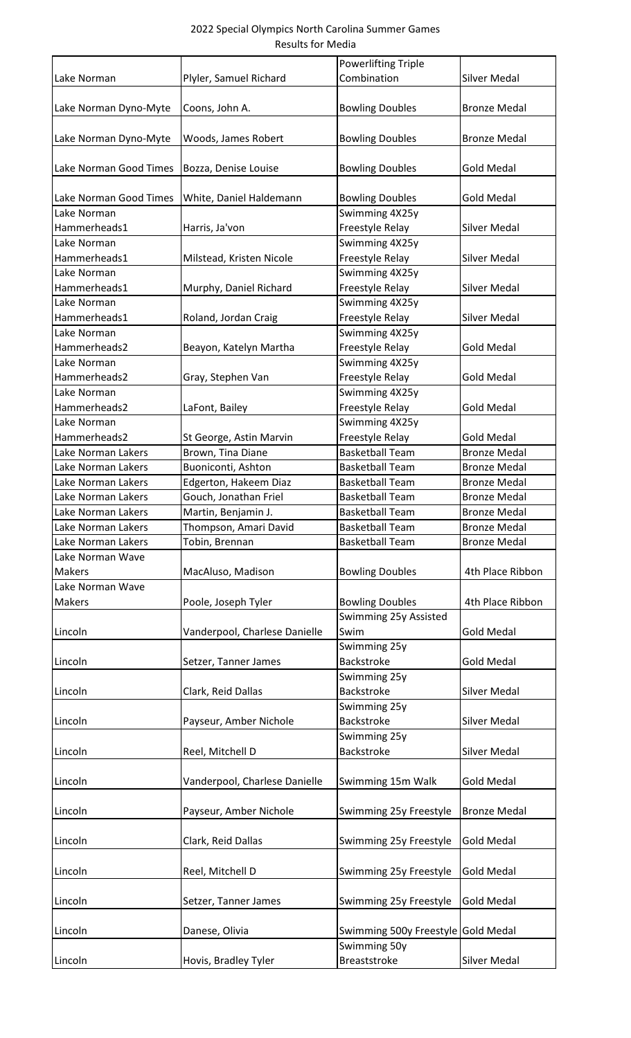|                        |                               | <b>Powerlifting Triple</b>              |                     |
|------------------------|-------------------------------|-----------------------------------------|---------------------|
| Lake Norman            | Plyler, Samuel Richard        | Combination                             | Silver Medal        |
| Lake Norman Dyno-Myte  | Coons, John A.                | <b>Bowling Doubles</b>                  | <b>Bronze Medal</b> |
| Lake Norman Dyno-Myte  | Woods, James Robert           | <b>Bowling Doubles</b>                  | <b>Bronze Medal</b> |
| Lake Norman Good Times | Bozza, Denise Louise          | <b>Bowling Doubles</b>                  | <b>Gold Medal</b>   |
| Lake Norman Good Times | White, Daniel Haldemann       | <b>Bowling Doubles</b>                  | <b>Gold Medal</b>   |
| Lake Norman            |                               | Swimming 4X25y                          |                     |
| Hammerheads1           | Harris, Ja'von                | Freestyle Relay                         | <b>Silver Medal</b> |
| Lake Norman            |                               | Swimming 4X25y                          |                     |
| Hammerheads1           | Milstead, Kristen Nicole      | Freestyle Relay                         | Silver Medal        |
| Lake Norman            |                               | Swimming 4X25y                          |                     |
| Hammerheads1           | Murphy, Daniel Richard        | Freestyle Relay                         | <b>Silver Medal</b> |
| Lake Norman            |                               | Swimming 4X25y                          |                     |
| Hammerheads1           | Roland, Jordan Craig          | Freestyle Relay                         | <b>Silver Medal</b> |
| Lake Norman            |                               | Swimming 4X25y                          |                     |
| Hammerheads2           | Beayon, Katelyn Martha        | Freestyle Relay                         | <b>Gold Medal</b>   |
| Lake Norman            |                               | Swimming 4X25y                          |                     |
| Hammerheads2           | Gray, Stephen Van             | Freestyle Relay                         | <b>Gold Medal</b>   |
| Lake Norman            |                               | Swimming 4X25y                          |                     |
| Hammerheads2           | LaFont, Bailey                | Freestyle Relay                         | <b>Gold Medal</b>   |
| Lake Norman            |                               | Swimming 4X25y                          |                     |
| Hammerheads2           | St George, Astin Marvin       | Freestyle Relay                         | <b>Gold Medal</b>   |
| Lake Norman Lakers     | Brown, Tina Diane             | <b>Basketball Team</b>                  | <b>Bronze Medal</b> |
| Lake Norman Lakers     | Buoniconti, Ashton            | <b>Basketball Team</b>                  | <b>Bronze Medal</b> |
| Lake Norman Lakers     | Edgerton, Hakeem Diaz         | <b>Basketball Team</b>                  | <b>Bronze Medal</b> |
| Lake Norman Lakers     | Gouch, Jonathan Friel         | <b>Basketball Team</b>                  | <b>Bronze Medal</b> |
| Lake Norman Lakers     | Martin, Benjamin J.           | <b>Basketball Team</b>                  | <b>Bronze Medal</b> |
| Lake Norman Lakers     | Thompson, Amari David         | <b>Basketball Team</b>                  | <b>Bronze Medal</b> |
| Lake Norman Lakers     | Tobin, Brennan                | <b>Basketball Team</b>                  | <b>Bronze Medal</b> |
| Lake Norman Wave       |                               |                                         |                     |
| <b>Makers</b>          | MacAluso, Madison             | <b>Bowling Doubles</b>                  | 4th Place Ribbon    |
| Lake Norman Wave       |                               |                                         |                     |
| <b>Makers</b>          | Poole, Joseph Tyler           | <b>Bowling Doubles</b>                  | 4th Place Ribbon    |
| Lincoln                | Vanderpool, Charlese Danielle | Swimming 25y Assisted<br>Swim           | <b>Gold Medal</b>   |
|                        |                               | Swimming 25y                            |                     |
| Lincoln                | Setzer, Tanner James          | Backstroke                              | <b>Gold Medal</b>   |
|                        |                               | Swimming 25y                            |                     |
| Lincoln                | Clark, Reid Dallas            | Backstroke                              | <b>Silver Medal</b> |
|                        |                               | Swimming 25y                            |                     |
| Lincoln                | Payseur, Amber Nichole        | Backstroke                              | Silver Medal        |
|                        |                               | Swimming 25y                            |                     |
| Lincoln                | Reel, Mitchell D              | Backstroke                              | <b>Silver Medal</b> |
| Lincoln                | Vanderpool, Charlese Danielle | Swimming 15m Walk                       | <b>Gold Medal</b>   |
| Lincoln                | Payseur, Amber Nichole        | Swimming 25y Freestyle                  | <b>Bronze Medal</b> |
|                        |                               |                                         |                     |
| Lincoln                | Clark, Reid Dallas            | Swimming 25y Freestyle                  | <b>Gold Medal</b>   |
| Lincoln                | Reel, Mitchell D              | Swimming 25y Freestyle                  | <b>Gold Medal</b>   |
| Lincoln                | Setzer, Tanner James          | Swimming 25y Freestyle                  | <b>Gold Medal</b>   |
| Lincoln                |                               |                                         | <b>Gold Medal</b>   |
|                        | Danese, Olivia                | Swimming 500y Freestyle<br>Swimming 50y |                     |
| Lincoln                | Hovis, Bradley Tyler          | Breaststroke                            | <b>Silver Medal</b> |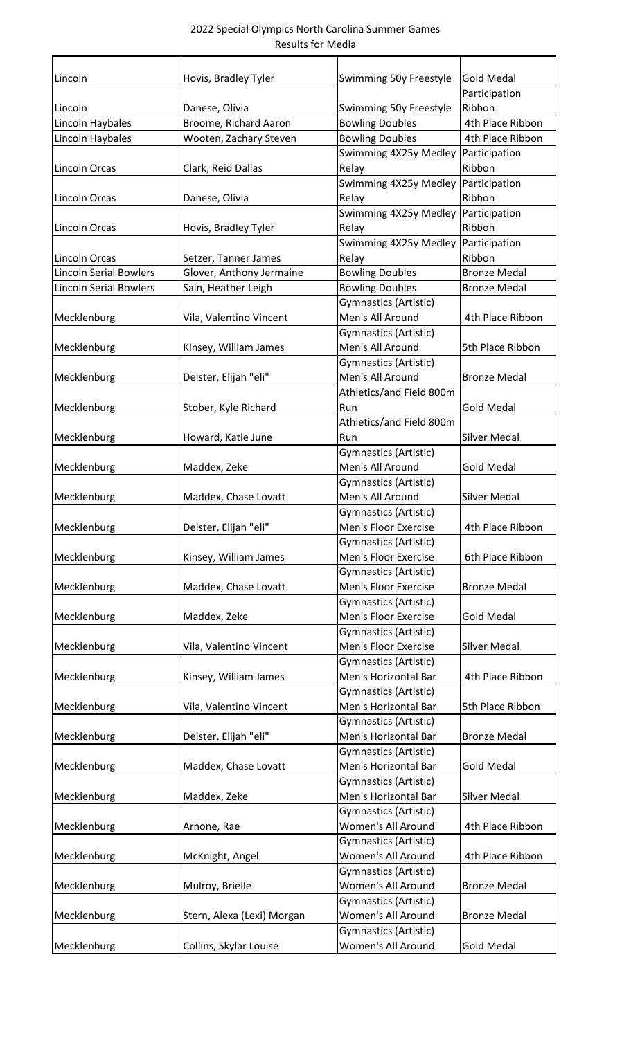| Lincoln                       | Hovis, Bradley Tyler       | Swimming 50y Freestyle                    | <b>Gold Medal</b>   |
|-------------------------------|----------------------------|-------------------------------------------|---------------------|
|                               |                            |                                           | Participation       |
| Lincoln                       | Danese, Olivia             | Swimming 50y Freestyle                    | Ribbon              |
| Lincoln Haybales              | Broome, Richard Aaron      | <b>Bowling Doubles</b>                    | 4th Place Ribbon    |
| Lincoln Haybales              | Wooten, Zachary Steven     | <b>Bowling Doubles</b>                    | 4th Place Ribbon    |
|                               |                            | Swimming 4X25y Medley                     | Participation       |
| Lincoln Orcas                 | Clark, Reid Dallas         | Relay                                     | Ribbon              |
|                               |                            | Swimming 4X25y Medley                     | Participation       |
| Lincoln Orcas                 | Danese, Olivia             | Relay                                     | Ribbon              |
|                               |                            | Swimming 4X25y Medley                     | Participation       |
| Lincoln Orcas                 | Hovis, Bradley Tyler       | Relay                                     | Ribbon              |
|                               |                            | Swimming 4X25y Medley                     | Participation       |
| Lincoln Orcas                 | Setzer, Tanner James       | Relay                                     | Ribbon              |
| <b>Lincoln Serial Bowlers</b> | Glover, Anthony Jermaine   | <b>Bowling Doubles</b>                    | <b>Bronze Medal</b> |
| <b>Lincoln Serial Bowlers</b> | Sain, Heather Leigh        | <b>Bowling Doubles</b>                    | <b>Bronze Medal</b> |
|                               |                            | <b>Gymnastics (Artistic)</b>              |                     |
| Mecklenburg                   | Vila, Valentino Vincent    | Men's All Around                          | 4th Place Ribbon    |
|                               |                            | Gymnastics (Artistic)                     |                     |
| Mecklenburg                   | Kinsey, William James      | Men's All Around                          | 5th Place Ribbon    |
|                               |                            | Gymnastics (Artistic)                     |                     |
| Mecklenburg                   | Deister, Elijah "eli"      | Men's All Around                          | <b>Bronze Medal</b> |
|                               |                            | Athletics/and Field 800m                  |                     |
| Mecklenburg                   | Stober, Kyle Richard       | Run                                       | <b>Gold Medal</b>   |
|                               |                            | Athletics/and Field 800m                  |                     |
| Mecklenburg                   | Howard, Katie June         | Run                                       | <b>Silver Medal</b> |
|                               |                            | Gymnastics (Artistic)<br>Men's All Around | <b>Gold Medal</b>   |
| Mecklenburg                   | Maddex, Zeke               | <b>Gymnastics (Artistic)</b>              |                     |
| Mecklenburg                   | Maddex, Chase Lovatt       | Men's All Around                          | <b>Silver Medal</b> |
|                               |                            | Gymnastics (Artistic)                     |                     |
| Mecklenburg                   | Deister, Elijah "eli"      | Men's Floor Exercise                      | 4th Place Ribbon    |
|                               |                            | Gymnastics (Artistic)                     |                     |
| Mecklenburg                   | Kinsey, William James      | Men's Floor Exercise                      | 6th Place Ribbon    |
|                               |                            | Gymnastics (Artistic)                     |                     |
| Mecklenburg                   | Maddex, Chase Lovatt       | Men's Floor Exercise                      | <b>Bronze Medal</b> |
|                               |                            | Gymnastics (Artistic)                     |                     |
| Mecklenburg                   | Maddex, Zeke               | Men's Floor Exercise                      | <b>Gold Medal</b>   |
|                               |                            | Gymnastics (Artistic)                     |                     |
| Mecklenburg                   | Vila, Valentino Vincent    | Men's Floor Exercise                      | <b>Silver Medal</b> |
|                               |                            | Gymnastics (Artistic)                     |                     |
| Mecklenburg                   | Kinsey, William James      | Men's Horizontal Bar                      | 4th Place Ribbon    |
|                               |                            | Gymnastics (Artistic)                     |                     |
| Mecklenburg                   | Vila, Valentino Vincent    | Men's Horizontal Bar                      | 5th Place Ribbon    |
|                               |                            | Gymnastics (Artistic)                     |                     |
| Mecklenburg                   | Deister, Elijah "eli"      | Men's Horizontal Bar                      | <b>Bronze Medal</b> |
|                               |                            | Gymnastics (Artistic)                     |                     |
| Mecklenburg                   | Maddex, Chase Lovatt       | Men's Horizontal Bar                      | <b>Gold Medal</b>   |
|                               |                            | Gymnastics (Artistic)                     |                     |
| Mecklenburg                   | Maddex, Zeke               | Men's Horizontal Bar                      | <b>Silver Medal</b> |
|                               |                            | Gymnastics (Artistic)                     |                     |
| Mecklenburg                   | Arnone, Rae                | Women's All Around                        | 4th Place Ribbon    |
|                               |                            | Gymnastics (Artistic)                     |                     |
| Mecklenburg                   | McKnight, Angel            | Women's All Around                        | 4th Place Ribbon    |
|                               |                            | <b>Gymnastics (Artistic)</b>              |                     |
| Mecklenburg                   | Mulroy, Brielle            | Women's All Around                        | <b>Bronze Medal</b> |
|                               |                            | Gymnastics (Artistic)                     |                     |
| Mecklenburg                   | Stern, Alexa (Lexi) Morgan | Women's All Around                        | <b>Bronze Medal</b> |
|                               |                            | Gymnastics (Artistic)                     |                     |
| Mecklenburg                   | Collins, Skylar Louise     | Women's All Around                        | <b>Gold Medal</b>   |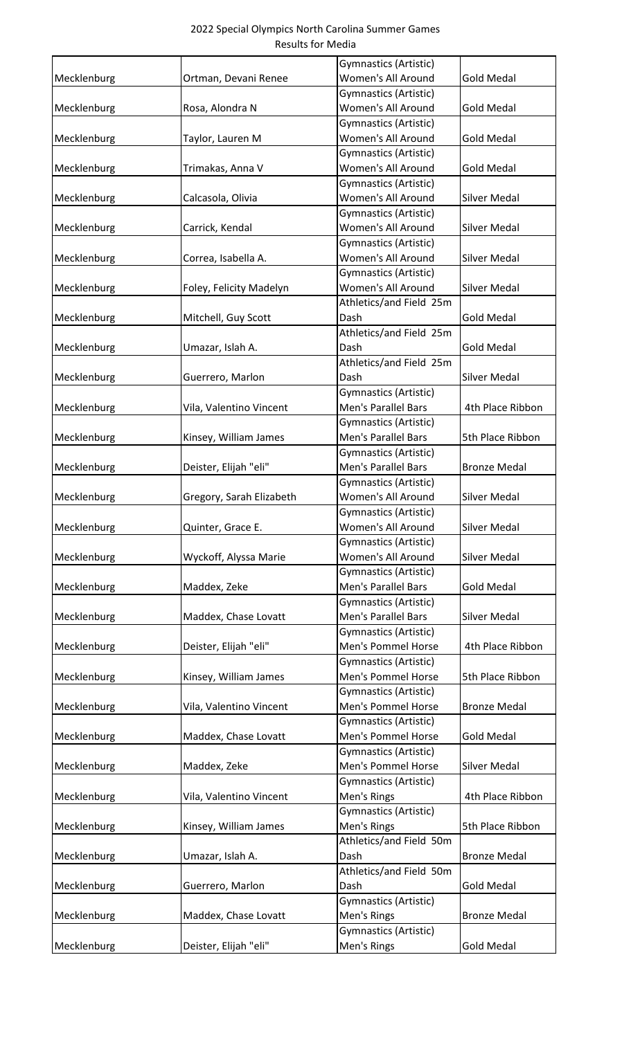| 2022 Special Olympics North Carolina Summer Games |
|---------------------------------------------------|
| <b>Results for Media</b>                          |

|             |                          | Gymnastics (Artistic)        |                     |
|-------------|--------------------------|------------------------------|---------------------|
| Mecklenburg | Ortman, Devani Renee     | Women's All Around           | <b>Gold Medal</b>   |
|             |                          | Gymnastics (Artistic)        |                     |
| Mecklenburg | Rosa, Alondra N          | Women's All Around           | <b>Gold Medal</b>   |
|             |                          | Gymnastics (Artistic)        |                     |
| Mecklenburg | Taylor, Lauren M         | Women's All Around           | <b>Gold Medal</b>   |
|             |                          | Gymnastics (Artistic)        |                     |
| Mecklenburg | Trimakas, Anna V         | Women's All Around           | <b>Gold Medal</b>   |
|             |                          | Gymnastics (Artistic)        |                     |
| Mecklenburg | Calcasola, Olivia        | Women's All Around           | <b>Silver Medal</b> |
|             |                          | Gymnastics (Artistic)        |                     |
| Mecklenburg | Carrick, Kendal          | Women's All Around           | Silver Medal        |
|             |                          | Gymnastics (Artistic)        |                     |
| Mecklenburg | Correa, Isabella A.      | Women's All Around           | Silver Medal        |
|             |                          | Gymnastics (Artistic)        |                     |
| Mecklenburg | Foley, Felicity Madelyn  | Women's All Around           | <b>Silver Medal</b> |
|             |                          | Athletics/and Field 25m      |                     |
| Mecklenburg | Mitchell, Guy Scott      | Dash                         | <b>Gold Medal</b>   |
|             |                          | Athletics/and Field 25m      |                     |
| Mecklenburg | Umazar, Islah A.         | Dash                         | <b>Gold Medal</b>   |
|             |                          | Athletics/and Field 25m      |                     |
| Mecklenburg | Guerrero, Marlon         | Dash                         | <b>Silver Medal</b> |
|             |                          | <b>Gymnastics (Artistic)</b> |                     |
|             |                          | Men's Parallel Bars          | 4th Place Ribbon    |
| Mecklenburg | Vila, Valentino Vincent  |                              |                     |
|             |                          | Gymnastics (Artistic)        |                     |
| Mecklenburg | Kinsey, William James    | Men's Parallel Bars          | 5th Place Ribbon    |
|             |                          | Gymnastics (Artistic)        |                     |
| Mecklenburg | Deister, Elijah "eli"    | Men's Parallel Bars          | <b>Bronze Medal</b> |
|             |                          | Gymnastics (Artistic)        |                     |
| Mecklenburg | Gregory, Sarah Elizabeth | Women's All Around           | <b>Silver Medal</b> |
|             |                          | Gymnastics (Artistic)        |                     |
| Mecklenburg | Quinter, Grace E.        | Women's All Around           | Silver Medal        |
|             |                          | Gymnastics (Artistic)        |                     |
| Mecklenburg | Wyckoff, Alyssa Marie    | Women's All Around           | <b>Silver Medal</b> |
|             |                          | Gymnastics (Artistic)        |                     |
| Mecklenburg | Maddex, Zeke             | Men's Parallel Bars          | <b>Gold Medal</b>   |
|             |                          | Gymnastics (Artistic)        |                     |
| Mecklenburg | Maddex, Chase Lovatt     | <b>Men's Parallel Bars</b>   | Silver Medal        |
|             |                          | Gymnastics (Artistic)        |                     |
| Mecklenburg | Deister, Elijah "eli"    | Men's Pommel Horse           | 4th Place Ribbon    |
|             |                          | Gymnastics (Artistic)        |                     |
| Mecklenburg | Kinsey, William James    | Men's Pommel Horse           | 5th Place Ribbon    |
|             |                          | Gymnastics (Artistic)        |                     |
| Mecklenburg | Vila, Valentino Vincent  | Men's Pommel Horse           | <b>Bronze Medal</b> |
|             |                          | Gymnastics (Artistic)        |                     |
| Mecklenburg | Maddex, Chase Lovatt     | Men's Pommel Horse           | <b>Gold Medal</b>   |
|             |                          | Gymnastics (Artistic)        |                     |
| Mecklenburg | Maddex, Zeke             | Men's Pommel Horse           | <b>Silver Medal</b> |
|             |                          | Gymnastics (Artistic)        |                     |
| Mecklenburg | Vila, Valentino Vincent  | Men's Rings                  | 4th Place Ribbon    |
|             |                          | Gymnastics (Artistic)        |                     |
| Mecklenburg | Kinsey, William James    | Men's Rings                  | 5th Place Ribbon    |
|             |                          | Athletics/and Field 50m      |                     |
| Mecklenburg | Umazar, Islah A.         | Dash                         | <b>Bronze Medal</b> |
|             |                          | Athletics/and Field 50m      |                     |
| Mecklenburg | Guerrero, Marlon         | Dash                         | <b>Gold Medal</b>   |
|             |                          | Gymnastics (Artistic)        |                     |
| Mecklenburg | Maddex, Chase Lovatt     | Men's Rings                  | <b>Bronze Medal</b> |
|             |                          | Gymnastics (Artistic)        |                     |
| Mecklenburg | Deister, Elijah "eli"    | Men's Rings                  | <b>Gold Medal</b>   |
|             |                          |                              |                     |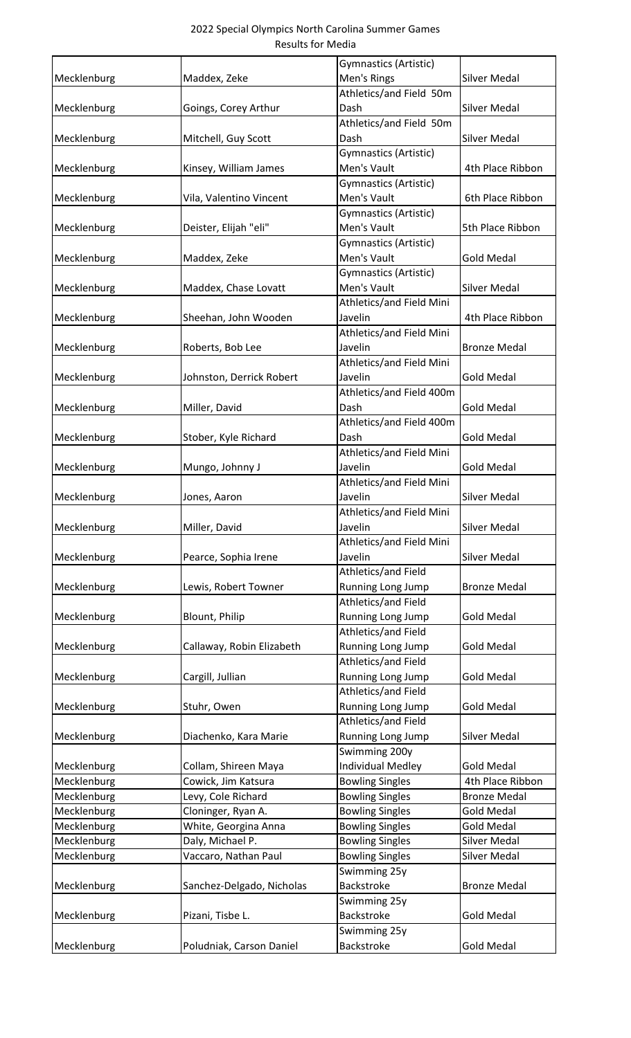|             |                           | <b>Gymnastics (Artistic)</b> |                     |
|-------------|---------------------------|------------------------------|---------------------|
| Mecklenburg | Maddex, Zeke              | Men's Rings                  | <b>Silver Medal</b> |
|             |                           | Athletics/and Field 50m      |                     |
| Mecklenburg | Goings, Corey Arthur      | Dash                         | <b>Silver Medal</b> |
|             |                           | Athletics/and Field 50m      |                     |
| Mecklenburg | Mitchell, Guy Scott       | Dash                         | <b>Silver Medal</b> |
|             |                           | <b>Gymnastics (Artistic)</b> |                     |
| Mecklenburg | Kinsey, William James     | Men's Vault                  | 4th Place Ribbon    |
|             |                           | Gymnastics (Artistic)        |                     |
| Mecklenburg | Vila, Valentino Vincent   | Men's Vault                  | 6th Place Ribbon    |
|             |                           | <b>Gymnastics (Artistic)</b> |                     |
| Mecklenburg | Deister, Elijah "eli"     | Men's Vault                  | 5th Place Ribbon    |
|             |                           | Gymnastics (Artistic)        |                     |
| Mecklenburg | Maddex, Zeke              | Men's Vault                  | <b>Gold Medal</b>   |
|             |                           | Gymnastics (Artistic)        |                     |
| Mecklenburg | Maddex, Chase Lovatt      | Men's Vault                  | Silver Medal        |
|             |                           | Athletics/and Field Mini     |                     |
| Mecklenburg | Sheehan, John Wooden      | Javelin                      | 4th Place Ribbon    |
|             |                           | Athletics/and Field Mini     |                     |
| Mecklenburg | Roberts, Bob Lee          | Javelin                      | <b>Bronze Medal</b> |
|             |                           | Athletics/and Field Mini     |                     |
| Mecklenburg | Johnston, Derrick Robert  | Javelin                      | <b>Gold Medal</b>   |
|             |                           | Athletics/and Field 400m     |                     |
| Mecklenburg | Miller, David             | Dash                         | <b>Gold Medal</b>   |
|             |                           | Athletics/and Field 400m     |                     |
| Mecklenburg | Stober, Kyle Richard      | Dash                         | <b>Gold Medal</b>   |
|             |                           | Athletics/and Field Mini     |                     |
| Mecklenburg | Mungo, Johnny J           | Javelin                      | <b>Gold Medal</b>   |
|             |                           | Athletics/and Field Mini     |                     |
| Mecklenburg | Jones, Aaron              | Javelin                      | <b>Silver Medal</b> |
|             |                           | Athletics/and Field Mini     |                     |
| Mecklenburg | Miller, David             | Javelin                      | Silver Medal        |
|             |                           | Athletics/and Field Mini     |                     |
| Mecklenburg | Pearce, Sophia Irene      | Javelin                      | Silver Medal        |
|             |                           | Athletics/and Field          |                     |
| Mecklenburg | Lewis, Robert Towner      | Running Long Jump            | <b>Bronze Medal</b> |
|             |                           | Athletics/and Field          |                     |
| Mecklenburg | Blount, Philip            | Running Long Jump            | <b>Gold Medal</b>   |
|             |                           | Athletics/and Field          |                     |
| Mecklenburg | Callaway, Robin Elizabeth | Running Long Jump            | <b>Gold Medal</b>   |
|             |                           | Athletics/and Field          |                     |
| Mecklenburg | Cargill, Jullian          | Running Long Jump            | <b>Gold Medal</b>   |
|             |                           | Athletics/and Field          |                     |
| Mecklenburg | Stuhr, Owen               | Running Long Jump            | <b>Gold Medal</b>   |
|             |                           | Athletics/and Field          |                     |
| Mecklenburg | Diachenko, Kara Marie     | Running Long Jump            | Silver Medal        |
|             |                           | Swimming 200y                |                     |
| Mecklenburg | Collam, Shireen Maya      | <b>Individual Medley</b>     | <b>Gold Medal</b>   |
| Mecklenburg | Cowick, Jim Katsura       | <b>Bowling Singles</b>       | 4th Place Ribbon    |
| Mecklenburg | Levy, Cole Richard        | <b>Bowling Singles</b>       | <b>Bronze Medal</b> |
| Mecklenburg | Cloninger, Ryan A.        | <b>Bowling Singles</b>       | <b>Gold Medal</b>   |
| Mecklenburg | White, Georgina Anna      | <b>Bowling Singles</b>       | <b>Gold Medal</b>   |
| Mecklenburg | Daly, Michael P.          | <b>Bowling Singles</b>       | Silver Medal        |
| Mecklenburg | Vaccaro, Nathan Paul      | <b>Bowling Singles</b>       | Silver Medal        |
|             |                           | Swimming 25y                 |                     |
| Mecklenburg | Sanchez-Delgado, Nicholas | <b>Backstroke</b>            | <b>Bronze Medal</b> |
|             |                           | Swimming 25y                 |                     |
| Mecklenburg | Pizani, Tisbe L.          | Backstroke                   | <b>Gold Medal</b>   |
|             |                           | Swimming 25y                 |                     |
| Mecklenburg | Poludniak, Carson Daniel  | Backstroke                   | <b>Gold Medal</b>   |
|             |                           |                              |                     |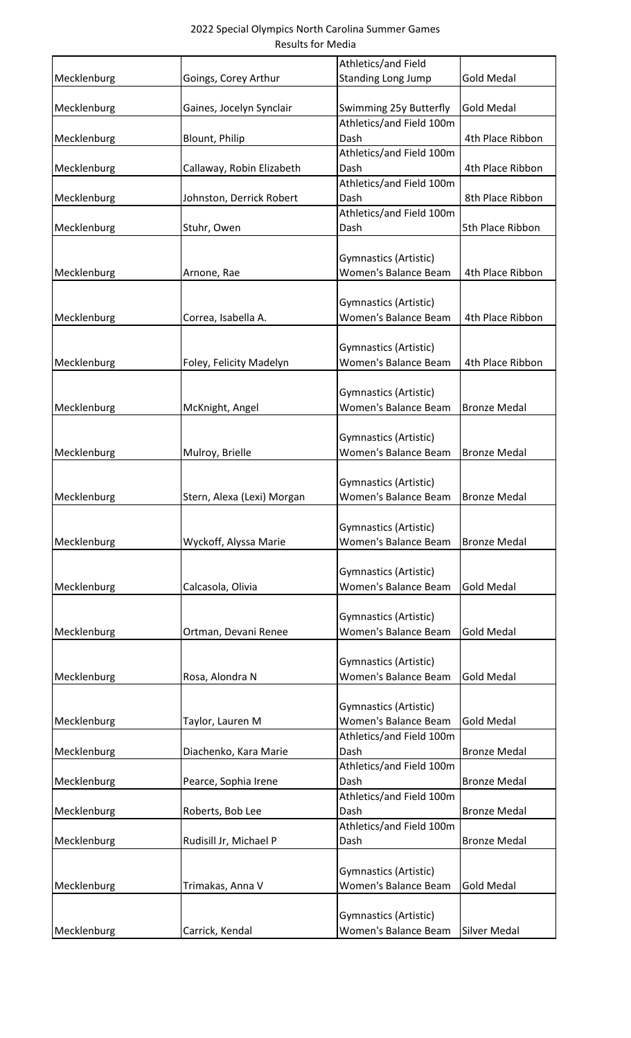|             |                            | Athletics/and Field                           |                     |
|-------------|----------------------------|-----------------------------------------------|---------------------|
| Mecklenburg | Goings, Corey Arthur       | <b>Standing Long Jump</b>                     | <b>Gold Medal</b>   |
| Mecklenburg | Gaines, Jocelyn Synclair   | Swimming 25y Butterfly                        | <b>Gold Medal</b>   |
|             |                            | Athletics/and Field 100m                      |                     |
| Mecklenburg | Blount, Philip             | Dash                                          | 4th Place Ribbon    |
|             |                            | Athletics/and Field 100m                      |                     |
| Mecklenburg | Callaway, Robin Elizabeth  | Dash                                          | 4th Place Ribbon    |
|             |                            | Athletics/and Field 100m                      |                     |
| Mecklenburg | Johnston, Derrick Robert   | Dash                                          | 8th Place Ribbon    |
|             |                            | Athletics/and Field 100m<br>Dash              | 5th Place Ribbon    |
| Mecklenburg | Stuhr, Owen                |                                               |                     |
| Mecklenburg | Arnone, Rae                | Gymnastics (Artistic)<br>Women's Balance Beam | 4th Place Ribbon    |
|             |                            |                                               |                     |
|             |                            | Gymnastics (Artistic)                         |                     |
| Mecklenburg | Correa, Isabella A.        | Women's Balance Beam                          | 4th Place Ribbon    |
|             |                            |                                               |                     |
|             |                            | Gymnastics (Artistic)                         |                     |
| Mecklenburg | Foley, Felicity Madelyn    | <b>Women's Balance Beam</b>                   | 4th Place Ribbon    |
|             |                            |                                               |                     |
|             |                            | Gymnastics (Artistic)                         |                     |
| Mecklenburg | McKnight, Angel            | Women's Balance Beam                          | <b>Bronze Medal</b> |
|             |                            | Gymnastics (Artistic)                         |                     |
| Mecklenburg | Mulroy, Brielle            | Women's Balance Beam                          | <b>Bronze Medal</b> |
|             |                            |                                               |                     |
|             |                            | Gymnastics (Artistic)                         |                     |
| Mecklenburg | Stern, Alexa (Lexi) Morgan | Women's Balance Beam                          | <b>Bronze Medal</b> |
|             |                            |                                               |                     |
|             |                            | Gymnastics (Artistic)                         |                     |
| Mecklenburg | Wyckoff, Alyssa Marie      | <b>Women's Balance Beam</b>                   | <b>Bronze Medal</b> |
|             |                            |                                               |                     |
|             |                            | Gymnastics (Artistic)                         |                     |
| Mecklenburg | Calcasola, Olivia          | Women's Balance Beam                          | <b>Gold Medal</b>   |
|             |                            |                                               |                     |
|             |                            | Gymnastics (Artistic)                         |                     |
| Mecklenburg | Ortman, Devani Renee       | Women's Balance Beam                          | <b>Gold Medal</b>   |
|             |                            |                                               |                     |
| Mecklenburg | Rosa, Alondra N            | Gymnastics (Artistic)<br>Women's Balance Beam | <b>Gold Medal</b>   |
|             |                            |                                               |                     |
|             |                            | Gymnastics (Artistic)                         |                     |
| Mecklenburg | Taylor, Lauren M           | Women's Balance Beam                          | <b>Gold Medal</b>   |
|             |                            | Athletics/and Field 100m                      |                     |
| Mecklenburg | Diachenko, Kara Marie      | Dash                                          | <b>Bronze Medal</b> |
|             |                            | Athletics/and Field 100m                      |                     |
| Mecklenburg | Pearce, Sophia Irene       | Dash                                          | <b>Bronze Medal</b> |
|             |                            | Athletics/and Field 100m                      |                     |
| Mecklenburg | Roberts, Bob Lee           | Dash                                          | <b>Bronze Medal</b> |
|             |                            | Athletics/and Field 100m                      |                     |
| Mecklenburg | Rudisill Jr, Michael P     | Dash                                          | <b>Bronze Medal</b> |
|             |                            |                                               |                     |
|             |                            | Gymnastics (Artistic)                         |                     |
| Mecklenburg | Trimakas, Anna V           | Women's Balance Beam                          | <b>Gold Medal</b>   |
|             |                            | Gymnastics (Artistic)                         |                     |
| Mecklenburg | Carrick, Kendal            | Women's Balance Beam                          | <b>Silver Medal</b> |
|             |                            |                                               |                     |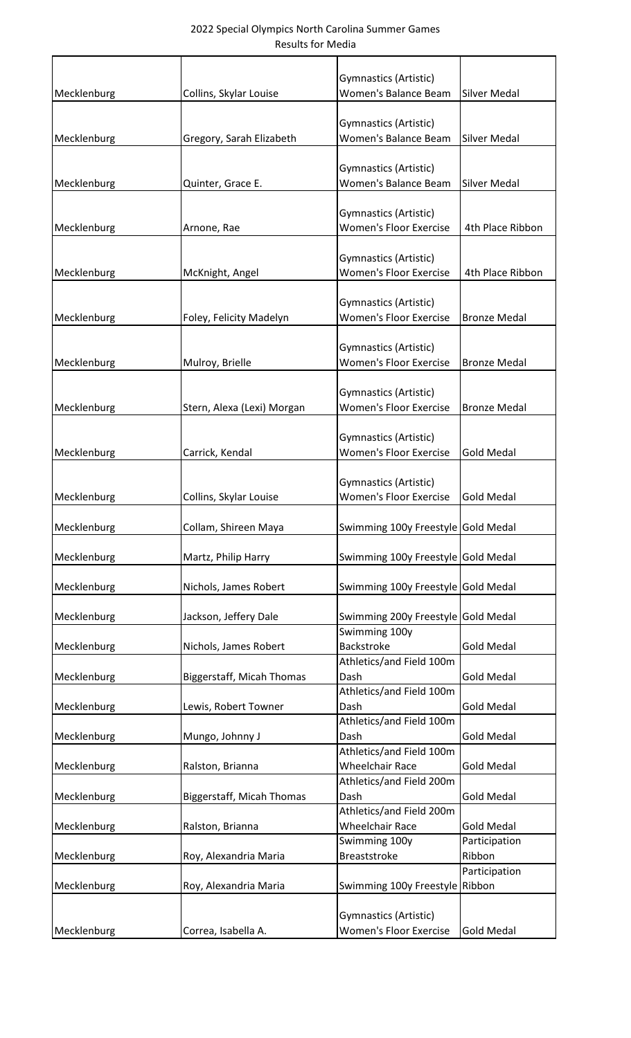|             |                            | Gymnastics (Artistic)                                  |                         |
|-------------|----------------------------|--------------------------------------------------------|-------------------------|
| Mecklenburg | Collins, Skylar Louise     | Women's Balance Beam                                   | <b>Silver Medal</b>     |
|             |                            |                                                        |                         |
|             |                            | Gymnastics (Artistic)                                  |                         |
| Mecklenburg | Gregory, Sarah Elizabeth   | Women's Balance Beam                                   | Silver Medal            |
|             |                            | Gymnastics (Artistic)                                  |                         |
| Mecklenburg | Quinter, Grace E.          | Women's Balance Beam                                   | Silver Medal            |
|             |                            |                                                        |                         |
|             |                            | Gymnastics (Artistic)                                  |                         |
| Mecklenburg | Arnone, Rae                | <b>Women's Floor Exercise</b>                          | 4th Place Ribbon        |
|             |                            |                                                        |                         |
|             |                            | Gymnastics (Artistic)                                  |                         |
| Mecklenburg | McKnight, Angel            | <b>Women's Floor Exercise</b>                          | 4th Place Ribbon        |
|             |                            |                                                        |                         |
| Mecklenburg | Foley, Felicity Madelyn    | Gymnastics (Artistic)<br><b>Women's Floor Exercise</b> | <b>Bronze Medal</b>     |
|             |                            |                                                        |                         |
|             |                            | Gymnastics (Artistic)                                  |                         |
| Mecklenburg | Mulroy, Brielle            | <b>Women's Floor Exercise</b>                          | <b>Bronze Medal</b>     |
|             |                            |                                                        |                         |
|             |                            | <b>Gymnastics (Artistic)</b>                           |                         |
| Mecklenburg | Stern, Alexa (Lexi) Morgan | <b>Women's Floor Exercise</b>                          | <b>Bronze Medal</b>     |
|             |                            |                                                        |                         |
|             |                            | Gymnastics (Artistic)                                  |                         |
| Mecklenburg | Carrick, Kendal            | <b>Women's Floor Exercise</b>                          | <b>Gold Medal</b>       |
|             |                            |                                                        |                         |
|             | Collins, Skylar Louise     | Gymnastics (Artistic)<br><b>Women's Floor Exercise</b> |                         |
| Mecklenburg |                            |                                                        | <b>Gold Medal</b>       |
| Mecklenburg | Collam, Shireen Maya       | Swimming 100y Freestyle Gold Medal                     |                         |
|             |                            |                                                        |                         |
| Mecklenburg | Martz, Philip Harry        | Swimming 100y Freestyle Gold Medal                     |                         |
|             |                            |                                                        |                         |
| Mecklenburg | Nichols, James Robert      | Swimming 100y Freestyle Gold Medal                     |                         |
|             |                            |                                                        |                         |
| Mecklenburg | Jackson, Jeffery Dale      | Swimming 200y Freestyle Gold Medal                     |                         |
|             |                            | Swimming 100y<br><b>Backstroke</b>                     | <b>Gold Medal</b>       |
| Mecklenburg | Nichols, James Robert      | Athletics/and Field 100m                               |                         |
| Mecklenburg | Biggerstaff, Micah Thomas  | Dash                                                   | <b>Gold Medal</b>       |
|             |                            | Athletics/and Field 100m                               |                         |
| Mecklenburg | Lewis, Robert Towner       | Dash                                                   | <b>Gold Medal</b>       |
|             |                            | Athletics/and Field 100m                               |                         |
| Mecklenburg | Mungo, Johnny J            | Dash                                                   | <b>Gold Medal</b>       |
|             |                            | Athletics/and Field 100m                               |                         |
| Mecklenburg | Ralston, Brianna           | <b>Wheelchair Race</b>                                 | <b>Gold Medal</b>       |
|             |                            | Athletics/and Field 200m                               |                         |
| Mecklenburg | Biggerstaff, Micah Thomas  | Dash                                                   | <b>Gold Medal</b>       |
|             |                            | Athletics/and Field 200m                               |                         |
| Mecklenburg | Ralston, Brianna           | <b>Wheelchair Race</b>                                 | <b>Gold Medal</b>       |
| Mecklenburg | Roy, Alexandria Maria      | Swimming 100y<br><b>Breaststroke</b>                   | Participation<br>Ribbon |
|             |                            |                                                        | Participation           |
| Mecklenburg | Roy, Alexandria Maria      | Swimming 100y Freestyle Ribbon                         |                         |
|             |                            |                                                        |                         |
|             |                            | <b>Gymnastics (Artistic)</b>                           |                         |
| Mecklenburg | Correa, Isabella A.        | <b>Women's Floor Exercise</b>                          | <b>Gold Medal</b>       |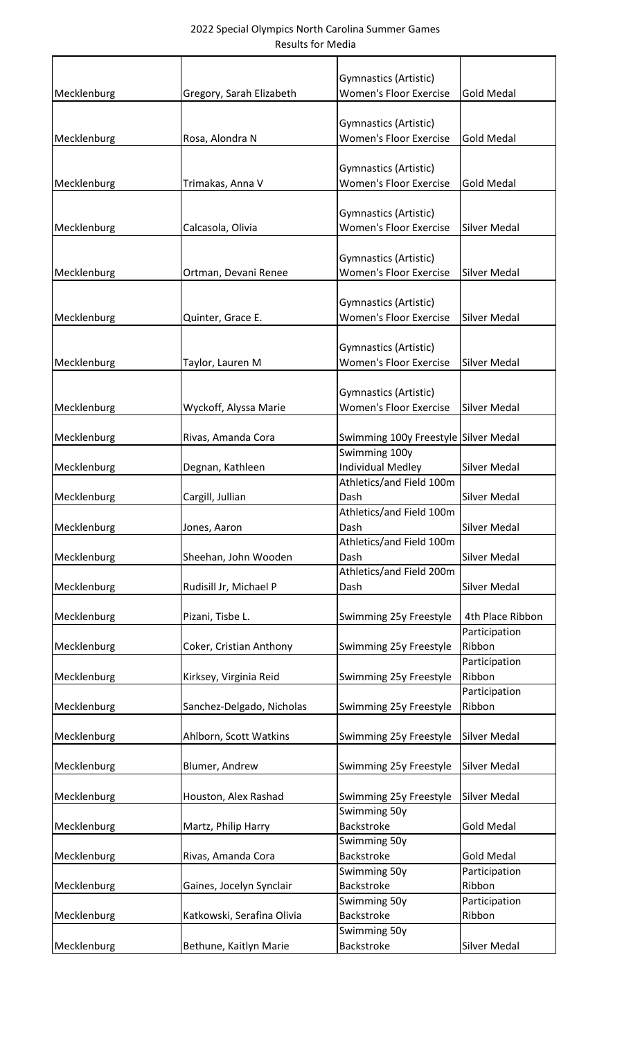| Mecklenburg | Gregory, Sarah Elizabeth   | Gymnastics (Artistic)<br><b>Women's Floor Exercise</b>        | <b>Gold Medal</b>                 |
|-------------|----------------------------|---------------------------------------------------------------|-----------------------------------|
|             |                            |                                                               |                                   |
|             |                            | <b>Gymnastics (Artistic)</b>                                  |                                   |
| Mecklenburg | Rosa, Alondra N            | <b>Women's Floor Exercise</b>                                 | <b>Gold Medal</b>                 |
|             |                            |                                                               |                                   |
|             |                            | Gymnastics (Artistic)                                         |                                   |
| Mecklenburg | Trimakas, Anna V           | <b>Women's Floor Exercise</b>                                 | <b>Gold Medal</b>                 |
|             |                            |                                                               |                                   |
| Mecklenburg | Calcasola, Olivia          | Gymnastics (Artistic)<br><b>Women's Floor Exercise</b>        | Silver Medal                      |
|             |                            |                                                               |                                   |
|             |                            | Gymnastics (Artistic)                                         |                                   |
| Mecklenburg | Ortman, Devani Renee       | <b>Women's Floor Exercise</b>                                 | <b>Silver Medal</b>               |
|             |                            |                                                               |                                   |
|             |                            | <b>Gymnastics (Artistic)</b>                                  |                                   |
| Mecklenburg | Quinter, Grace E.          | <b>Women's Floor Exercise</b>                                 | <b>Silver Medal</b>               |
|             |                            |                                                               |                                   |
| Mecklenburg | Taylor, Lauren M           | <b>Gymnastics (Artistic)</b><br><b>Women's Floor Exercise</b> | <b>Silver Medal</b>               |
|             |                            |                                                               |                                   |
|             |                            | <b>Gymnastics (Artistic)</b>                                  |                                   |
| Mecklenburg | Wyckoff, Alyssa Marie      | <b>Women's Floor Exercise</b>                                 | Silver Medal                      |
|             |                            |                                                               |                                   |
| Mecklenburg | Rivas, Amanda Cora         | Swimming 100y Freestyle Silver Medal                          |                                   |
|             |                            | Swimming 100y                                                 |                                   |
| Mecklenburg | Degnan, Kathleen           | <b>Individual Medley</b>                                      | Silver Medal                      |
|             | Cargill, Jullian           | Athletics/and Field 100m<br>Dash                              | <b>Silver Medal</b>               |
| Mecklenburg |                            | Athletics/and Field 100m                                      |                                   |
| Mecklenburg | Jones, Aaron               | Dash                                                          | <b>Silver Medal</b>               |
|             |                            | Athletics/and Field 100m                                      |                                   |
| Mecklenburg | Sheehan, John Wooden       | Dash                                                          | Silver Medal                      |
|             |                            | Athletics/and Field 200m                                      |                                   |
| Mecklenburg | Rudisill Jr, Michael P     | Dash                                                          | Silver Medal                      |
|             |                            |                                                               |                                   |
| Mecklenburg | Pizani, Tisbe L.           | Swimming 25y Freestyle                                        | 4th Place Ribbon<br>Participation |
| Mecklenburg | Coker, Cristian Anthony    | Swimming 25y Freestyle                                        | Ribbon                            |
|             |                            |                                                               | Participation                     |
| Mecklenburg | Kirksey, Virginia Reid     | Swimming 25y Freestyle                                        | Ribbon                            |
|             |                            |                                                               | Participation                     |
| Mecklenburg | Sanchez-Delgado, Nicholas  | Swimming 25y Freestyle                                        | Ribbon                            |
|             |                            |                                                               |                                   |
| Mecklenburg | Ahlborn, Scott Watkins     | Swimming 25y Freestyle                                        | Silver Medal                      |
| Mecklenburg | Blumer, Andrew             | Swimming 25y Freestyle                                        | Silver Medal                      |
|             |                            |                                                               |                                   |
| Mecklenburg | Houston, Alex Rashad       | Swimming 25y Freestyle                                        | Silver Medal                      |
|             |                            | Swimming 50y                                                  |                                   |
| Mecklenburg | Martz, Philip Harry        | Backstroke                                                    | <b>Gold Medal</b>                 |
|             |                            | Swimming 50y                                                  |                                   |
| Mecklenburg | Rivas, Amanda Cora         | Backstroke                                                    | <b>Gold Medal</b>                 |
|             |                            | Swimming 50y                                                  | Participation<br>Ribbon           |
| Mecklenburg | Gaines, Jocelyn Synclair   | Backstroke<br>Swimming 50y                                    | Participation                     |
| Mecklenburg | Katkowski, Serafina Olivia | Backstroke                                                    | Ribbon                            |
|             |                            | Swimming 50y                                                  |                                   |
| Mecklenburg | Bethune, Kaitlyn Marie     | Backstroke                                                    | Silver Medal                      |
|             |                            |                                                               |                                   |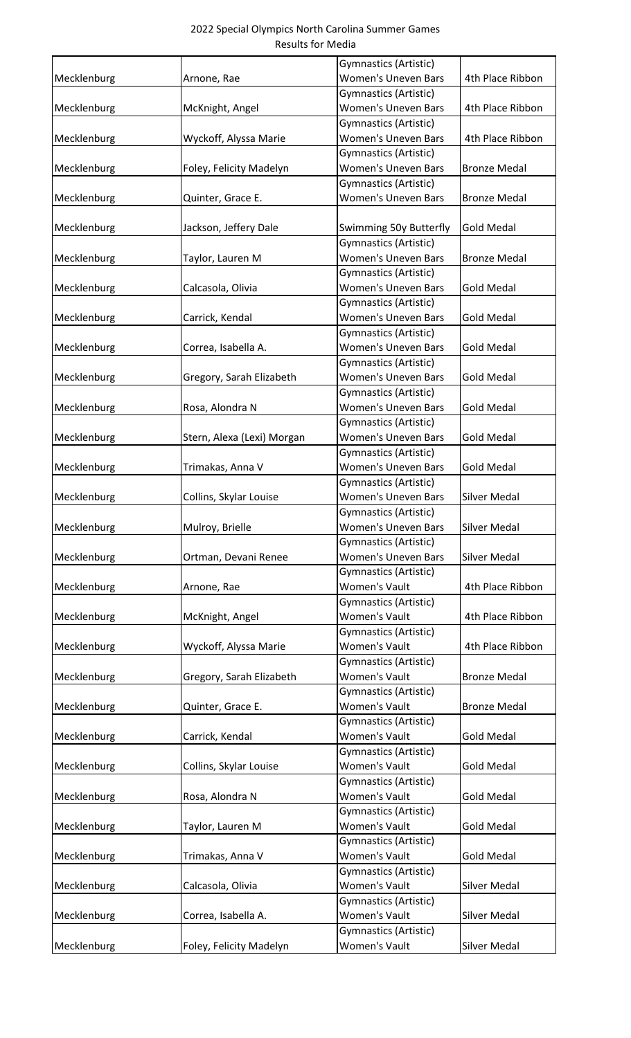|             |                            | Gymnastics (Artistic)        |                     |
|-------------|----------------------------|------------------------------|---------------------|
| Mecklenburg | Arnone, Rae                | <b>Women's Uneven Bars</b>   | 4th Place Ribbon    |
|             |                            | Gymnastics (Artistic)        |                     |
| Mecklenburg | McKnight, Angel            | <b>Women's Uneven Bars</b>   | 4th Place Ribbon    |
|             |                            | Gymnastics (Artistic)        |                     |
| Mecklenburg | Wyckoff, Alyssa Marie      | <b>Women's Uneven Bars</b>   | 4th Place Ribbon    |
|             |                            | Gymnastics (Artistic)        |                     |
| Mecklenburg | Foley, Felicity Madelyn    | <b>Women's Uneven Bars</b>   | <b>Bronze Medal</b> |
|             |                            | Gymnastics (Artistic)        |                     |
| Mecklenburg | Quinter, Grace E.          | <b>Women's Uneven Bars</b>   | <b>Bronze Medal</b> |
|             |                            |                              |                     |
| Mecklenburg | Jackson, Jeffery Dale      | Swimming 50y Butterfly       | <b>Gold Medal</b>   |
|             |                            | <b>Gymnastics (Artistic)</b> |                     |
| Mecklenburg | Taylor, Lauren M           | <b>Women's Uneven Bars</b>   | <b>Bronze Medal</b> |
|             |                            | Gymnastics (Artistic)        |                     |
| Mecklenburg | Calcasola, Olivia          | <b>Women's Uneven Bars</b>   | <b>Gold Medal</b>   |
|             |                            | Gymnastics (Artistic)        |                     |
| Mecklenburg | Carrick, Kendal            | <b>Women's Uneven Bars</b>   | <b>Gold Medal</b>   |
|             |                            | <b>Gymnastics (Artistic)</b> |                     |
| Mecklenburg | Correa, Isabella A.        | <b>Women's Uneven Bars</b>   | <b>Gold Medal</b>   |
|             |                            | Gymnastics (Artistic)        |                     |
| Mecklenburg | Gregory, Sarah Elizabeth   | <b>Women's Uneven Bars</b>   | <b>Gold Medal</b>   |
|             |                            | Gymnastics (Artistic)        |                     |
| Mecklenburg | Rosa, Alondra N            | <b>Women's Uneven Bars</b>   | <b>Gold Medal</b>   |
|             |                            | Gymnastics (Artistic)        |                     |
| Mecklenburg | Stern, Alexa (Lexi) Morgan | <b>Women's Uneven Bars</b>   | <b>Gold Medal</b>   |
|             |                            | Gymnastics (Artistic)        |                     |
| Mecklenburg | Trimakas, Anna V           | <b>Women's Uneven Bars</b>   | <b>Gold Medal</b>   |
|             |                            | Gymnastics (Artistic)        |                     |
| Mecklenburg | Collins, Skylar Louise     | <b>Women's Uneven Bars</b>   | <b>Silver Medal</b> |
|             |                            | Gymnastics (Artistic)        |                     |
| Mecklenburg | Mulroy, Brielle            | <b>Women's Uneven Bars</b>   | <b>Silver Medal</b> |
|             |                            | Gymnastics (Artistic)        |                     |
| Mecklenburg | Ortman, Devani Renee       | <b>Women's Uneven Bars</b>   | Silver Medal        |
|             |                            | Gymnastics (Artistic)        |                     |
| Mecklenburg | Arnone, Rae                | <b>Women's Vault</b>         | 4th Place Ribbon    |
|             |                            | Gymnastics (Artistic)        |                     |
| Mecklenburg | McKnight, Angel            | <b>Women's Vault</b>         | 4th Place Ribbon    |
|             |                            | Gymnastics (Artistic)        |                     |
| Mecklenburg | Wyckoff, Alyssa Marie      | <b>Women's Vault</b>         | 4th Place Ribbon    |
|             |                            | Gymnastics (Artistic)        |                     |
| Mecklenburg | Gregory, Sarah Elizabeth   | <b>Women's Vault</b>         | <b>Bronze Medal</b> |
|             |                            | Gymnastics (Artistic)        |                     |
| Mecklenburg | Quinter, Grace E.          | Women's Vault                | <b>Bronze Medal</b> |
|             |                            | <b>Gymnastics (Artistic)</b> |                     |
| Mecklenburg | Carrick, Kendal            | <b>Women's Vault</b>         | <b>Gold Medal</b>   |
|             |                            | <b>Gymnastics (Artistic)</b> |                     |
| Mecklenburg | Collins, Skylar Louise     | <b>Women's Vault</b>         | <b>Gold Medal</b>   |
|             |                            | Gymnastics (Artistic)        |                     |
| Mecklenburg | Rosa, Alondra N            | <b>Women's Vault</b>         | <b>Gold Medal</b>   |
|             |                            | Gymnastics (Artistic)        |                     |
| Mecklenburg | Taylor, Lauren M           | <b>Women's Vault</b>         | <b>Gold Medal</b>   |
|             |                            | Gymnastics (Artistic)        |                     |
| Mecklenburg | Trimakas, Anna V           | <b>Women's Vault</b>         | <b>Gold Medal</b>   |
|             |                            | Gymnastics (Artistic)        |                     |
| Mecklenburg | Calcasola, Olivia          | <b>Women's Vault</b>         | Silver Medal        |
|             |                            | Gymnastics (Artistic)        |                     |
| Mecklenburg | Correa, Isabella A.        | Women's Vault                | <b>Silver Medal</b> |
|             |                            | Gymnastics (Artistic)        |                     |
| Mecklenburg | Foley, Felicity Madelyn    | Women's Vault                | Silver Medal        |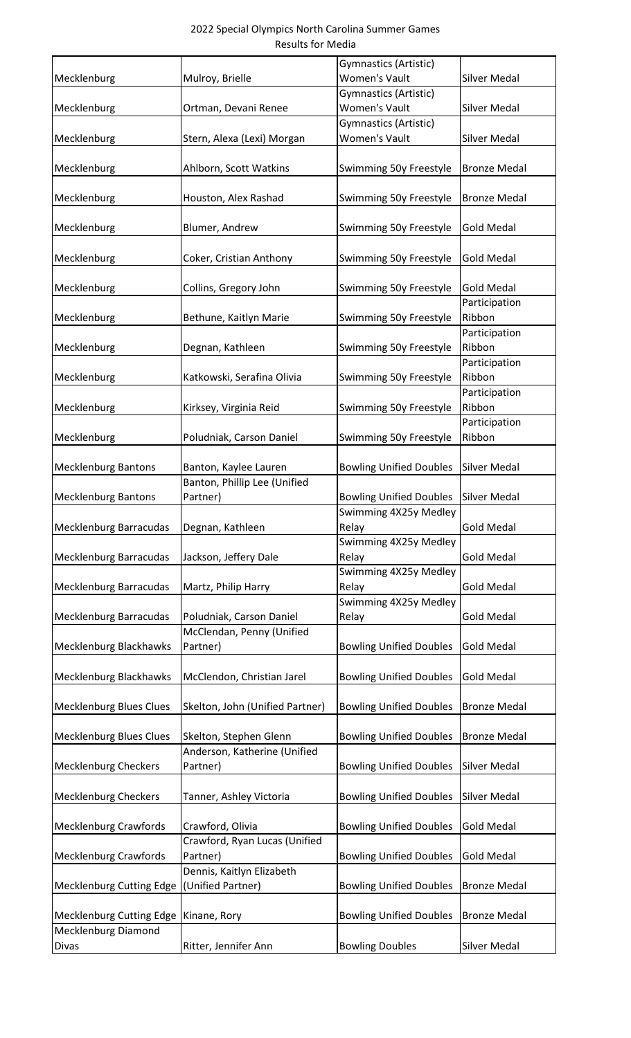|                                 |                                       | <b>Gymnastics (Artistic)</b>   |                     |
|---------------------------------|---------------------------------------|--------------------------------|---------------------|
| Mecklenburg                     | Mulroy, Brielle                       | <b>Women's Vault</b>           | Silver Medal        |
|                                 |                                       | Gymnastics (Artistic)          |                     |
| Mecklenburg                     | Ortman, Devani Renee                  | Women's Vault                  | <b>Silver Medal</b> |
|                                 |                                       | <b>Gymnastics (Artistic)</b>   |                     |
| Mecklenburg                     | Stern, Alexa (Lexi) Morgan            | Women's Vault                  | Silver Medal        |
|                                 |                                       |                                |                     |
| Mecklenburg                     | Ahlborn, Scott Watkins                | Swimming 50y Freestyle         | <b>Bronze Medal</b> |
|                                 |                                       |                                |                     |
| Mecklenburg                     | Houston, Alex Rashad                  | Swimming 50y Freestyle         | <b>Bronze Medal</b> |
|                                 |                                       |                                |                     |
| Mecklenburg                     | Blumer, Andrew                        | Swimming 50y Freestyle         | <b>Gold Medal</b>   |
| Mecklenburg                     |                                       |                                | <b>Gold Medal</b>   |
|                                 | Coker, Cristian Anthony               | Swimming 50y Freestyle         |                     |
| Mecklenburg                     | Collins, Gregory John                 | Swimming 50y Freestyle         | <b>Gold Medal</b>   |
|                                 |                                       |                                | Participation       |
| Mecklenburg                     | Bethune, Kaitlyn Marie                | Swimming 50y Freestyle         | Ribbon              |
|                                 |                                       |                                | Participation       |
| Mecklenburg                     | Degnan, Kathleen                      | Swimming 50y Freestyle         | Ribbon              |
|                                 |                                       |                                | Participation       |
| Mecklenburg                     | Katkowski, Serafina Olivia            | Swimming 50y Freestyle         | Ribbon              |
|                                 |                                       |                                | Participation       |
| Mecklenburg                     | Kirksey, Virginia Reid                | Swimming 50y Freestyle         | Ribbon              |
|                                 |                                       |                                | Participation       |
| Mecklenburg                     | Poludniak, Carson Daniel              | Swimming 50y Freestyle         | Ribbon              |
|                                 |                                       |                                |                     |
| <b>Mecklenburg Bantons</b>      | Banton, Kaylee Lauren                 | <b>Bowling Unified Doubles</b> | Silver Medal        |
|                                 | Banton, Phillip Lee (Unified          |                                |                     |
| <b>Mecklenburg Bantons</b>      | Partner)                              | <b>Bowling Unified Doubles</b> | <b>Silver Medal</b> |
|                                 |                                       | Swimming 4X25y Medley          |                     |
| <b>Mecklenburg Barracudas</b>   | Degnan, Kathleen                      | Relay                          | <b>Gold Medal</b>   |
|                                 |                                       | Swimming 4X25y Medley          |                     |
| <b>Mecklenburg Barracudas</b>   | Jackson, Jeffery Dale                 | Relay                          | <b>Gold Medal</b>   |
|                                 |                                       | Swimming 4X25y Medley          |                     |
| <b>Mecklenburg Barracudas</b>   | Martz, Philip Harry                   | Relay                          | <b>Gold Medal</b>   |
|                                 |                                       | Swimming 4X25y Medley          |                     |
| <b>Mecklenburg Barracudas</b>   | Poludniak, Carson Daniel              | Relay                          | <b>Gold Medal</b>   |
| Mecklenburg Blackhawks          | McClendan, Penny (Unified<br>Partner) | <b>Bowling Unified Doubles</b> | <b>Gold Medal</b>   |
|                                 |                                       |                                |                     |
| <b>Mecklenburg Blackhawks</b>   | McClendon, Christian Jarel            | <b>Bowling Unified Doubles</b> | <b>Gold Medal</b>   |
|                                 |                                       |                                |                     |
| <b>Mecklenburg Blues Clues</b>  | Skelton, John (Unified Partner)       | <b>Bowling Unified Doubles</b> | <b>Bronze Medal</b> |
|                                 |                                       |                                |                     |
| <b>Mecklenburg Blues Clues</b>  | Skelton, Stephen Glenn                | <b>Bowling Unified Doubles</b> | <b>Bronze Medal</b> |
|                                 | Anderson, Katherine (Unified          |                                |                     |
| <b>Mecklenburg Checkers</b>     | Partner)                              | <b>Bowling Unified Doubles</b> | Silver Medal        |
|                                 |                                       |                                |                     |
| <b>Mecklenburg Checkers</b>     | Tanner, Ashley Victoria               | <b>Bowling Unified Doubles</b> | Silver Medal        |
|                                 |                                       |                                |                     |
| <b>Mecklenburg Crawfords</b>    | Crawford, Olivia                      | <b>Bowling Unified Doubles</b> | <b>Gold Medal</b>   |
|                                 | Crawford, Ryan Lucas (Unified         |                                |                     |
| <b>Mecklenburg Crawfords</b>    | Partner)                              | <b>Bowling Unified Doubles</b> | <b>Gold Medal</b>   |
|                                 | Dennis, Kaitlyn Elizabeth             |                                |                     |
| <b>Mecklenburg Cutting Edge</b> | (Unified Partner)                     | <b>Bowling Unified Doubles</b> | <b>Bronze Medal</b> |
|                                 |                                       |                                |                     |
| <b>Mecklenburg Cutting Edge</b> | Kinane, Rory                          | <b>Bowling Unified Doubles</b> | <b>Bronze Medal</b> |
| <b>Mecklenburg Diamond</b>      |                                       |                                |                     |
| Divas                           | Ritter, Jennifer Ann                  | <b>Bowling Doubles</b>         | Silver Medal        |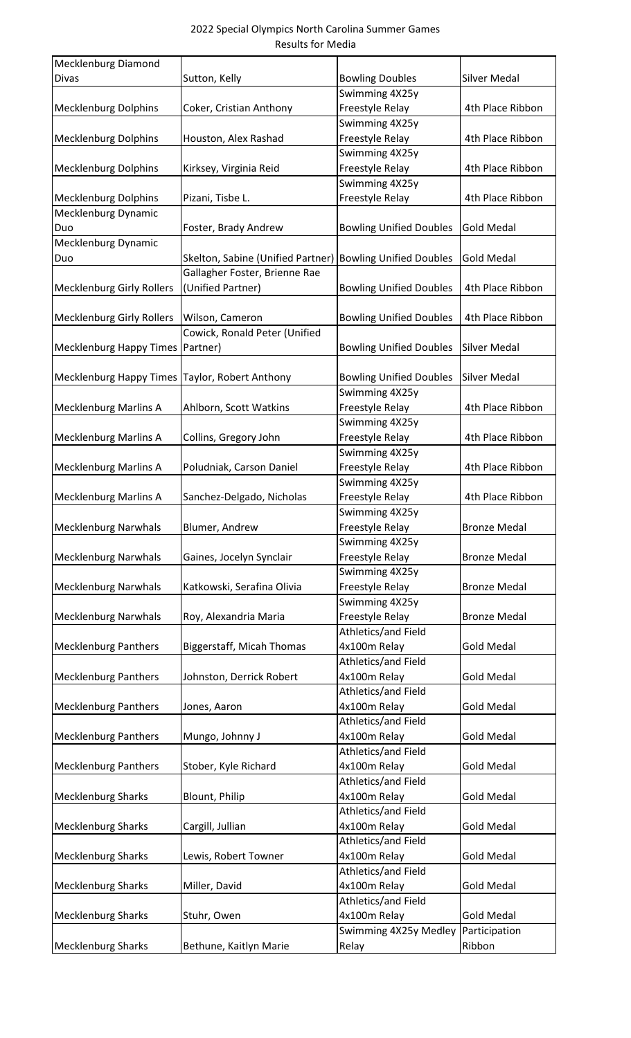| <b>Mecklenburg Diamond</b>         |                                                           |                                |                     |
|------------------------------------|-----------------------------------------------------------|--------------------------------|---------------------|
| Divas                              | Sutton, Kelly                                             | <b>Bowling Doubles</b>         | Silver Medal        |
|                                    |                                                           | Swimming 4X25y                 |                     |
| <b>Mecklenburg Dolphins</b>        | Coker, Cristian Anthony                                   | Freestyle Relay                | 4th Place Ribbon    |
|                                    |                                                           | Swimming 4X25y                 |                     |
| <b>Mecklenburg Dolphins</b>        | Houston, Alex Rashad                                      | Freestyle Relay                | 4th Place Ribbon    |
|                                    |                                                           | Swimming 4X25y                 |                     |
| <b>Mecklenburg Dolphins</b>        | Kirksey, Virginia Reid                                    | Freestyle Relay                | 4th Place Ribbon    |
|                                    |                                                           | Swimming 4X25y                 |                     |
| <b>Mecklenburg Dolphins</b>        | Pizani, Tisbe L.                                          | Freestyle Relay                | 4th Place Ribbon    |
| Mecklenburg Dynamic                |                                                           |                                |                     |
| Duo                                | Foster, Brady Andrew                                      | <b>Bowling Unified Doubles</b> | <b>Gold Medal</b>   |
| Mecklenburg Dynamic                |                                                           |                                |                     |
| Duo                                | Skelton, Sabine (Unified Partner) Bowling Unified Doubles |                                | <b>Gold Medal</b>   |
|                                    | Gallagher Foster, Brienne Rae                             |                                |                     |
| <b>Mecklenburg Girly Rollers</b>   | (Unified Partner)                                         | <b>Bowling Unified Doubles</b> | 4th Place Ribbon    |
|                                    |                                                           |                                |                     |
| <b>Mecklenburg Girly Rollers</b>   | Wilson, Cameron                                           | <b>Bowling Unified Doubles</b> | 4th Place Ribbon    |
|                                    | Cowick, Ronald Peter (Unified                             |                                |                     |
| Mecklenburg Happy Times   Partner) |                                                           | <b>Bowling Unified Doubles</b> | Silver Medal        |
|                                    |                                                           |                                |                     |
| <b>Mecklenburg Happy Times</b>     | Taylor, Robert Anthony                                    | <b>Bowling Unified Doubles</b> | <b>Silver Medal</b> |
|                                    |                                                           | Swimming 4X25y                 |                     |
| <b>Mecklenburg Marlins A</b>       | Ahlborn, Scott Watkins                                    | Freestyle Relay                | 4th Place Ribbon    |
|                                    |                                                           | Swimming 4X25y                 |                     |
| <b>Mecklenburg Marlins A</b>       | Collins, Gregory John                                     | Freestyle Relay                | 4th Place Ribbon    |
|                                    |                                                           | Swimming 4X25y                 |                     |
| <b>Mecklenburg Marlins A</b>       | Poludniak, Carson Daniel                                  | Freestyle Relay                | 4th Place Ribbon    |
|                                    |                                                           | Swimming 4X25y                 |                     |
| <b>Mecklenburg Marlins A</b>       | Sanchez-Delgado, Nicholas                                 | Freestyle Relay                | 4th Place Ribbon    |
|                                    |                                                           | Swimming 4X25y                 |                     |
| <b>Mecklenburg Narwhals</b>        | Blumer, Andrew                                            | Freestyle Relay                | <b>Bronze Medal</b> |
|                                    |                                                           | Swimming 4X25y                 |                     |
| <b>Mecklenburg Narwhals</b>        | Gaines, Jocelyn Synclair                                  | Freestyle Relay                | <b>Bronze Medal</b> |
|                                    |                                                           | Swimming 4X25y                 |                     |
| <b>Mecklenburg Narwhals</b>        | Katkowski, Serafina Olivia                                | Freestyle Relay                | <b>Bronze Medal</b> |
|                                    |                                                           | Swimming 4X25y                 |                     |
| <b>Mecklenburg Narwhals</b>        | Roy, Alexandria Maria                                     | Freestyle Relay                | <b>Bronze Medal</b> |
|                                    |                                                           | Athletics/and Field            |                     |
| <b>Mecklenburg Panthers</b>        | <b>Biggerstaff, Micah Thomas</b>                          | 4x100m Relay                   | <b>Gold Medal</b>   |
|                                    |                                                           | Athletics/and Field            |                     |
| <b>Mecklenburg Panthers</b>        | Johnston, Derrick Robert                                  | 4x100m Relay                   | <b>Gold Medal</b>   |
|                                    |                                                           | Athletics/and Field            |                     |
| <b>Mecklenburg Panthers</b>        | Jones, Aaron                                              | 4x100m Relay                   | <b>Gold Medal</b>   |
|                                    |                                                           | Athletics/and Field            |                     |
| <b>Mecklenburg Panthers</b>        | Mungo, Johnny J                                           | 4x100m Relay                   | <b>Gold Medal</b>   |
|                                    |                                                           | Athletics/and Field            |                     |
| <b>Mecklenburg Panthers</b>        | Stober, Kyle Richard                                      | 4x100m Relay                   | <b>Gold Medal</b>   |
|                                    |                                                           | Athletics/and Field            |                     |
| <b>Mecklenburg Sharks</b>          | Blount, Philip                                            | 4x100m Relay                   | <b>Gold Medal</b>   |
|                                    |                                                           | Athletics/and Field            |                     |
| <b>Mecklenburg Sharks</b>          | Cargill, Jullian                                          | 4x100m Relay                   | <b>Gold Medal</b>   |
|                                    |                                                           | Athletics/and Field            |                     |
| <b>Mecklenburg Sharks</b>          | Lewis, Robert Towner                                      | 4x100m Relay                   | <b>Gold Medal</b>   |
|                                    |                                                           | Athletics/and Field            |                     |
| <b>Mecklenburg Sharks</b>          | Miller, David                                             | 4x100m Relay                   | <b>Gold Medal</b>   |
|                                    |                                                           | Athletics/and Field            |                     |
| <b>Mecklenburg Sharks</b>          | Stuhr, Owen                                               | 4x100m Relay                   | <b>Gold Medal</b>   |
|                                    |                                                           | Swimming 4X25y Medley          | Participation       |
| <b>Mecklenburg Sharks</b>          | Bethune, Kaitlyn Marie                                    | Relay                          | Ribbon              |
|                                    |                                                           |                                |                     |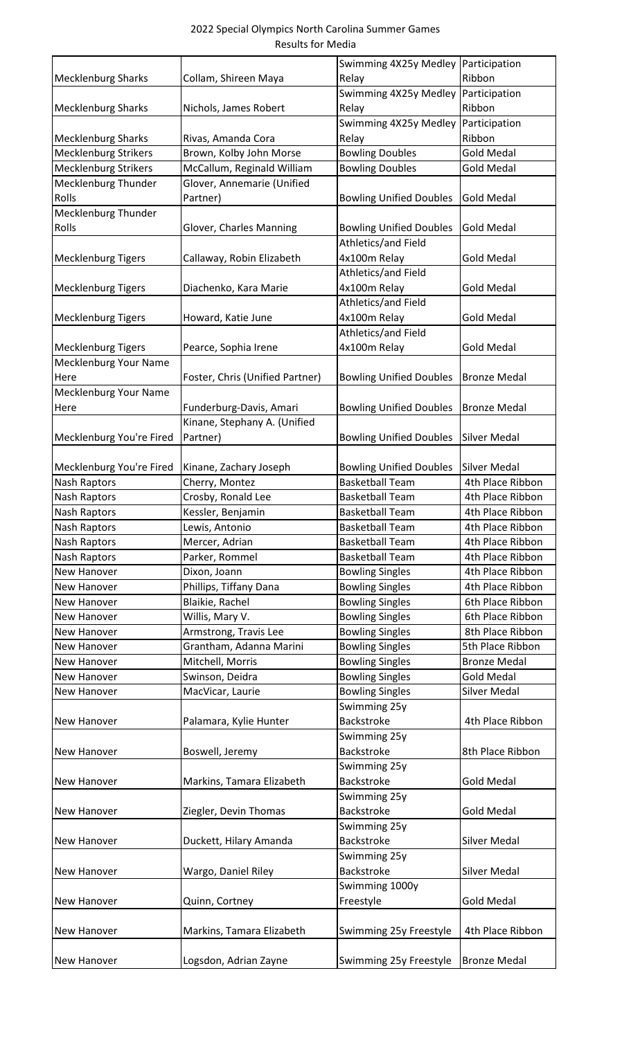|                              |                                 | Swimming 4X25y Medley          | Participation       |
|------------------------------|---------------------------------|--------------------------------|---------------------|
| <b>Mecklenburg Sharks</b>    | Collam, Shireen Maya            | Relay                          | Ribbon              |
|                              |                                 | Swimming 4X25y Medley          | Participation       |
| <b>Mecklenburg Sharks</b>    | Nichols, James Robert           | Relay                          | Ribbon              |
|                              |                                 | Swimming 4X25y Medley          | Participation       |
| <b>Mecklenburg Sharks</b>    | Rivas, Amanda Cora              | Relay                          | Ribbon              |
| <b>Mecklenburg Strikers</b>  | Brown, Kolby John Morse         | <b>Bowling Doubles</b>         | <b>Gold Medal</b>   |
| <b>Mecklenburg Strikers</b>  | McCallum, Reginald William      | <b>Bowling Doubles</b>         | <b>Gold Medal</b>   |
| Mecklenburg Thunder          | Glover, Annemarie (Unified      |                                |                     |
| Rolls                        | Partner)                        | <b>Bowling Unified Doubles</b> | <b>Gold Medal</b>   |
| Mecklenburg Thunder          |                                 |                                |                     |
| Rolls                        | Glover, Charles Manning         | <b>Bowling Unified Doubles</b> | <b>Gold Medal</b>   |
|                              |                                 | Athletics/and Field            |                     |
| <b>Mecklenburg Tigers</b>    | Callaway, Robin Elizabeth       | 4x100m Relay                   | <b>Gold Medal</b>   |
|                              |                                 | Athletics/and Field            |                     |
| <b>Mecklenburg Tigers</b>    | Diachenko, Kara Marie           | 4x100m Relay                   | <b>Gold Medal</b>   |
|                              |                                 | Athletics/and Field            |                     |
| <b>Mecklenburg Tigers</b>    | Howard, Katie June              | 4x100m Relay                   | <b>Gold Medal</b>   |
|                              |                                 | Athletics/and Field            |                     |
| <b>Mecklenburg Tigers</b>    | Pearce, Sophia Irene            | 4x100m Relay                   | <b>Gold Medal</b>   |
| <b>Mecklenburg Your Name</b> |                                 |                                |                     |
| Here                         | Foster, Chris (Unified Partner) | <b>Bowling Unified Doubles</b> | <b>Bronze Medal</b> |
| Mecklenburg Your Name        |                                 |                                |                     |
| Here                         | Funderburg-Davis, Amari         | <b>Bowling Unified Doubles</b> | <b>Bronze Medal</b> |
|                              | Kinane, Stephany A. (Unified    |                                |                     |
| Mecklenburg You're Fired     | Partner)                        | <b>Bowling Unified Doubles</b> | Silver Medal        |
|                              |                                 |                                |                     |
| Mecklenburg You're Fired     | Kinane, Zachary Joseph          | <b>Bowling Unified Doubles</b> | Silver Medal        |
| <b>Nash Raptors</b>          | Cherry, Montez                  | <b>Basketball Team</b>         | 4th Place Ribbon    |
| Nash Raptors                 | Crosby, Ronald Lee              | <b>Basketball Team</b>         | 4th Place Ribbon    |
| <b>Nash Raptors</b>          | Kessler, Benjamin               | <b>Basketball Team</b>         | 4th Place Ribbon    |
| <b>Nash Raptors</b>          | Lewis, Antonio                  | <b>Basketball Team</b>         | 4th Place Ribbon    |
| <b>Nash Raptors</b>          | Mercer, Adrian                  | <b>Basketball Team</b>         | 4th Place Ribbon    |
| <b>Nash Raptors</b>          | Parker, Rommel                  | <b>Basketball Team</b>         | 4th Place Ribbon    |
| New Hanover                  | Dixon, Joann                    | <b>Bowling Singles</b>         | 4th Place Ribbon    |
| New Hanover                  | Phillips, Tiffany Dana          | <b>Bowling Singles</b>         | 4th Place Ribbon    |
| New Hanover                  | Blaikie, Rachel                 | <b>Bowling Singles</b>         | 6th Place Ribbon    |
| New Hanover                  | Willis, Mary V.                 | <b>Bowling Singles</b>         | 6th Place Ribbon    |
| New Hanover                  | Armstrong, Travis Lee           | <b>Bowling Singles</b>         | 8th Place Ribbon    |
| New Hanover                  | Grantham, Adanna Marini         | <b>Bowling Singles</b>         | 5th Place Ribbon    |
| New Hanover                  | Mitchell, Morris                | <b>Bowling Singles</b>         | <b>Bronze Medal</b> |
| New Hanover                  | Swinson, Deidra                 | <b>Bowling Singles</b>         | <b>Gold Medal</b>   |
| New Hanover                  | MacVicar, Laurie                | <b>Bowling Singles</b>         | <b>Silver Medal</b> |
|                              |                                 | Swimming 25y                   |                     |
| New Hanover                  | Palamara, Kylie Hunter          | Backstroke                     | 4th Place Ribbon    |
|                              |                                 | Swimming 25y                   |                     |
| New Hanover                  | Boswell, Jeremy                 | Backstroke                     | 8th Place Ribbon    |
|                              |                                 | Swimming 25y                   |                     |
| New Hanover                  | Markins, Tamara Elizabeth       | Backstroke                     | <b>Gold Medal</b>   |
|                              |                                 | Swimming 25y                   |                     |
| New Hanover                  | Ziegler, Devin Thomas           | <b>Backstroke</b>              | <b>Gold Medal</b>   |
|                              |                                 | Swimming 25y                   |                     |
| New Hanover                  | Duckett, Hilary Amanda          | Backstroke                     | <b>Silver Medal</b> |
|                              |                                 | Swimming 25y                   |                     |
| New Hanover                  | Wargo, Daniel Riley             | Backstroke                     | <b>Silver Medal</b> |
|                              |                                 | Swimming 1000y                 |                     |
| New Hanover                  | Quinn, Cortney                  | Freestyle                      | <b>Gold Medal</b>   |
|                              |                                 |                                |                     |
| New Hanover                  |                                 |                                | 4th Place Ribbon    |
|                              | Markins, Tamara Elizabeth       | Swimming 25y Freestyle         |                     |
|                              |                                 |                                |                     |
| New Hanover                  | Logsdon, Adrian Zayne           | Swimming 25y Freestyle         | <b>Bronze Medal</b> |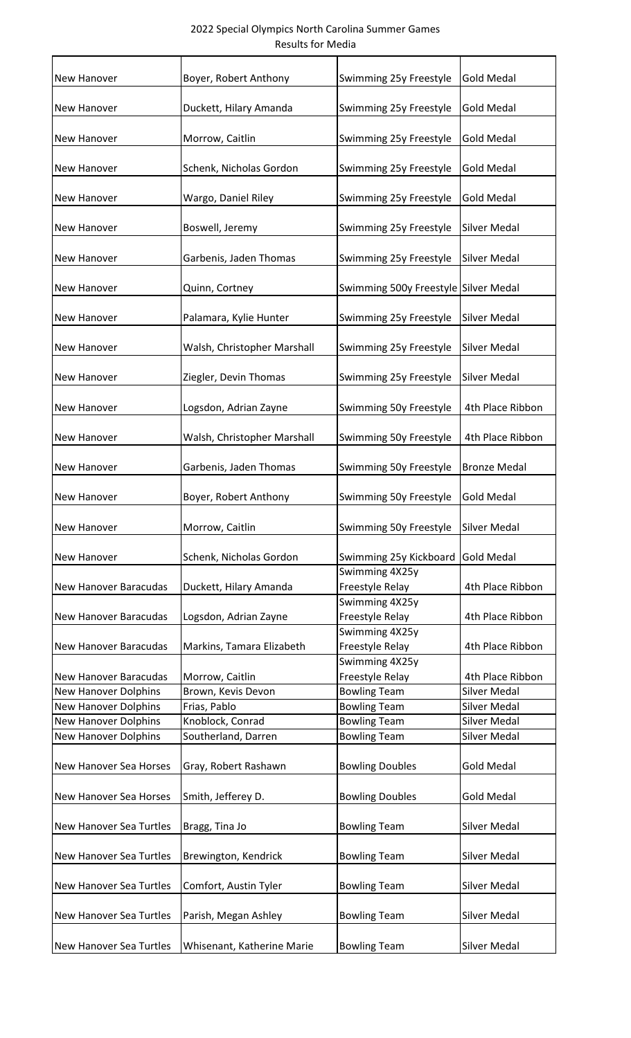| 2022 Special Olympics North Carolina Summer Games |
|---------------------------------------------------|
| <b>Results for Media</b>                          |

| New Hanover                  | Boyer, Robert Anthony       | Swimming 25y Freestyle               | <b>Gold Medal</b>   |
|------------------------------|-----------------------------|--------------------------------------|---------------------|
| New Hanover                  | Duckett, Hilary Amanda      | Swimming 25y Freestyle               | <b>Gold Medal</b>   |
| <b>New Hanover</b>           | Morrow, Caitlin             | Swimming 25y Freestyle               | <b>Gold Medal</b>   |
| New Hanover                  | Schenk, Nicholas Gordon     | Swimming 25y Freestyle               | <b>Gold Medal</b>   |
| New Hanover                  | Wargo, Daniel Riley         | Swimming 25y Freestyle               | <b>Gold Medal</b>   |
| New Hanover                  | Boswell, Jeremy             | Swimming 25y Freestyle               | Silver Medal        |
| <b>New Hanover</b>           | Garbenis, Jaden Thomas      | Swimming 25y Freestyle               | Silver Medal        |
| New Hanover                  | Quinn, Cortney              | Swimming 500y Freestyle Silver Medal |                     |
| New Hanover                  | Palamara, Kylie Hunter      | Swimming 25y Freestyle               | <b>Silver Medal</b> |
| New Hanover                  | Walsh, Christopher Marshall | Swimming 25y Freestyle               | Silver Medal        |
| New Hanover                  | Ziegler, Devin Thomas       | Swimming 25y Freestyle               | Silver Medal        |
| New Hanover                  | Logsdon, Adrian Zayne       | Swimming 50y Freestyle               | 4th Place Ribbon    |
| New Hanover                  | Walsh, Christopher Marshall | Swimming 50y Freestyle               | 4th Place Ribbon    |
| <b>New Hanover</b>           | Garbenis, Jaden Thomas      | Swimming 50y Freestyle               | <b>Bronze Medal</b> |
| <b>New Hanover</b>           | Boyer, Robert Anthony       | Swimming 50y Freestyle               | <b>Gold Medal</b>   |
| <b>New Hanover</b>           | Morrow, Caitlin             | Swimming 50y Freestyle               | <b>Silver Medal</b> |
| New Hanover                  | Schenk, Nicholas Gordon     | Swimming 25y Kickboard               | <b>Gold Medal</b>   |
| <b>New Hanover Baracudas</b> | Duckett, Hilary Amanda      | Swimming 4X25y<br>Freestyle Relay    | 4th Place Ribbon    |
| New Hanover Baracudas        | Logsdon, Adrian Zayne       | Swimming 4X25y<br>Freestyle Relay    | 4th Place Ribbon    |
| <b>New Hanover Baracudas</b> | Markins, Tamara Elizabeth   | Swimming 4X25y<br>Freestyle Relay    | 4th Place Ribbon    |
| New Hanover Baracudas        | Morrow, Caitlin             | Swimming 4X25y<br>Freestyle Relay    | 4th Place Ribbon    |
| New Hanover Dolphins         | Brown, Kevis Devon          | <b>Bowling Team</b>                  | Silver Medal        |
| New Hanover Dolphins         | Frias, Pablo                | <b>Bowling Team</b>                  | <b>Silver Medal</b> |
| New Hanover Dolphins         | Knoblock, Conrad            | <b>Bowling Team</b>                  | <b>Silver Medal</b> |
| New Hanover Dolphins         | Southerland, Darren         | <b>Bowling Team</b>                  | <b>Silver Medal</b> |
| New Hanover Sea Horses       | Gray, Robert Rashawn        | <b>Bowling Doubles</b>               | <b>Gold Medal</b>   |
| New Hanover Sea Horses       | Smith, Jefferey D.          | <b>Bowling Doubles</b>               | <b>Gold Medal</b>   |
| New Hanover Sea Turtles      | Bragg, Tina Jo              | <b>Bowling Team</b>                  | <b>Silver Medal</b> |
| New Hanover Sea Turtles      | Brewington, Kendrick        | <b>Bowling Team</b>                  | Silver Medal        |
| New Hanover Sea Turtles      | Comfort, Austin Tyler       | <b>Bowling Team</b>                  | Silver Medal        |
| New Hanover Sea Turtles      | Parish, Megan Ashley        | <b>Bowling Team</b>                  | Silver Medal        |
| New Hanover Sea Turtles      | Whisenant, Katherine Marie  | <b>Bowling Team</b>                  | Silver Medal        |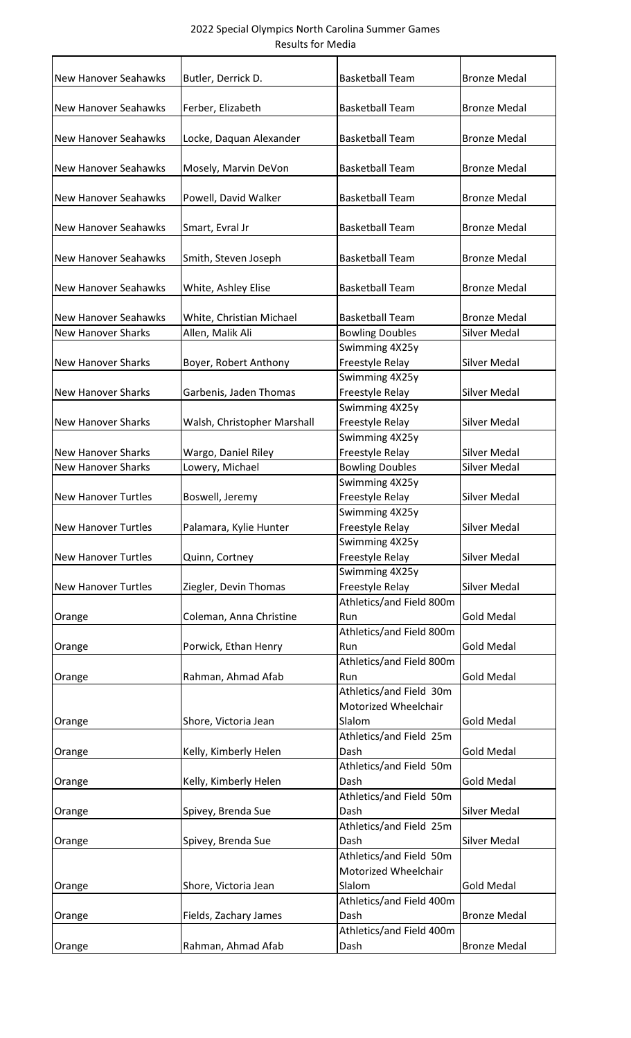| <b>New Hanover Seahawks</b> | Butler, Derrick D.          | <b>Basketball Team</b>   | <b>Bronze Medal</b> |
|-----------------------------|-----------------------------|--------------------------|---------------------|
|                             |                             |                          |                     |
| <b>New Hanover Seahawks</b> | Ferber, Elizabeth           | <b>Basketball Team</b>   | <b>Bronze Medal</b> |
|                             |                             |                          |                     |
| <b>New Hanover Seahawks</b> | Locke, Daquan Alexander     | <b>Basketball Team</b>   | <b>Bronze Medal</b> |
|                             |                             |                          |                     |
| New Hanover Seahawks        | Mosely, Marvin DeVon        | <b>Basketball Team</b>   | <b>Bronze Medal</b> |
| <b>New Hanover Seahawks</b> | Powell, David Walker        | <b>Basketball Team</b>   | <b>Bronze Medal</b> |
|                             |                             |                          |                     |
| <b>New Hanover Seahawks</b> | Smart, Evral Jr             | <b>Basketball Team</b>   | <b>Bronze Medal</b> |
|                             |                             |                          |                     |
| <b>New Hanover Seahawks</b> | Smith, Steven Joseph        | <b>Basketball Team</b>   | <b>Bronze Medal</b> |
|                             |                             |                          |                     |
| <b>New Hanover Seahawks</b> | White, Ashley Elise         | <b>Basketball Team</b>   | <b>Bronze Medal</b> |
|                             |                             |                          |                     |
| New Hanover Seahawks        | White, Christian Michael    | <b>Basketball Team</b>   | <b>Bronze Medal</b> |
| <b>New Hanover Sharks</b>   | Allen, Malik Ali            | <b>Bowling Doubles</b>   | <b>Silver Medal</b> |
|                             |                             | Swimming 4X25y           |                     |
| <b>New Hanover Sharks</b>   | Boyer, Robert Anthony       | Freestyle Relay          | <b>Silver Medal</b> |
|                             |                             | Swimming 4X25y           |                     |
| <b>New Hanover Sharks</b>   | Garbenis, Jaden Thomas      | Freestyle Relay          | <b>Silver Medal</b> |
|                             |                             | Swimming 4X25y           |                     |
| <b>New Hanover Sharks</b>   | Walsh, Christopher Marshall | Freestyle Relay          | <b>Silver Medal</b> |
|                             |                             | Swimming 4X25y           |                     |
| <b>New Hanover Sharks</b>   | Wargo, Daniel Riley         | Freestyle Relay          | <b>Silver Medal</b> |
| <b>New Hanover Sharks</b>   | Lowery, Michael             | <b>Bowling Doubles</b>   | <b>Silver Medal</b> |
|                             |                             | Swimming 4X25y           |                     |
| <b>New Hanover Turtles</b>  | Boswell, Jeremy             | Freestyle Relay          | <b>Silver Medal</b> |
|                             |                             | Swimming 4X25y           |                     |
| New Hanover Turtles         | Palamara, Kylie Hunter      | Freestyle Relay          | <b>Silver Medal</b> |
|                             |                             | Swimming 4X25y           |                     |
| New Hanover Turtles         | Quinn, Cortney              | Freestyle Relay          | Silver Medal        |
|                             |                             | Swimming 4X25y           |                     |
| <b>New Hanover Turtles</b>  | Ziegler, Devin Thomas       | Freestyle Relay          | <b>Silver Medal</b> |
|                             |                             |                          |                     |
|                             |                             | Athletics/and Field 800m |                     |
| Orange                      | Coleman, Anna Christine     | Run                      | <b>Gold Medal</b>   |
|                             |                             | Athletics/and Field 800m |                     |
| Orange                      | Porwick, Ethan Henry        | Run                      | <b>Gold Medal</b>   |
|                             |                             | Athletics/and Field 800m |                     |
| Orange                      | Rahman, Ahmad Afab          | Run                      | <b>Gold Medal</b>   |
|                             |                             | Athletics/and Field 30m  |                     |
|                             |                             | Motorized Wheelchair     |                     |
| Orange                      | Shore, Victoria Jean        | Slalom                   | <b>Gold Medal</b>   |
|                             |                             | Athletics/and Field 25m  |                     |
| Orange                      | Kelly, Kimberly Helen       | Dash                     | <b>Gold Medal</b>   |
|                             |                             | Athletics/and Field 50m  |                     |
| Orange                      | Kelly, Kimberly Helen       | Dash                     | <b>Gold Medal</b>   |
|                             |                             | Athletics/and Field 50m  |                     |
| Orange                      | Spivey, Brenda Sue          | Dash                     | Silver Medal        |
|                             |                             | Athletics/and Field 25m  |                     |
| Orange                      | Spivey, Brenda Sue          | Dash                     | <b>Silver Medal</b> |
|                             |                             | Athletics/and Field 50m  |                     |
|                             |                             | Motorized Wheelchair     |                     |
| Orange                      | Shore, Victoria Jean        | Slalom                   | <b>Gold Medal</b>   |
|                             |                             | Athletics/and Field 400m |                     |
| Orange                      | Fields, Zachary James       | Dash                     | <b>Bronze Medal</b> |
|                             |                             | Athletics/and Field 400m |                     |
| Orange                      | Rahman, Ahmad Afab          | Dash                     | <b>Bronze Medal</b> |
|                             |                             |                          |                     |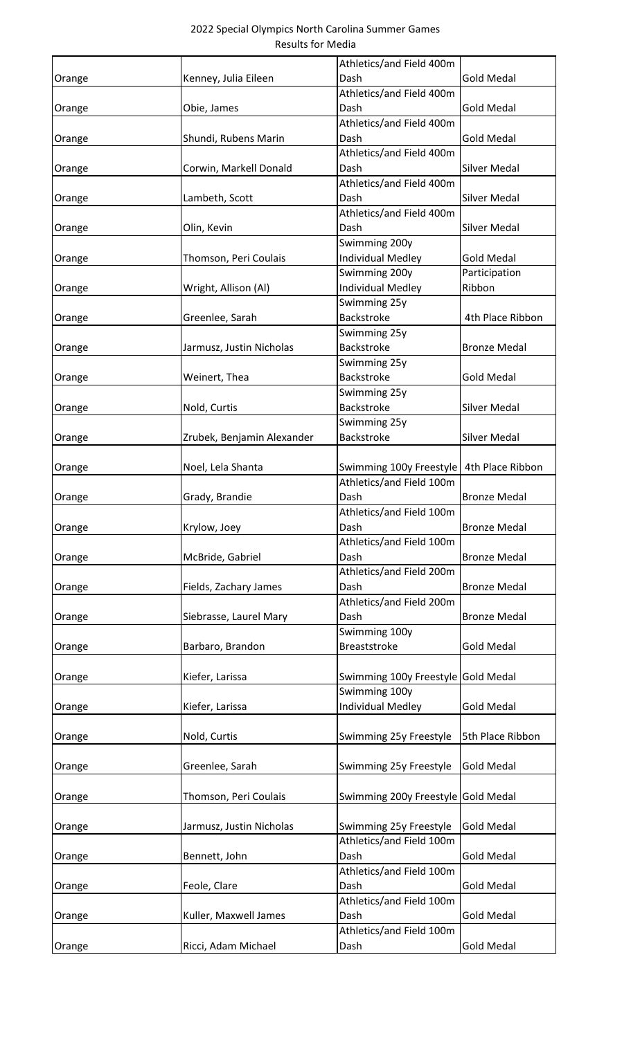|        |                            | Athletics/and Field 400m                   |                     |
|--------|----------------------------|--------------------------------------------|---------------------|
| Orange | Kenney, Julia Eileen       | Dash                                       | <b>Gold Medal</b>   |
|        |                            | Athletics/and Field 400m                   |                     |
| Orange | Obie, James                | Dash                                       | <b>Gold Medal</b>   |
|        |                            | Athletics/and Field 400m                   |                     |
| Orange | Shundi, Rubens Marin       | Dash                                       | <b>Gold Medal</b>   |
|        |                            | Athletics/and Field 400m                   |                     |
| Orange | Corwin, Markell Donald     | Dash                                       | <b>Silver Medal</b> |
|        |                            | Athletics/and Field 400m                   |                     |
| Orange | Lambeth, Scott             | Dash                                       | Silver Medal        |
|        |                            | Athletics/and Field 400m                   |                     |
| Orange | Olin, Kevin                | Dash                                       | Silver Medal        |
|        |                            | Swimming 200y                              |                     |
| Orange | Thomson, Peri Coulais      | <b>Individual Medley</b>                   | <b>Gold Medal</b>   |
|        |                            | Swimming 200y                              | Participation       |
| Orange | Wright, Allison (Al)       | <b>Individual Medley</b>                   | Ribbon              |
|        |                            | Swimming 25y                               |                     |
| Orange | Greenlee, Sarah            | Backstroke                                 | 4th Place Ribbon    |
|        |                            | Swimming 25y                               |                     |
| Orange | Jarmusz, Justin Nicholas   | Backstroke                                 | <b>Bronze Medal</b> |
|        |                            | Swimming 25y                               |                     |
|        | Weinert, Thea              | Backstroke                                 | <b>Gold Medal</b>   |
| Orange |                            | Swimming 25y                               |                     |
|        |                            | Backstroke                                 | Silver Medal        |
| Orange | Nold, Curtis               |                                            |                     |
|        |                            | Swimming 25y                               |                     |
| Orange | Zrubek, Benjamin Alexander | <b>Backstroke</b>                          | Silver Medal        |
|        |                            |                                            |                     |
| Orange | Noel, Lela Shanta          | Swimming 100y Freestyle   4th Place Ribbon |                     |
|        |                            | Athletics/and Field 100m                   |                     |
| Orange | Grady, Brandie             | Dash                                       | <b>Bronze Medal</b> |
|        |                            | Athletics/and Field 100m                   |                     |
| Orange | Krylow, Joey               | Dash                                       | <b>Bronze Medal</b> |
|        |                            | Athletics/and Field 100m                   |                     |
| Orange | McBride, Gabriel           | Dash                                       | <b>Bronze Medal</b> |
|        |                            | Athletics/and Field 200m                   |                     |
| Orange | Fields, Zachary James      | Dash                                       | <b>Bronze Medal</b> |
|        |                            | Athletics/and Field 200m                   |                     |
| Orange | Siebrasse, Laurel Mary     | Dash                                       | <b>Bronze Medal</b> |
|        |                            | Swimming 100y                              |                     |
| Orange | Barbaro, Brandon           | <b>Breaststroke</b>                        | <b>Gold Medal</b>   |
|        |                            |                                            |                     |
| Orange | Kiefer, Larissa            | Swimming 100y Freestyle Gold Medal         |                     |
|        |                            | Swimming 100y                              |                     |
| Orange | Kiefer, Larissa            | <b>Individual Medley</b>                   | <b>Gold Medal</b>   |
|        |                            |                                            |                     |
| Orange | Nold, Curtis               | Swimming 25y Freestyle                     | 5th Place Ribbon    |
|        |                            |                                            |                     |
| Orange | Greenlee, Sarah            | Swimming 25y Freestyle                     | <b>Gold Medal</b>   |
|        |                            |                                            |                     |
| Orange | Thomson, Peri Coulais      | Swimming 200y Freestyle Gold Medal         |                     |
|        |                            |                                            |                     |
| Orange | Jarmusz, Justin Nicholas   | Swimming 25y Freestyle                     | <b>Gold Medal</b>   |
|        |                            | Athletics/and Field 100m                   |                     |
| Orange | Bennett, John              | Dash                                       | <b>Gold Medal</b>   |
|        |                            | Athletics/and Field 100m                   |                     |
| Orange | Feole, Clare               | Dash                                       | <b>Gold Medal</b>   |
|        |                            | Athletics/and Field 100m                   |                     |
| Orange | Kuller, Maxwell James      | Dash                                       | <b>Gold Medal</b>   |
|        |                            | Athletics/and Field 100m                   |                     |
| Orange | Ricci, Adam Michael        | Dash                                       | <b>Gold Medal</b>   |
|        |                            |                                            |                     |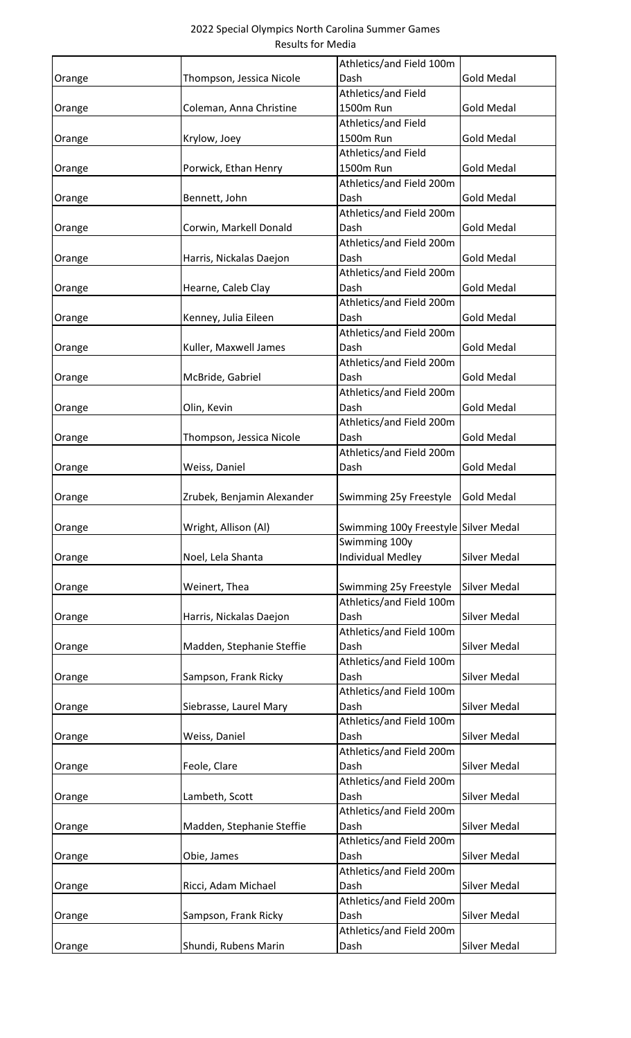|        |                            | Athletics/and Field 100m             |                     |
|--------|----------------------------|--------------------------------------|---------------------|
| Orange | Thompson, Jessica Nicole   | Dash                                 | <b>Gold Medal</b>   |
|        |                            | Athletics/and Field                  |                     |
| Orange | Coleman, Anna Christine    | 1500m Run                            | <b>Gold Medal</b>   |
|        |                            | Athletics/and Field                  |                     |
| Orange | Krylow, Joey               | 1500m Run                            | <b>Gold Medal</b>   |
|        |                            | Athletics/and Field                  |                     |
| Orange | Porwick, Ethan Henry       | 1500m Run                            | <b>Gold Medal</b>   |
|        |                            | Athletics/and Field 200m             |                     |
| Orange | Bennett, John              | Dash                                 | <b>Gold Medal</b>   |
|        |                            | Athletics/and Field 200m             |                     |
| Orange | Corwin, Markell Donald     | Dash                                 | <b>Gold Medal</b>   |
|        |                            | Athletics/and Field 200m             |                     |
| Orange | Harris, Nickalas Daejon    | Dash                                 | <b>Gold Medal</b>   |
|        |                            | Athletics/and Field 200m             |                     |
| Orange | Hearne, Caleb Clay         | Dash                                 | <b>Gold Medal</b>   |
|        |                            | Athletics/and Field 200m             |                     |
| Orange | Kenney, Julia Eileen       | Dash                                 | <b>Gold Medal</b>   |
|        |                            | Athletics/and Field 200m             |                     |
| Orange | Kuller, Maxwell James      | Dash                                 | <b>Gold Medal</b>   |
|        |                            | Athletics/and Field 200m             |                     |
| Orange | McBride, Gabriel           | Dash                                 | <b>Gold Medal</b>   |
|        |                            | Athletics/and Field 200m             |                     |
| Orange | Olin, Kevin                | Dash                                 | <b>Gold Medal</b>   |
|        |                            | Athletics/and Field 200m             |                     |
| Orange | Thompson, Jessica Nicole   | Dash                                 | <b>Gold Medal</b>   |
|        |                            | Athletics/and Field 200m             |                     |
| Orange | Weiss, Daniel              | Dash                                 | <b>Gold Medal</b>   |
|        |                            |                                      |                     |
| Orange | Zrubek, Benjamin Alexander | Swimming 25y Freestyle               | <b>Gold Medal</b>   |
|        |                            |                                      |                     |
| Orange | Wright, Allison (Al)       | Swimming 100y Freestyle Silver Medal |                     |
|        |                            | Swimming 100y                        |                     |
| Orange | Noel, Lela Shanta          | <b>Individual Medley</b>             | Silver Medal        |
|        |                            |                                      |                     |
| Orange | Weinert, Thea              | Swimming 25y Freestyle               | Silver Medal        |
|        |                            | Athletics/and Field 100m             |                     |
| Orange | Harris, Nickalas Daejon    | Dash                                 | Silver Medal        |
|        |                            | Athletics/and Field 100m             |                     |
| Orange | Madden, Stephanie Steffie  | Dash                                 | Silver Medal        |
|        |                            | Athletics/and Field 100m             |                     |
| Orange | Sampson, Frank Ricky       | Dash                                 | <b>Silver Medal</b> |
|        |                            | Athletics/and Field 100m             |                     |
| Orange |                            |                                      |                     |
|        | Siebrasse, Laurel Mary     | Dash                                 | <b>Silver Medal</b> |
|        |                            | Athletics/and Field 100m             |                     |
| Orange | Weiss, Daniel              | Dash                                 | <b>Silver Medal</b> |
|        |                            | Athletics/and Field 200m             |                     |
| Orange | Feole, Clare               | Dash                                 | Silver Medal        |
|        |                            | Athletics/and Field 200m             |                     |
| Orange | Lambeth, Scott             | Dash                                 | Silver Medal        |
|        |                            | Athletics/and Field 200m             |                     |
| Orange | Madden, Stephanie Steffie  | Dash                                 | Silver Medal        |
|        |                            | Athletics/and Field 200m             |                     |
| Orange | Obie, James                | Dash                                 | Silver Medal        |
|        |                            | Athletics/and Field 200m             |                     |
| Orange | Ricci, Adam Michael        | Dash                                 | <b>Silver Medal</b> |
|        |                            | Athletics/and Field 200m             |                     |
| Orange | Sampson, Frank Ricky       | Dash                                 | <b>Silver Medal</b> |
| Orange | Shundi, Rubens Marin       | Athletics/and Field 200m<br>Dash     | <b>Silver Medal</b> |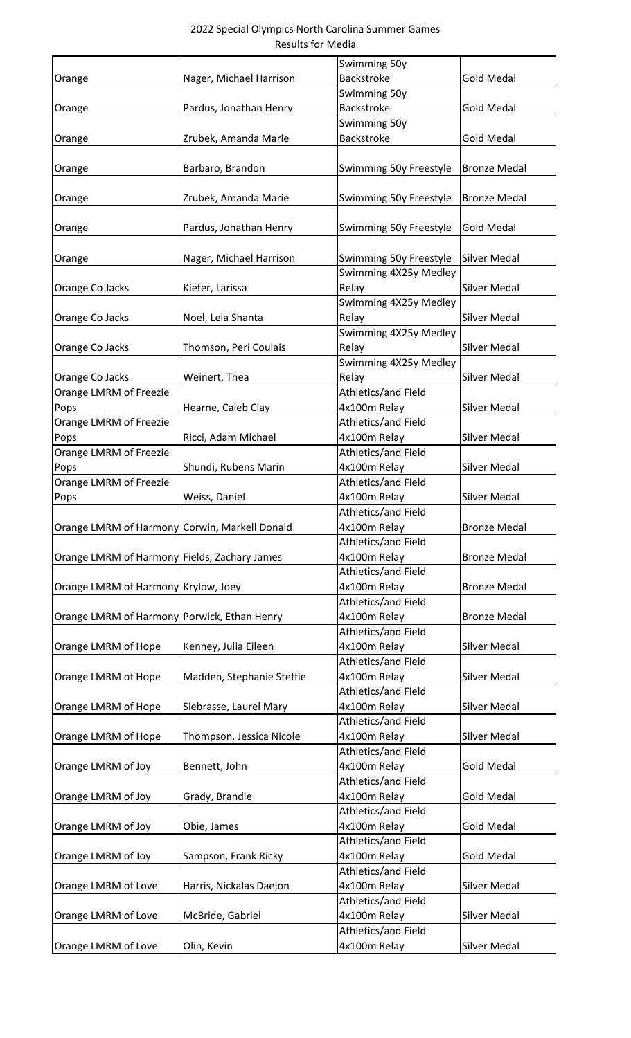|                                               |                           | Swimming 50y           |                     |
|-----------------------------------------------|---------------------------|------------------------|---------------------|
| Orange                                        | Nager, Michael Harrison   | Backstroke             | <b>Gold Medal</b>   |
|                                               |                           | Swimming 50y           |                     |
| Orange                                        | Pardus, Jonathan Henry    | Backstroke             | <b>Gold Medal</b>   |
|                                               |                           | Swimming 50y           |                     |
| Orange                                        | Zrubek, Amanda Marie      | Backstroke             | <b>Gold Medal</b>   |
|                                               |                           |                        |                     |
| Orange                                        | Barbaro, Brandon          | Swimming 50y Freestyle | <b>Bronze Medal</b> |
|                                               |                           |                        |                     |
|                                               | Zrubek, Amanda Marie      | Swimming 50y Freestyle | <b>Bronze Medal</b> |
| Orange                                        |                           |                        |                     |
|                                               |                           |                        | <b>Gold Medal</b>   |
| Orange                                        | Pardus, Jonathan Henry    | Swimming 50y Freestyle |                     |
|                                               |                           |                        |                     |
| Orange                                        | Nager, Michael Harrison   | Swimming 50y Freestyle | <b>Silver Medal</b> |
|                                               |                           | Swimming 4X25y Medley  |                     |
| Orange Co Jacks                               | Kiefer, Larissa           | Relay                  | Silver Medal        |
|                                               |                           | Swimming 4X25y Medley  |                     |
| Orange Co Jacks                               | Noel, Lela Shanta         | Relay                  | Silver Medal        |
|                                               |                           | Swimming 4X25y Medley  |                     |
| Orange Co Jacks                               | Thomson, Peri Coulais     | Relay                  | Silver Medal        |
|                                               |                           | Swimming 4X25y Medley  |                     |
| Orange Co Jacks                               | Weinert, Thea             | Relay                  | Silver Medal        |
| Orange LMRM of Freezie                        |                           | Athletics/and Field    |                     |
| Pops                                          | Hearne, Caleb Clay        | 4x100m Relay           | Silver Medal        |
| Orange LMRM of Freezie                        |                           | Athletics/and Field    |                     |
| Pops                                          | Ricci, Adam Michael       | 4x100m Relay           | Silver Medal        |
| Orange LMRM of Freezie                        |                           | Athletics/and Field    |                     |
| Pops                                          | Shundi, Rubens Marin      | 4x100m Relay           | Silver Medal        |
| Orange LMRM of Freezie                        |                           | Athletics/and Field    |                     |
| Pops                                          | Weiss, Daniel             | 4x100m Relay           | Silver Medal        |
|                                               |                           | Athletics/and Field    |                     |
| Orange LMRM of Harmony Corwin, Markell Donald |                           | 4x100m Relay           | <b>Bronze Medal</b> |
|                                               |                           | Athletics/and Field    |                     |
| Orange LMRM of Harmony Fields, Zachary James  |                           | 4x100m Relay           | <b>Bronze Medal</b> |
|                                               |                           | Athletics/and Field    |                     |
|                                               |                           |                        | <b>Bronze Medal</b> |
| Orange LMRM of Harmony Krylow, Joey           |                           | 4x100m Relay           |                     |
|                                               |                           | Athletics/and Field    |                     |
| Orange LMRM of Harmony Porwick, Ethan Henry   |                           | 4x100m Relay           | <b>Bronze Medal</b> |
|                                               |                           | Athletics/and Field    |                     |
| Orange LMRM of Hope                           | Kenney, Julia Eileen      | 4x100m Relay           | Silver Medal        |
|                                               |                           | Athletics/and Field    |                     |
| Orange LMRM of Hope                           | Madden, Stephanie Steffie | 4x100m Relay           | Silver Medal        |
|                                               |                           | Athletics/and Field    |                     |
| Orange LMRM of Hope                           | Siebrasse, Laurel Mary    | 4x100m Relay           | Silver Medal        |
|                                               |                           | Athletics/and Field    |                     |
| Orange LMRM of Hope                           | Thompson, Jessica Nicole  | 4x100m Relay           | Silver Medal        |
|                                               |                           | Athletics/and Field    |                     |
| Orange LMRM of Joy                            | Bennett, John             | 4x100m Relay           | <b>Gold Medal</b>   |
|                                               |                           | Athletics/and Field    |                     |
| Orange LMRM of Joy                            | Grady, Brandie            | 4x100m Relay           | <b>Gold Medal</b>   |
|                                               |                           | Athletics/and Field    |                     |
| Orange LMRM of Joy                            | Obie, James               | 4x100m Relay           | <b>Gold Medal</b>   |
|                                               |                           | Athletics/and Field    |                     |
| Orange LMRM of Joy                            | Sampson, Frank Ricky      | 4x100m Relay           | <b>Gold Medal</b>   |
|                                               |                           | Athletics/and Field    |                     |
| Orange LMRM of Love                           | Harris, Nickalas Daejon   | 4x100m Relay           | Silver Medal        |
|                                               |                           | Athletics/and Field    |                     |
| Orange LMRM of Love                           | McBride, Gabriel          | 4x100m Relay           | Silver Medal        |
|                                               |                           | Athletics/and Field    |                     |
|                                               |                           |                        |                     |
| Orange LMRM of Love                           | Olin, Kevin               | 4x100m Relay           | Silver Medal        |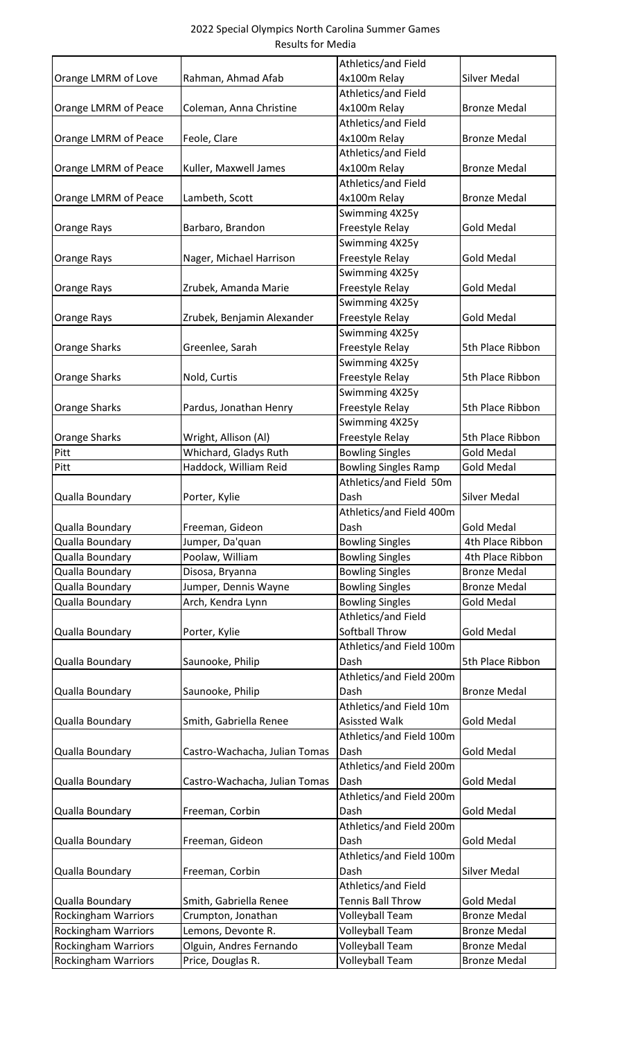|                                                          |                                              | Athletics/and Field                              |                                            |
|----------------------------------------------------------|----------------------------------------------|--------------------------------------------------|--------------------------------------------|
| Orange LMRM of Love                                      | Rahman, Ahmad Afab                           | 4x100m Relay                                     | Silver Medal                               |
|                                                          |                                              | Athletics/and Field                              |                                            |
| Orange LMRM of Peace                                     | Coleman, Anna Christine                      | 4x100m Relay                                     | <b>Bronze Medal</b>                        |
|                                                          |                                              | Athletics/and Field                              |                                            |
| Orange LMRM of Peace                                     | Feole, Clare                                 | 4x100m Relay                                     | <b>Bronze Medal</b>                        |
|                                                          |                                              | Athletics/and Field                              |                                            |
| Orange LMRM of Peace                                     | Kuller, Maxwell James                        | 4x100m Relay                                     | <b>Bronze Medal</b>                        |
|                                                          |                                              | Athletics/and Field                              |                                            |
| Orange LMRM of Peace                                     | Lambeth, Scott                               | 4x100m Relay                                     | <b>Bronze Medal</b>                        |
|                                                          |                                              | Swimming 4X25y                                   |                                            |
| Orange Rays                                              | Barbaro, Brandon                             | Freestyle Relay                                  | <b>Gold Medal</b>                          |
|                                                          |                                              | Swimming 4X25y                                   |                                            |
| Orange Rays                                              | Nager, Michael Harrison                      | Freestyle Relay                                  | <b>Gold Medal</b>                          |
|                                                          |                                              | Swimming 4X25y                                   |                                            |
|                                                          |                                              |                                                  |                                            |
| Orange Rays                                              | Zrubek, Amanda Marie                         | Freestyle Relay                                  | <b>Gold Medal</b>                          |
|                                                          |                                              | Swimming 4X25y                                   |                                            |
| Orange Rays                                              | Zrubek, Benjamin Alexander                   | Freestyle Relay                                  | <b>Gold Medal</b>                          |
|                                                          |                                              | Swimming 4X25y                                   |                                            |
| <b>Orange Sharks</b>                                     | Greenlee, Sarah                              | Freestyle Relay                                  | 5th Place Ribbon                           |
|                                                          |                                              | Swimming 4X25y                                   |                                            |
| <b>Orange Sharks</b>                                     | Nold, Curtis                                 | Freestyle Relay                                  | 5th Place Ribbon                           |
|                                                          |                                              | Swimming 4X25y                                   |                                            |
| <b>Orange Sharks</b>                                     | Pardus, Jonathan Henry                       | Freestyle Relay                                  | 5th Place Ribbon                           |
|                                                          |                                              | Swimming 4X25y                                   |                                            |
| Orange Sharks                                            | Wright, Allison (Al)                         | Freestyle Relay                                  | 5th Place Ribbon                           |
| Pitt                                                     | Whichard, Gladys Ruth                        | <b>Bowling Singles</b>                           | <b>Gold Medal</b>                          |
| Pitt                                                     | Haddock, William Reid                        | <b>Bowling Singles Ramp</b>                      | <b>Gold Medal</b>                          |
|                                                          |                                              | Athletics/and Field 50m                          |                                            |
| Qualla Boundary                                          | Porter, Kylie                                | Dash                                             | <b>Silver Medal</b>                        |
|                                                          |                                              | Athletics/and Field 400m                         |                                            |
| Qualla Boundary                                          | Freeman, Gideon                              | Dash                                             | <b>Gold Medal</b>                          |
| Qualla Boundary                                          | Jumper, Da'quan                              | <b>Bowling Singles</b>                           | 4th Place Ribbon                           |
| Qualla Boundary                                          | Poolaw, William                              | <b>Bowling Singles</b>                           | 4th Place Ribbon                           |
| Qualla Boundary                                          | Disosa, Bryanna                              | <b>Bowling Singles</b>                           | <b>Bronze Medal</b>                        |
|                                                          | Jumper, Dennis Wayne                         | <b>Bowling Singles</b>                           | <b>Bronze Medal</b>                        |
|                                                          |                                              |                                                  |                                            |
| Qualla Boundary                                          |                                              |                                                  |                                            |
| Qualla Boundary                                          | Arch, Kendra Lynn                            | <b>Bowling Singles</b>                           | <b>Gold Medal</b>                          |
|                                                          |                                              | Athletics/and Field                              |                                            |
| Qualla Boundary                                          | Porter, Kylie                                | Softball Throw                                   | <b>Gold Medal</b>                          |
|                                                          |                                              | Athletics/and Field 100m                         |                                            |
| Qualla Boundary                                          | Saunooke, Philip                             | Dash                                             | 5th Place Ribbon                           |
|                                                          |                                              | Athletics/and Field 200m                         |                                            |
| Qualla Boundary                                          | Saunooke, Philip                             | Dash                                             | <b>Bronze Medal</b>                        |
|                                                          |                                              | Athletics/and Field 10m                          |                                            |
| Qualla Boundary                                          | Smith, Gabriella Renee                       | <b>Asissted Walk</b>                             | <b>Gold Medal</b>                          |
|                                                          |                                              | Athletics/and Field 100m                         |                                            |
| Qualla Boundary                                          | Castro-Wachacha, Julian Tomas                | Dash                                             | <b>Gold Medal</b>                          |
|                                                          |                                              | Athletics/and Field 200m                         |                                            |
| Qualla Boundary                                          | Castro-Wachacha, Julian Tomas                | Dash                                             | <b>Gold Medal</b>                          |
|                                                          |                                              | Athletics/and Field 200m                         |                                            |
| Qualla Boundary                                          | Freeman, Corbin                              | Dash                                             | <b>Gold Medal</b>                          |
|                                                          |                                              | Athletics/and Field 200m                         |                                            |
| Qualla Boundary                                          | Freeman, Gideon                              | Dash                                             | <b>Gold Medal</b>                          |
|                                                          |                                              |                                                  |                                            |
|                                                          |                                              | Athletics/and Field 100m<br>Dash                 |                                            |
| Qualla Boundary                                          | Freeman, Corbin                              |                                                  | <b>Silver Medal</b>                        |
|                                                          |                                              | Athletics/and Field                              |                                            |
| Qualla Boundary                                          | Smith, Gabriella Renee                       | <b>Tennis Ball Throw</b>                         | <b>Gold Medal</b>                          |
| <b>Rockingham Warriors</b>                               | Crumpton, Jonathan                           | <b>Volleyball Team</b>                           | <b>Bronze Medal</b>                        |
| <b>Rockingham Warriors</b>                               | Lemons, Devonte R.                           | Volleyball Team                                  | <b>Bronze Medal</b>                        |
| <b>Rockingham Warriors</b><br><b>Rockingham Warriors</b> | Olguin, Andres Fernando<br>Price, Douglas R. | <b>Volleyball Team</b><br><b>Volleyball Team</b> | <b>Bronze Medal</b><br><b>Bronze Medal</b> |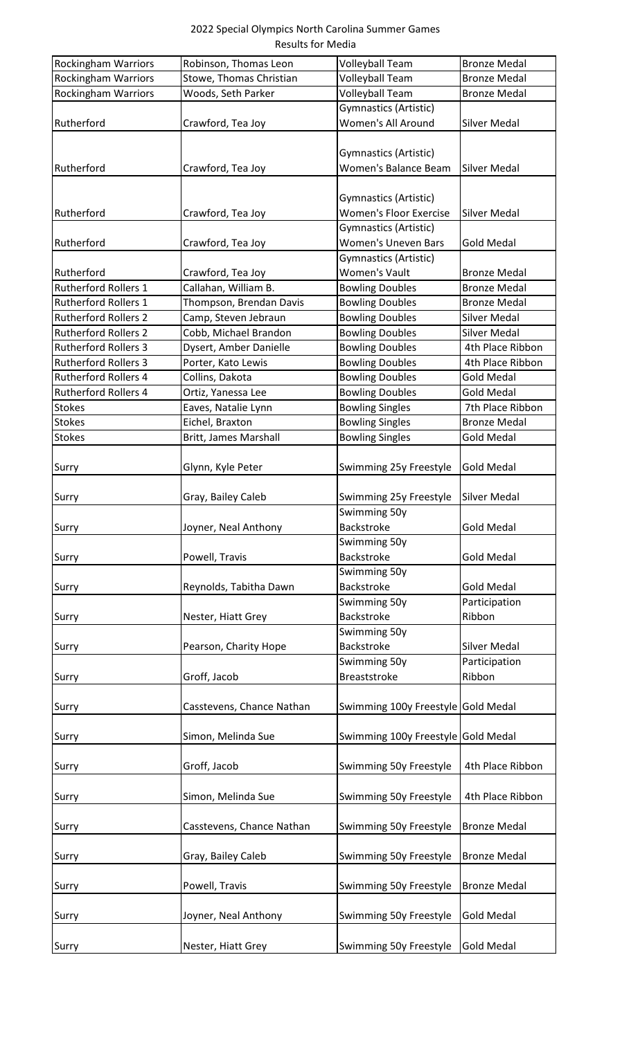| <b>Rockingham Warriors</b>     | Robinson, Thomas Leon     | <b>Volleyball Team</b>             | <b>Bronze Medal</b>                     |
|--------------------------------|---------------------------|------------------------------------|-----------------------------------------|
| <b>Rockingham Warriors</b>     | Stowe, Thomas Christian   | Volleyball Team                    | <b>Bronze Medal</b>                     |
| Rockingham Warriors            | Woods, Seth Parker        | <b>Volleyball Team</b>             | <b>Bronze Medal</b>                     |
|                                |                           | Gymnastics (Artistic)              |                                         |
| Rutherford                     | Crawford, Tea Joy         | Women's All Around                 | <b>Silver Medal</b>                     |
|                                |                           |                                    |                                         |
|                                |                           | Gymnastics (Artistic)              |                                         |
| Rutherford                     | Crawford, Tea Joy         | Women's Balance Beam               | <b>Silver Medal</b>                     |
|                                |                           |                                    |                                         |
|                                |                           | Gymnastics (Artistic)              |                                         |
| Rutherford                     | Crawford, Tea Joy         | <b>Women's Floor Exercise</b>      | <b>Silver Medal</b>                     |
|                                |                           | Gymnastics (Artistic)              |                                         |
| Rutherford                     | Crawford, Tea Joy         | <b>Women's Uneven Bars</b>         | <b>Gold Medal</b>                       |
|                                |                           | Gymnastics (Artistic)              |                                         |
| Rutherford                     | Crawford, Tea Joy         | <b>Women's Vault</b>               | <b>Bronze Medal</b>                     |
| <b>Rutherford Rollers 1</b>    | Callahan, William B.      | <b>Bowling Doubles</b>             | <b>Bronze Medal</b>                     |
| <b>Rutherford Rollers 1</b>    | Thompson, Brendan Davis   | <b>Bowling Doubles</b>             | <b>Bronze Medal</b>                     |
| <b>Rutherford Rollers 2</b>    | Camp, Steven Jebraun      | <b>Bowling Doubles</b>             | <b>Silver Medal</b>                     |
| <b>Rutherford Rollers 2</b>    | Cobb, Michael Brandon     | <b>Bowling Doubles</b>             | Silver Medal                            |
| <b>Rutherford Rollers 3</b>    | Dysert, Amber Danielle    | <b>Bowling Doubles</b>             | 4th Place Ribbon                        |
| <b>Rutherford Rollers 3</b>    | Porter, Kato Lewis        | <b>Bowling Doubles</b>             | 4th Place Ribbon                        |
| <b>Rutherford Rollers 4</b>    | Collins, Dakota           | <b>Bowling Doubles</b>             | <b>Gold Medal</b>                       |
| <b>Rutherford Rollers 4</b>    | Ortiz, Yanessa Lee        | <b>Bowling Doubles</b>             | <b>Gold Medal</b>                       |
|                                |                           |                                    |                                         |
| <b>Stokes</b><br><b>Stokes</b> | Eaves, Natalie Lynn       | <b>Bowling Singles</b>             | 7th Place Ribbon<br><b>Bronze Medal</b> |
|                                | Eichel, Braxton           | <b>Bowling Singles</b>             |                                         |
| <b>Stokes</b>                  | Britt, James Marshall     | <b>Bowling Singles</b>             | <b>Gold Medal</b>                       |
|                                |                           |                                    |                                         |
| Surry                          | Glynn, Kyle Peter         | Swimming 25y Freestyle             | <b>Gold Medal</b>                       |
|                                |                           |                                    |                                         |
| Surry                          | Gray, Bailey Caleb        | Swimming 25y Freestyle             | Silver Medal                            |
|                                |                           | Swimming 50y                       |                                         |
| Surry                          | Joyner, Neal Anthony      | Backstroke                         | <b>Gold Medal</b>                       |
|                                |                           | Swimming 50y                       |                                         |
| Surry                          | Powell, Travis            | Backstroke                         | <b>Gold Medal</b>                       |
|                                |                           | Swimming 50y                       |                                         |
| Surry                          | Reynolds, Tabitha Dawn    | Backstroke                         | <b>Gold Medal</b>                       |
|                                |                           | Swimming 50y                       | Participation                           |
| Surry                          | Nester, Hiatt Grey        | Backstroke                         | Ribbon                                  |
|                                |                           | Swimming 50y                       |                                         |
| Surry                          | Pearson, Charity Hope     | Backstroke                         | <b>Silver Medal</b>                     |
|                                |                           | Swimming 50y                       | Participation                           |
| Surry                          | Groff, Jacob              | Breaststroke                       | Ribbon                                  |
|                                |                           |                                    |                                         |
| Surry                          | Casstevens, Chance Nathan | Swimming 100y Freestyle Gold Medal |                                         |
|                                |                           |                                    |                                         |
| Surry                          | Simon, Melinda Sue        | Swimming 100y Freestyle Gold Medal |                                         |
|                                |                           |                                    |                                         |
| Surry                          | Groff, Jacob              | Swimming 50y Freestyle             | 4th Place Ribbon                        |
|                                |                           |                                    |                                         |
| Surry                          | Simon, Melinda Sue        | Swimming 50y Freestyle             | 4th Place Ribbon                        |
|                                |                           |                                    |                                         |
| Surry                          | Casstevens, Chance Nathan | Swimming 50y Freestyle             | <b>Bronze Medal</b>                     |
|                                |                           |                                    |                                         |
| Surry                          | Gray, Bailey Caleb        | Swimming 50y Freestyle             | <b>Bronze Medal</b>                     |
|                                |                           |                                    |                                         |
| Surry                          | Powell, Travis            | Swimming 50y Freestyle             | <b>Bronze Medal</b>                     |
|                                |                           |                                    |                                         |
| Surry                          | Joyner, Neal Anthony      | Swimming 50y Freestyle             | <b>Gold Medal</b>                       |
|                                |                           |                                    |                                         |
| Surry                          | Nester, Hiatt Grey        | Swimming 50y Freestyle             | <b>Gold Medal</b>                       |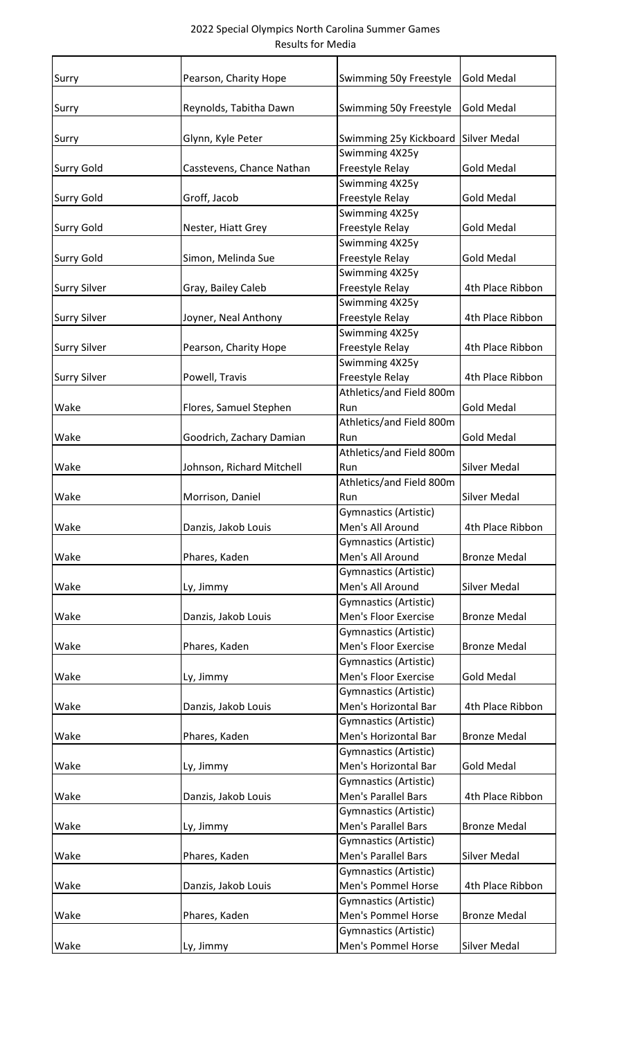| Surry               | Pearson, Charity Hope     | Swimming 50y Freestyle                        | <b>Gold Medal</b>   |
|---------------------|---------------------------|-----------------------------------------------|---------------------|
|                     |                           |                                               |                     |
| Surry               | Reynolds, Tabitha Dawn    | Swimming 50y Freestyle                        | <b>Gold Medal</b>   |
| Surry               | Glynn, Kyle Peter         | Swimming 25y Kickboard                        | <b>Silver Medal</b> |
|                     |                           | Swimming 4X25y                                |                     |
| <b>Surry Gold</b>   | Casstevens, Chance Nathan | Freestyle Relay                               | <b>Gold Medal</b>   |
|                     |                           | Swimming 4X25y                                |                     |
| <b>Surry Gold</b>   | Groff, Jacob              | Freestyle Relay                               | <b>Gold Medal</b>   |
|                     |                           | Swimming 4X25y                                |                     |
| <b>Surry Gold</b>   | Nester, Hiatt Grey        | Freestyle Relay                               | <b>Gold Medal</b>   |
|                     |                           | Swimming 4X25y                                |                     |
| <b>Surry Gold</b>   | Simon, Melinda Sue        | Freestyle Relay                               | <b>Gold Medal</b>   |
|                     |                           | Swimming 4X25y                                |                     |
| <b>Surry Silver</b> | Gray, Bailey Caleb        | Freestyle Relay                               | 4th Place Ribbon    |
|                     |                           | Swimming 4X25y                                |                     |
| <b>Surry Silver</b> | Joyner, Neal Anthony      | Freestyle Relay                               | 4th Place Ribbon    |
|                     |                           | Swimming 4X25y                                |                     |
| <b>Surry Silver</b> | Pearson, Charity Hope     | Freestyle Relay                               | 4th Place Ribbon    |
|                     |                           | Swimming 4X25y                                |                     |
| <b>Surry Silver</b> | Powell, Travis            | Freestyle Relay                               | 4th Place Ribbon    |
|                     |                           | Athletics/and Field 800m                      |                     |
| Wake                | Flores, Samuel Stephen    | Run                                           | <b>Gold Medal</b>   |
|                     |                           | Athletics/and Field 800m                      |                     |
| Wake                | Goodrich, Zachary Damian  | Run                                           | <b>Gold Medal</b>   |
|                     |                           | Athletics/and Field 800m                      |                     |
| Wake                | Johnson, Richard Mitchell | Run                                           | Silver Medal        |
|                     |                           | Athletics/and Field 800m                      |                     |
| Wake                | Morrison, Daniel          | Run                                           | <b>Silver Medal</b> |
|                     |                           | <b>Gymnastics (Artistic)</b>                  |                     |
| Wake                | Danzis, Jakob Louis       | Men's All Around                              | 4th Place Ribbon    |
|                     |                           | Gymnastics (Artistic)                         |                     |
| Wake                | Phares, Kaden             | Men's All Around                              | <b>Bronze Medal</b> |
|                     |                           | Gymnastics (Artistic)                         |                     |
| Wake                | Ly, Jimmy                 | Men's All Around                              | <b>Silver Medal</b> |
|                     |                           | <b>Gymnastics (Artistic)</b>                  |                     |
| Wake                | Danzis, Jakob Louis       | Men's Floor Exercise                          | <b>Bronze Medal</b> |
|                     |                           | Gymnastics (Artistic)<br>Men's Floor Exercise |                     |
| Wake                | Phares, Kaden             |                                               | <b>Bronze Medal</b> |
| Wake                |                           | Gymnastics (Artistic)<br>Men's Floor Exercise | <b>Gold Medal</b>   |
|                     | Ly, Jimmy                 | Gymnastics (Artistic)                         |                     |
| Wake                | Danzis, Jakob Louis       | Men's Horizontal Bar                          | 4th Place Ribbon    |
|                     |                           | Gymnastics (Artistic)                         |                     |
| Wake                | Phares, Kaden             | Men's Horizontal Bar                          | <b>Bronze Medal</b> |
|                     |                           | Gymnastics (Artistic)                         |                     |
| Wake                | Ly, Jimmy                 | Men's Horizontal Bar                          | <b>Gold Medal</b>   |
|                     |                           | Gymnastics (Artistic)                         |                     |
| Wake                | Danzis, Jakob Louis       | Men's Parallel Bars                           | 4th Place Ribbon    |
|                     |                           | Gymnastics (Artistic)                         |                     |
| Wake                | Ly, Jimmy                 | <b>Men's Parallel Bars</b>                    | <b>Bronze Medal</b> |
|                     |                           | <b>Gymnastics (Artistic)</b>                  |                     |
| Wake                | Phares, Kaden             | <b>Men's Parallel Bars</b>                    | <b>Silver Medal</b> |
|                     |                           | Gymnastics (Artistic)                         |                     |
| Wake                | Danzis, Jakob Louis       | Men's Pommel Horse                            | 4th Place Ribbon    |
|                     |                           | <b>Gymnastics (Artistic)</b>                  |                     |
| Wake                | Phares, Kaden             | Men's Pommel Horse                            | <b>Bronze Medal</b> |
|                     |                           | <b>Gymnastics (Artistic)</b>                  |                     |
| Wake                | Ly, Jimmy                 | Men's Pommel Horse                            | Silver Medal        |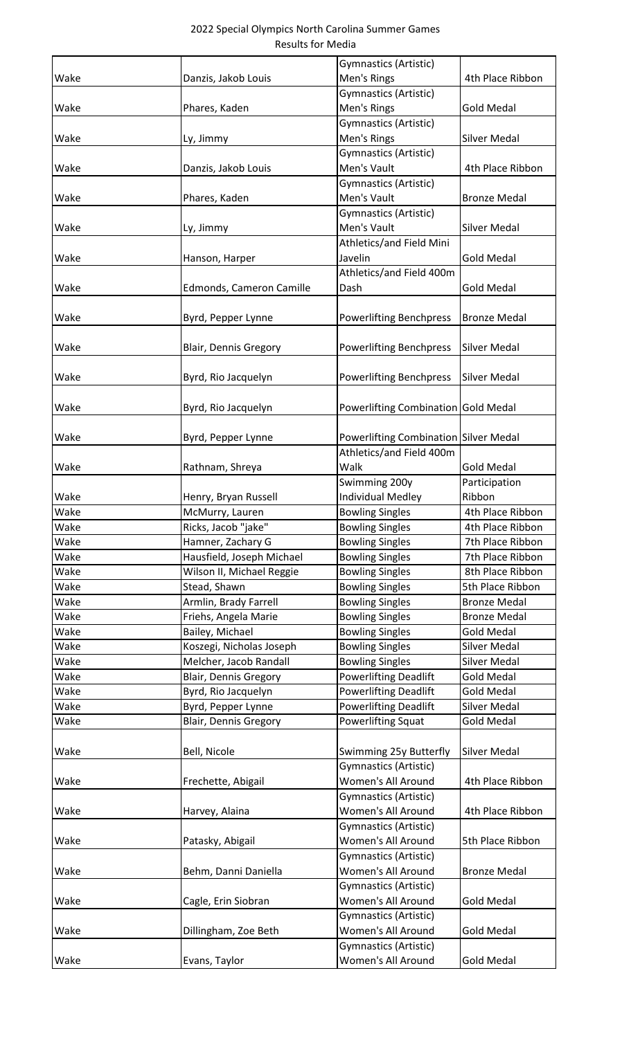| 2022 Special Olympics North Carolina Summer Games |
|---------------------------------------------------|
| Results for Media                                 |

|      |                                         | Gymnastics (Artistic)                 |                     |
|------|-----------------------------------------|---------------------------------------|---------------------|
| Wake | Danzis, Jakob Louis                     | Men's Rings                           | 4th Place Ribbon    |
|      |                                         | Gymnastics (Artistic)                 |                     |
| Wake | Phares, Kaden                           | Men's Rings                           | <b>Gold Medal</b>   |
|      |                                         | Gymnastics (Artistic)                 |                     |
| Wake | Ly, Jimmy                               | Men's Rings                           | Silver Medal        |
|      |                                         | Gymnastics (Artistic)                 |                     |
| Wake | Danzis, Jakob Louis                     | Men's Vault                           | 4th Place Ribbon    |
|      |                                         | Gymnastics (Artistic)                 |                     |
| Wake | Phares, Kaden                           | Men's Vault                           | <b>Bronze Medal</b> |
|      |                                         | Gymnastics (Artistic)                 |                     |
| Wake | Ly, Jimmy                               | Men's Vault                           | <b>Silver Medal</b> |
|      |                                         | Athletics/and Field Mini              |                     |
| Wake | Hanson, Harper                          | Javelin                               | <b>Gold Medal</b>   |
|      |                                         | Athletics/and Field 400m              |                     |
| Wake | Edmonds, Cameron Camille                | Dash                                  | <b>Gold Medal</b>   |
|      |                                         |                                       |                     |
| Wake | Byrd, Pepper Lynne                      | <b>Powerlifting Benchpress</b>        | <b>Bronze Medal</b> |
|      |                                         |                                       |                     |
| Wake | Blair, Dennis Gregory                   | <b>Powerlifting Benchpress</b>        | <b>Silver Medal</b> |
|      |                                         |                                       |                     |
| Wake | Byrd, Rio Jacquelyn                     | <b>Powerlifting Benchpress</b>        | <b>Silver Medal</b> |
|      |                                         |                                       |                     |
| Wake | Byrd, Rio Jacquelyn                     | Powerlifting Combination Gold Medal   |                     |
|      |                                         |                                       |                     |
| Wake | Byrd, Pepper Lynne                      | Powerlifting Combination Silver Medal |                     |
|      |                                         | Athletics/and Field 400m              |                     |
| Wake | Rathnam, Shreya                         | Walk                                  | <b>Gold Medal</b>   |
|      |                                         | Swimming 200y                         | Participation       |
| Wake |                                         | <b>Individual Medley</b>              | Ribbon              |
| Wake | Henry, Bryan Russell<br>McMurry, Lauren | <b>Bowling Singles</b>                | 4th Place Ribbon    |
| Wake | Ricks, Jacob "jake"                     | <b>Bowling Singles</b>                | 4th Place Ribbon    |
| Wake | Hamner, Zachary G                       | <b>Bowling Singles</b>                | 7th Place Ribbon    |
| Wake | Hausfield, Joseph Michael               | <b>Bowling Singles</b>                | 7th Place Ribbon    |
| Wake | Wilson II, Michael Reggie               | <b>Bowling Singles</b>                | 8th Place Ribbon    |
| Wake | Stead, Shawn                            | <b>Bowling Singles</b>                | 5th Place Ribbon    |
| Wake | Armlin, Brady Farrell                   | <b>Bowling Singles</b>                | <b>Bronze Medal</b> |
| Wake | Friehs, Angela Marie                    | <b>Bowling Singles</b>                | <b>Bronze Medal</b> |
| Wake | Bailey, Michael                         | <b>Bowling Singles</b>                | <b>Gold Medal</b>   |
| Wake | Koszegi, Nicholas Joseph                |                                       | <b>Silver Medal</b> |
| Wake |                                         | <b>Bowling Singles</b>                | <b>Silver Medal</b> |
|      | Melcher, Jacob Randall                  | <b>Bowling Singles</b>                |                     |
| Wake | <b>Blair, Dennis Gregory</b>            | <b>Powerlifting Deadlift</b>          | <b>Gold Medal</b>   |
| Wake | Byrd, Rio Jacquelyn                     | <b>Powerlifting Deadlift</b>          | <b>Gold Medal</b>   |
| Wake | Byrd, Pepper Lynne                      | <b>Powerlifting Deadlift</b>          | Silver Medal        |
| Wake | Blair, Dennis Gregory                   | <b>Powerlifting Squat</b>             | <b>Gold Medal</b>   |
|      |                                         |                                       |                     |
| Wake | Bell, Nicole                            | Swimming 25y Butterfly                | <b>Silver Medal</b> |
|      |                                         | Gymnastics (Artistic)                 |                     |
| Wake | Frechette, Abigail                      | Women's All Around                    | 4th Place Ribbon    |
|      |                                         | Gymnastics (Artistic)                 |                     |
| Wake | Harvey, Alaina                          | Women's All Around                    | 4th Place Ribbon    |
|      |                                         | Gymnastics (Artistic)                 |                     |
| Wake | Patasky, Abigail                        | Women's All Around                    | 5th Place Ribbon    |
|      |                                         | Gymnastics (Artistic)                 |                     |
| Wake | Behm, Danni Daniella                    | Women's All Around                    | <b>Bronze Medal</b> |
|      |                                         | Gymnastics (Artistic)                 |                     |
| Wake | Cagle, Erin Siobran                     | Women's All Around                    | <b>Gold Medal</b>   |
|      |                                         | Gymnastics (Artistic)                 |                     |
| Wake | Dillingham, Zoe Beth                    | Women's All Around                    | <b>Gold Medal</b>   |
|      |                                         | Gymnastics (Artistic)                 |                     |
| Wake | Evans, Taylor                           | Women's All Around                    | <b>Gold Medal</b>   |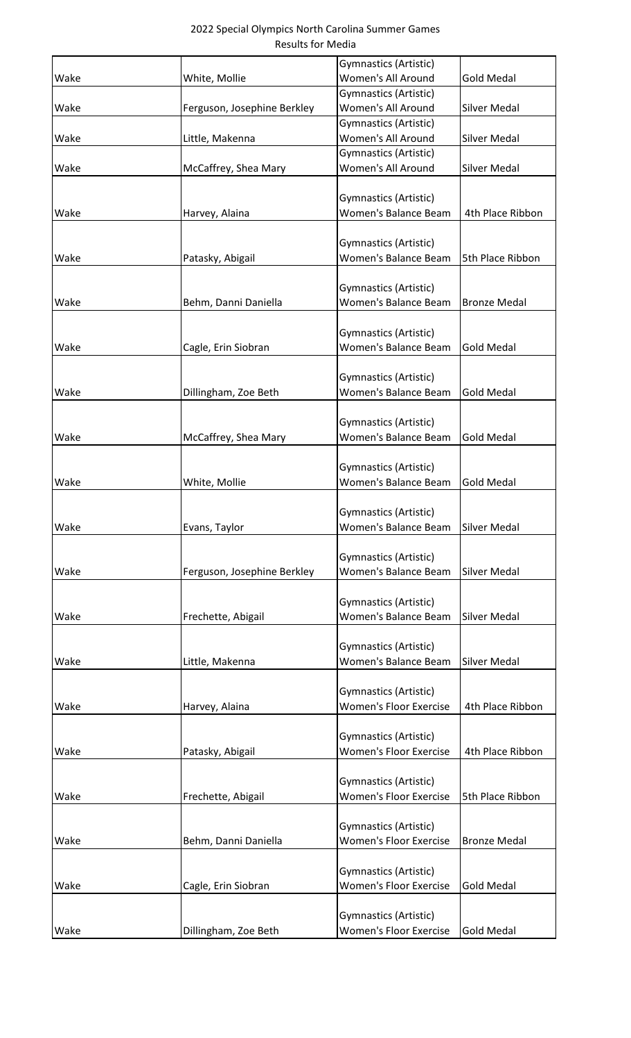|      |                             | <b>Gymnastics (Artistic)</b>                         |                     |
|------|-----------------------------|------------------------------------------------------|---------------------|
| Wake | White, Mollie               | Women's All Around                                   | <b>Gold Medal</b>   |
|      |                             | Gymnastics (Artistic)                                |                     |
| Wake | Ferguson, Josephine Berkley | Women's All Around                                   | <b>Silver Medal</b> |
|      |                             | <b>Gymnastics (Artistic)</b>                         |                     |
| Wake | Little, Makenna             | Women's All Around                                   | Silver Medal        |
|      |                             | <b>Gymnastics (Artistic)</b>                         |                     |
| Wake | McCaffrey, Shea Mary        | Women's All Around                                   | Silver Medal        |
|      |                             |                                                      |                     |
| Wake | Harvey, Alaina              | <b>Gymnastics (Artistic)</b><br>Women's Balance Beam | 4th Place Ribbon    |
|      |                             |                                                      |                     |
|      |                             | <b>Gymnastics (Artistic)</b>                         |                     |
| Wake | Patasky, Abigail            | Women's Balance Beam                                 | 5th Place Ribbon    |
|      |                             |                                                      |                     |
|      |                             | <b>Gymnastics (Artistic)</b>                         |                     |
| Wake | Behm, Danni Daniella        | Women's Balance Beam                                 | <b>Bronze Medal</b> |
|      |                             |                                                      |                     |
|      |                             | <b>Gymnastics (Artistic)</b>                         |                     |
| Wake | Cagle, Erin Siobran         | Women's Balance Beam                                 | <b>Gold Medal</b>   |
|      |                             |                                                      |                     |
|      |                             | <b>Gymnastics (Artistic)</b>                         |                     |
| Wake | Dillingham, Zoe Beth        | Women's Balance Beam                                 | <b>Gold Medal</b>   |
|      |                             |                                                      |                     |
|      |                             | <b>Gymnastics (Artistic)</b>                         |                     |
| Wake | McCaffrey, Shea Mary        | Women's Balance Beam                                 | <b>Gold Medal</b>   |
|      |                             |                                                      |                     |
|      |                             | <b>Gymnastics (Artistic)</b>                         |                     |
| Wake | White, Mollie               | Women's Balance Beam                                 | <b>Gold Medal</b>   |
|      |                             |                                                      |                     |
|      |                             | <b>Gymnastics (Artistic)</b>                         |                     |
| Wake | Evans, Taylor               | Women's Balance Beam                                 | Silver Medal        |
|      |                             | <b>Gymnastics (Artistic)</b>                         |                     |
| Wake | Ferguson, Josephine Berkley | Women's Balance Beam                                 | Silver Medal        |
|      |                             |                                                      |                     |
|      |                             | <b>Gymnastics (Artistic)</b>                         |                     |
| Wake | Frechette, Abigail          | Women's Balance Beam                                 | <b>Silver Medal</b> |
|      |                             |                                                      |                     |
|      |                             | <b>Gymnastics (Artistic)</b>                         |                     |
| Wake | Little, Makenna             | Women's Balance Beam                                 | <b>Silver Medal</b> |
|      |                             |                                                      |                     |
|      |                             | <b>Gymnastics (Artistic)</b>                         |                     |
| Wake | Harvey, Alaina              | <b>Women's Floor Exercise</b>                        | 4th Place Ribbon    |
|      |                             |                                                      |                     |
|      |                             | <b>Gymnastics (Artistic)</b>                         |                     |
| Wake | Patasky, Abigail            | <b>Women's Floor Exercise</b>                        | 4th Place Ribbon    |
|      |                             |                                                      |                     |
|      |                             | <b>Gymnastics (Artistic)</b>                         |                     |
| Wake | Frechette, Abigail          | <b>Women's Floor Exercise</b>                        | 5th Place Ribbon    |
|      |                             |                                                      |                     |
|      |                             | <b>Gymnastics (Artistic)</b>                         |                     |
| Wake | Behm, Danni Daniella        | <b>Women's Floor Exercise</b>                        | <b>Bronze Medal</b> |
|      |                             | <b>Gymnastics (Artistic)</b>                         |                     |
| Wake | Cagle, Erin Siobran         | <b>Women's Floor Exercise</b>                        | <b>Gold Medal</b>   |
|      |                             |                                                      |                     |
|      |                             | <b>Gymnastics (Artistic)</b>                         |                     |
| Wake | Dillingham, Zoe Beth        | <b>Women's Floor Exercise</b>                        | Gold Medal          |
|      |                             |                                                      |                     |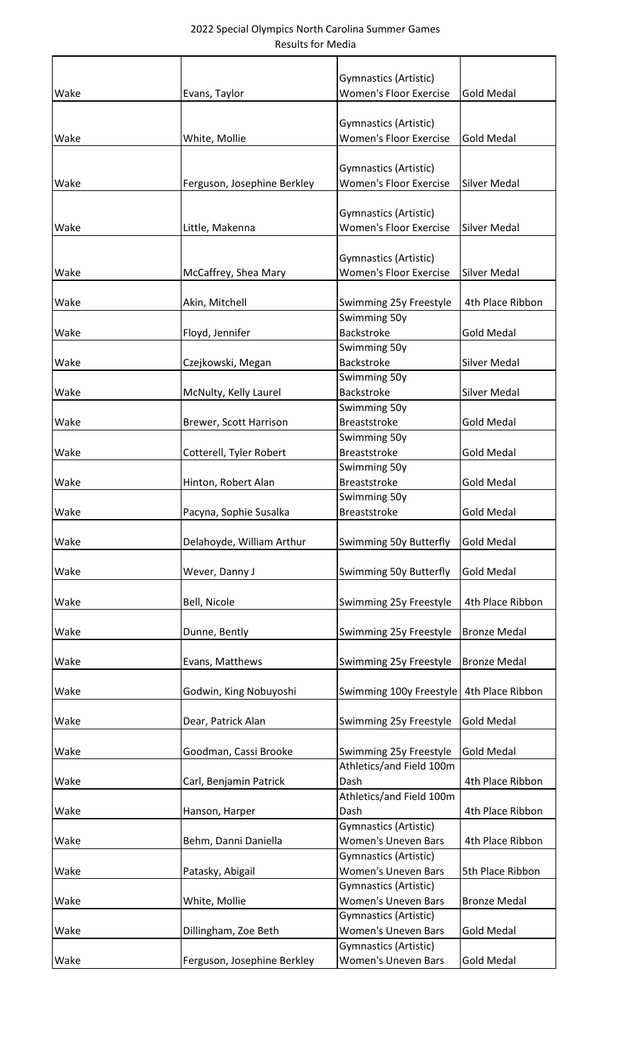|      |                             | Gymnastics (Artistic)                               |                     |
|------|-----------------------------|-----------------------------------------------------|---------------------|
| Wake | Evans, Taylor               | <b>Women's Floor Exercise</b>                       | <b>Gold Medal</b>   |
|      |                             |                                                     |                     |
|      |                             | <b>Gymnastics (Artistic)</b>                        |                     |
| Wake | White, Mollie               | <b>Women's Floor Exercise</b>                       | <b>Gold Medal</b>   |
|      |                             | <b>Gymnastics (Artistic)</b>                        |                     |
| Wake | Ferguson, Josephine Berkley | <b>Women's Floor Exercise</b>                       | <b>Silver Medal</b> |
|      |                             |                                                     |                     |
|      |                             | Gymnastics (Artistic)                               |                     |
| Wake | Little, Makenna             | <b>Women's Floor Exercise</b>                       | <b>Silver Medal</b> |
|      |                             |                                                     |                     |
|      |                             | <b>Gymnastics (Artistic)</b>                        |                     |
| Wake | McCaffrey, Shea Mary        | <b>Women's Floor Exercise</b>                       | <b>Silver Medal</b> |
|      |                             |                                                     |                     |
| Wake | Akin, Mitchell              | Swimming 25y Freestyle                              | 4th Place Ribbon    |
| Wake | Floyd, Jennifer             | Swimming 50y<br><b>Backstroke</b>                   | <b>Gold Medal</b>   |
|      |                             | Swimming 50y                                        |                     |
| Wake | Czejkowski, Megan           | Backstroke                                          | Silver Medal        |
|      |                             | Swimming 50y                                        |                     |
| Wake | McNulty, Kelly Laurel       | Backstroke                                          | Silver Medal        |
|      |                             | Swimming 50y                                        |                     |
| Wake | Brewer, Scott Harrison      | Breaststroke                                        | <b>Gold Medal</b>   |
|      |                             | Swimming 50y                                        |                     |
| Wake | Cotterell, Tyler Robert     | Breaststroke                                        | <b>Gold Medal</b>   |
|      |                             | Swimming 50y                                        |                     |
| Wake | Hinton, Robert Alan         | <b>Breaststroke</b>                                 | <b>Gold Medal</b>   |
|      |                             | Swimming 50y                                        |                     |
| Wake | Pacyna, Sophie Susalka      | <b>Breaststroke</b>                                 | <b>Gold Medal</b>   |
| Wake | Delahoyde, William Arthur   | Swimming 50y Butterfly                              | <b>Gold Medal</b>   |
|      |                             |                                                     |                     |
| Wake | Wever, Danny J              | Swimming 50y Butterfly                              | <b>Gold Medal</b>   |
| Wake | Bell, Nicole                | Swimming 25y Freestyle                              | 4th Place Ribbon    |
|      |                             |                                                     |                     |
| Wake | Dunne, Bently               | Swimming 25y Freestyle                              | <b>Bronze Medal</b> |
|      |                             |                                                     |                     |
| Wake | Evans, Matthews             | Swimming 25y Freestyle                              | <b>Bronze Medal</b> |
|      |                             |                                                     |                     |
| Wake | Godwin, King Nobuyoshi      | Swimming 100y Freestyle   4th Place Ribbon          |                     |
|      |                             |                                                     |                     |
| Wake | Dear, Patrick Alan          | Swimming 25y Freestyle                              | <b>Gold Medal</b>   |
| Wake | Goodman, Cassi Brooke       | Swimming 25y Freestyle                              | <b>Gold Medal</b>   |
|      |                             | Athletics/and Field 100m                            |                     |
| Wake | Carl, Benjamin Patrick      | Dash                                                | 4th Place Ribbon    |
|      |                             | Athletics/and Field 100m                            |                     |
| Wake | Hanson, Harper              | Dash                                                | 4th Place Ribbon    |
|      |                             | <b>Gymnastics (Artistic)</b>                        |                     |
| Wake | Behm, Danni Daniella        | <b>Women's Uneven Bars</b>                          | 4th Place Ribbon    |
|      |                             | Gymnastics (Artistic)                               |                     |
| Wake | Patasky, Abigail            | Women's Uneven Bars                                 | 5th Place Ribbon    |
|      |                             | Gymnastics (Artistic)                               |                     |
| Wake | White, Mollie               | <b>Women's Uneven Bars</b>                          | <b>Bronze Medal</b> |
| Wake |                             | <b>Gymnastics (Artistic)</b><br>Women's Uneven Bars | <b>Gold Medal</b>   |
|      | Dillingham, Zoe Beth        | Gymnastics (Artistic)                               |                     |
| Wake | Ferguson, Josephine Berkley | <b>Women's Uneven Bars</b>                          | <b>Gold Medal</b>   |
|      |                             |                                                     |                     |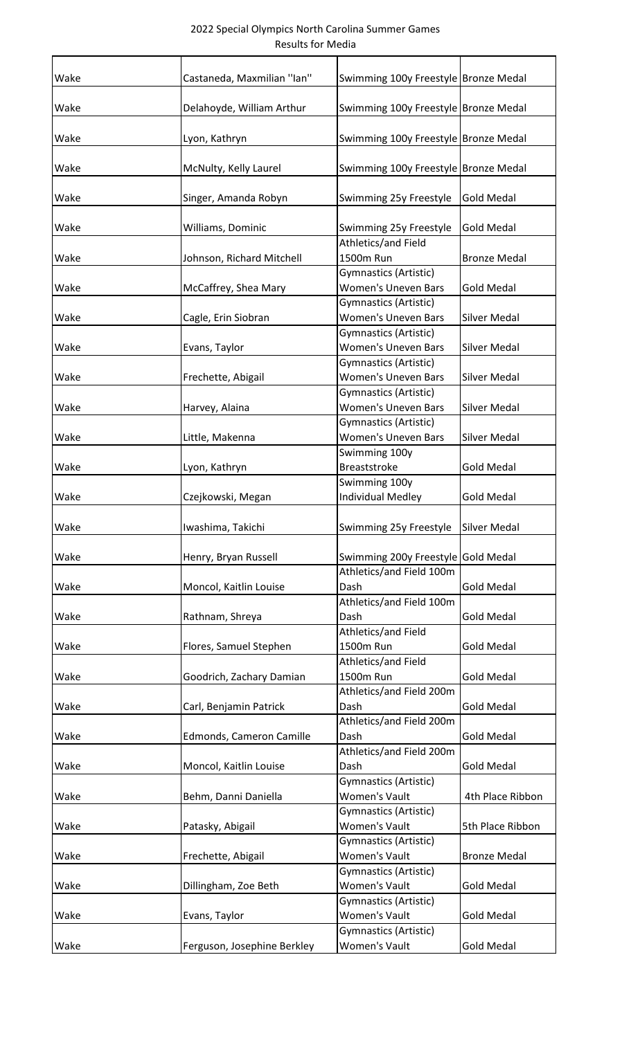| Wake | Castaneda, Maxmilian "Ian"  | Swimming 100y Freestyle Bronze Medal                       |                     |
|------|-----------------------------|------------------------------------------------------------|---------------------|
| Wake | Delahoyde, William Arthur   | Swimming 100y Freestyle Bronze Medal                       |                     |
| Wake | Lyon, Kathryn               | Swimming 100y Freestyle Bronze Medal                       |                     |
| Wake | McNulty, Kelly Laurel       | Swimming 100y Freestyle   Bronze Medal                     |                     |
| Wake | Singer, Amanda Robyn        | Swimming 25y Freestyle                                     | <b>Gold Medal</b>   |
| Wake | Williams, Dominic           | Swimming 25y Freestyle                                     | <b>Gold Medal</b>   |
| Wake | Johnson, Richard Mitchell   | Athletics/and Field<br>1500m Run                           | <b>Bronze Medal</b> |
| Wake | McCaffrey, Shea Mary        | <b>Gymnastics (Artistic)</b><br><b>Women's Uneven Bars</b> | <b>Gold Medal</b>   |
| Wake | Cagle, Erin Siobran         | Gymnastics (Artistic)<br><b>Women's Uneven Bars</b>        | <b>Silver Medal</b> |
| Wake | Evans, Taylor               | Gymnastics (Artistic)<br>Women's Uneven Bars               | <b>Silver Medal</b> |
| Wake | Frechette, Abigail          | Gymnastics (Artistic)<br><b>Women's Uneven Bars</b>        | Silver Medal        |
| Wake | Harvey, Alaina              | <b>Gymnastics (Artistic)</b><br><b>Women's Uneven Bars</b> | Silver Medal        |
| Wake | Little, Makenna             | Gymnastics (Artistic)<br><b>Women's Uneven Bars</b>        | <b>Silver Medal</b> |
| Wake | Lyon, Kathryn               | Swimming 100y<br><b>Breaststroke</b>                       | <b>Gold Medal</b>   |
| Wake | Czejkowski, Megan           | Swimming 100y<br><b>Individual Medley</b>                  | <b>Gold Medal</b>   |
| Wake | Iwashima, Takichi           | Swimming 25y Freestyle                                     | <b>Silver Medal</b> |
| Wake | Henry, Bryan Russell        | Swimming 200y Freestyle Gold Medal                         |                     |
| Wake | Moncol, Kaitlin Louise      | Athletics/and Field 100m<br>Dash                           | <b>Gold Medal</b>   |
| Wake | Rathnam, Shreya             | Athletics/and Field 100m<br>Dash                           | <b>Gold Medal</b>   |
| Wake | Flores, Samuel Stephen      | Athletics/and Field<br>1500m Run                           | <b>Gold Medal</b>   |
| Wake | Goodrich, Zachary Damian    | Athletics/and Field<br>1500m Run                           | <b>Gold Medal</b>   |
| Wake | Carl, Benjamin Patrick      | Athletics/and Field 200m<br>Dash                           | <b>Gold Medal</b>   |
| Wake | Edmonds, Cameron Camille    | Athletics/and Field 200m<br>Dash                           | <b>Gold Medal</b>   |
| Wake | Moncol, Kaitlin Louise      | Athletics/and Field 200m<br>Dash                           | <b>Gold Medal</b>   |
| Wake | Behm, Danni Daniella        | <b>Gymnastics (Artistic)</b><br><b>Women's Vault</b>       | 4th Place Ribbon    |
| Wake | Patasky, Abigail            | Gymnastics (Artistic)<br><b>Women's Vault</b>              | 5th Place Ribbon    |
| Wake | Frechette, Abigail          | <b>Gymnastics (Artistic)</b><br><b>Women's Vault</b>       | <b>Bronze Medal</b> |
| Wake | Dillingham, Zoe Beth        | Gymnastics (Artistic)<br><b>Women's Vault</b>              | <b>Gold Medal</b>   |
| Wake | Evans, Taylor               | <b>Gymnastics (Artistic)</b><br><b>Women's Vault</b>       | <b>Gold Medal</b>   |
| Wake | Ferguson, Josephine Berkley | <b>Gymnastics (Artistic)</b><br><b>Women's Vault</b>       | <b>Gold Medal</b>   |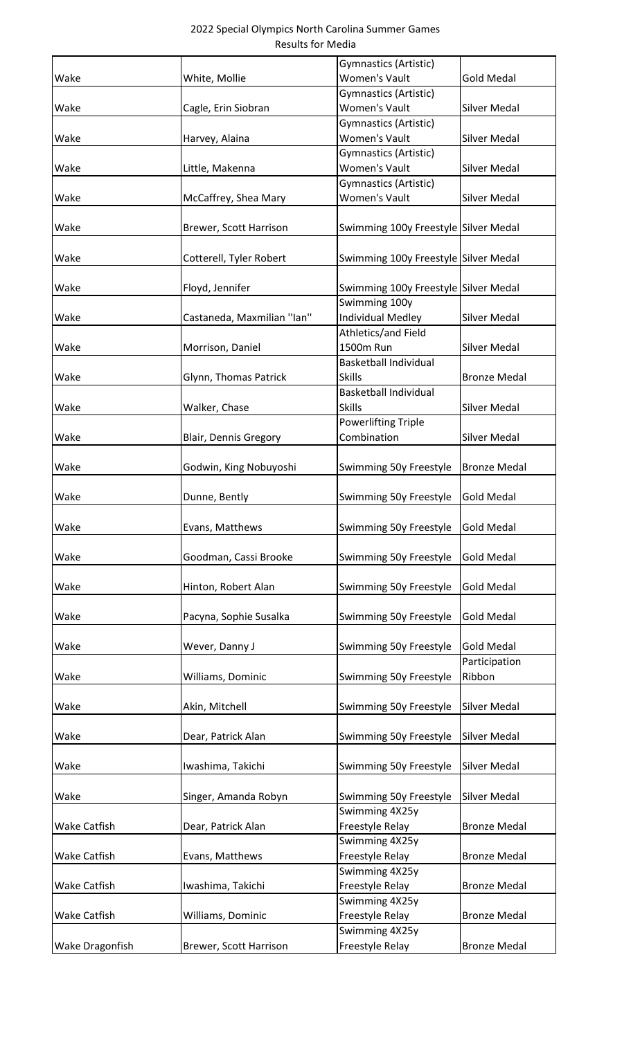|                     |                              | <b>Gymnastics (Artistic)</b>                         |                     |
|---------------------|------------------------------|------------------------------------------------------|---------------------|
| Wake                | White, Mollie                | <b>Women's Vault</b>                                 | <b>Gold Medal</b>   |
|                     |                              | Gymnastics (Artistic)                                |                     |
| Wake                | Cagle, Erin Siobran          | <b>Women's Vault</b>                                 | <b>Silver Medal</b> |
|                     |                              | Gymnastics (Artistic)                                |                     |
| Wake                | Harvey, Alaina               | <b>Women's Vault</b>                                 | <b>Silver Medal</b> |
|                     |                              | <b>Gymnastics (Artistic)</b>                         |                     |
| Wake                | Little, Makenna              | <b>Women's Vault</b><br><b>Gymnastics (Artistic)</b> | <b>Silver Medal</b> |
| Wake                | McCaffrey, Shea Mary         | <b>Women's Vault</b>                                 | Silver Medal        |
|                     |                              |                                                      |                     |
| Wake                | Brewer, Scott Harrison       | Swimming 100y Freestyle Silver Medal                 |                     |
|                     |                              |                                                      |                     |
| Wake                | Cotterell, Tyler Robert      | Swimming 100y Freestyle Silver Medal                 |                     |
|                     |                              |                                                      |                     |
| Wake                | Floyd, Jennifer              | Swimming 100y Freestyle Silver Medal                 |                     |
|                     |                              | Swimming 100y                                        |                     |
| Wake                | Castaneda, Maxmilian "Ian"   | <b>Individual Medley</b>                             | Silver Medal        |
|                     |                              | Athletics/and Field                                  |                     |
| Wake                | Morrison, Daniel             | 1500m Run                                            | <b>Silver Medal</b> |
|                     |                              | <b>Basketball Individual</b>                         |                     |
| Wake                | Glynn, Thomas Patrick        | <b>Skills</b>                                        | <b>Bronze Medal</b> |
|                     |                              | <b>Basketball Individual</b>                         |                     |
| Wake                | Walker, Chase                | <b>Skills</b><br><b>Powerlifting Triple</b>          | Silver Medal        |
| Wake                | <b>Blair, Dennis Gregory</b> | Combination                                          | Silver Medal        |
|                     |                              |                                                      |                     |
| Wake                | Godwin, King Nobuyoshi       | Swimming 50y Freestyle                               | <b>Bronze Medal</b> |
|                     |                              |                                                      |                     |
| Wake                | Dunne, Bently                | Swimming 50y Freestyle                               | <b>Gold Medal</b>   |
|                     |                              |                                                      |                     |
| Wake                | Evans, Matthews              | Swimming 50y Freestyle                               | <b>Gold Medal</b>   |
|                     |                              |                                                      |                     |
| Wake                | Goodman, Cassi Brooke        | Swimming 50y Freestyle                               | <b>Gold Medal</b>   |
|                     |                              |                                                      |                     |
| Wake                | Hinton, Robert Alan          | Swimming 50y Freestyle                               | <b>Gold Medal</b>   |
|                     |                              |                                                      |                     |
| Wake                | Pacyna, Sophie Susalka       | Swimming 50y Freestyle                               | <b>Gold Medal</b>   |
| Wake                | Wever, Danny J               | Swimming 50y Freestyle                               | <b>Gold Medal</b>   |
|                     |                              |                                                      | Participation       |
| Wake                | Williams, Dominic            | Swimming 50y Freestyle                               | Ribbon              |
|                     |                              |                                                      |                     |
| Wake                | Akin, Mitchell               | Swimming 50y Freestyle                               | <b>Silver Medal</b> |
|                     |                              |                                                      |                     |
| Wake                | Dear, Patrick Alan           | Swimming 50y Freestyle                               | <b>Silver Medal</b> |
|                     |                              |                                                      |                     |
| Wake                | Iwashima, Takichi            | Swimming 50y Freestyle                               | <b>Silver Medal</b> |
|                     |                              |                                                      |                     |
| Wake                | Singer, Amanda Robyn         | Swimming 50y Freestyle                               | Silver Medal        |
|                     |                              | Swimming 4X25y                                       |                     |
| <b>Wake Catfish</b> | Dear, Patrick Alan           | Freestyle Relay                                      | <b>Bronze Medal</b> |
|                     |                              | Swimming 4X25y                                       |                     |
| <b>Wake Catfish</b> | Evans, Matthews              | Freestyle Relay<br>Swimming 4X25y                    | <b>Bronze Medal</b> |
| <b>Wake Catfish</b> | Iwashima, Takichi            | Freestyle Relay                                      | <b>Bronze Medal</b> |
|                     |                              | Swimming 4X25y                                       |                     |
| Wake Catfish        | Williams, Dominic            | Freestyle Relay                                      | <b>Bronze Medal</b> |
|                     |                              | Swimming 4X25y                                       |                     |
| Wake Dragonfish     | Brewer, Scott Harrison       | Freestyle Relay                                      | <b>Bronze Medal</b> |
|                     |                              |                                                      |                     |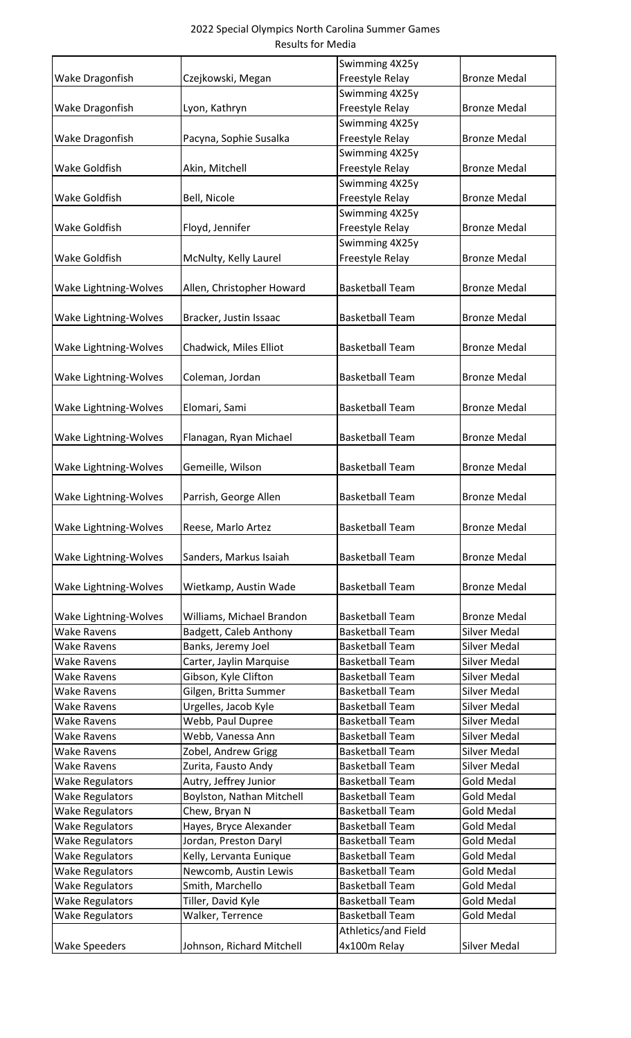|                        |                           | Swimming 4X25y         |                     |
|------------------------|---------------------------|------------------------|---------------------|
| Wake Dragonfish        | Czejkowski, Megan         | Freestyle Relay        | <b>Bronze Medal</b> |
|                        |                           | Swimming 4X25y         |                     |
| Wake Dragonfish        | Lyon, Kathryn             | Freestyle Relay        | <b>Bronze Medal</b> |
|                        |                           | Swimming 4X25y         |                     |
| Wake Dragonfish        | Pacyna, Sophie Susalka    | Freestyle Relay        | <b>Bronze Medal</b> |
|                        |                           | Swimming 4X25y         |                     |
| <b>Wake Goldfish</b>   | Akin, Mitchell            | Freestyle Relay        | <b>Bronze Medal</b> |
|                        |                           | Swimming 4X25y         |                     |
| Wake Goldfish          | Bell, Nicole              | Freestyle Relay        | <b>Bronze Medal</b> |
|                        |                           | Swimming 4X25y         |                     |
| Wake Goldfish          | Floyd, Jennifer           | Freestyle Relay        | <b>Bronze Medal</b> |
|                        |                           | Swimming 4X25y         |                     |
| Wake Goldfish          | McNulty, Kelly Laurel     | Freestyle Relay        | <b>Bronze Medal</b> |
|                        |                           |                        |                     |
| Wake Lightning-Wolves  | Allen, Christopher Howard | <b>Basketball Team</b> | <b>Bronze Medal</b> |
|                        |                           |                        |                     |
| Wake Lightning-Wolves  | Bracker, Justin Issaac    | <b>Basketball Team</b> | <b>Bronze Medal</b> |
|                        |                           |                        |                     |
|                        | Chadwick, Miles Elliot    | <b>Basketball Team</b> | <b>Bronze Medal</b> |
| Wake Lightning-Wolves  |                           |                        |                     |
|                        |                           | <b>Basketball Team</b> |                     |
| Wake Lightning-Wolves  | Coleman, Jordan           |                        | <b>Bronze Medal</b> |
|                        |                           |                        |                     |
| Wake Lightning-Wolves  | Elomari, Sami             | <b>Basketball Team</b> | <b>Bronze Medal</b> |
|                        |                           |                        |                     |
| Wake Lightning-Wolves  | Flanagan, Ryan Michael    | <b>Basketball Team</b> | <b>Bronze Medal</b> |
|                        |                           |                        |                     |
| Wake Lightning-Wolves  | Gemeille, Wilson          | <b>Basketball Team</b> | <b>Bronze Medal</b> |
|                        |                           |                        |                     |
| Wake Lightning-Wolves  | Parrish, George Allen     | <b>Basketball Team</b> | <b>Bronze Medal</b> |
|                        |                           |                        |                     |
| Wake Lightning-Wolves  | Reese, Marlo Artez        | <b>Basketball Team</b> | <b>Bronze Medal</b> |
|                        |                           |                        |                     |
| Wake Lightning-Wolves  | Sanders, Markus Isaiah    | <b>Basketball Team</b> | <b>Bronze Medal</b> |
|                        |                           |                        |                     |
| Wake Lightning-Wolves  | Wietkamp, Austin Wade     | <b>Basketball Team</b> | <b>Bronze Medal</b> |
|                        |                           |                        |                     |
| Wake Lightning-Wolves  | Williams, Michael Brandon | <b>Basketball Team</b> | <b>Bronze Medal</b> |
| <b>Wake Ravens</b>     | Badgett, Caleb Anthony    | <b>Basketball Team</b> | <b>Silver Medal</b> |
| <b>Wake Ravens</b>     | Banks, Jeremy Joel        | <b>Basketball Team</b> | <b>Silver Medal</b> |
| <b>Wake Ravens</b>     | Carter, Jaylin Marquise   | <b>Basketball Team</b> | <b>Silver Medal</b> |
| <b>Wake Ravens</b>     | Gibson, Kyle Clifton      | <b>Basketball Team</b> | <b>Silver Medal</b> |
| Wake Ravens            | Gilgen, Britta Summer     | <b>Basketball Team</b> | <b>Silver Medal</b> |
| <b>Wake Ravens</b>     | Urgelles, Jacob Kyle      | <b>Basketball Team</b> | Silver Medal        |
| <b>Wake Ravens</b>     | Webb, Paul Dupree         | <b>Basketball Team</b> | <b>Silver Medal</b> |
| <b>Wake Ravens</b>     | Webb, Vanessa Ann         | <b>Basketball Team</b> | <b>Silver Medal</b> |
| <b>Wake Ravens</b>     | Zobel, Andrew Grigg       | <b>Basketball Team</b> | <b>Silver Medal</b> |
| Wake Ravens            | Zurita, Fausto Andy       | <b>Basketball Team</b> | Silver Medal        |
| <b>Wake Regulators</b> | Autry, Jeffrey Junior     | <b>Basketball Team</b> | <b>Gold Medal</b>   |
| <b>Wake Regulators</b> | Boylston, Nathan Mitchell | <b>Basketball Team</b> | <b>Gold Medal</b>   |
| <b>Wake Regulators</b> | Chew, Bryan N             | <b>Basketball Team</b> | <b>Gold Medal</b>   |
| <b>Wake Regulators</b> | Hayes, Bryce Alexander    | <b>Basketball Team</b> | <b>Gold Medal</b>   |
| <b>Wake Regulators</b> | Jordan, Preston Daryl     | <b>Basketball Team</b> | <b>Gold Medal</b>   |
| <b>Wake Regulators</b> | Kelly, Lervanta Eunique   | <b>Basketball Team</b> | <b>Gold Medal</b>   |
| <b>Wake Regulators</b> | Newcomb, Austin Lewis     | <b>Basketball Team</b> | <b>Gold Medal</b>   |
| <b>Wake Regulators</b> | Smith, Marchello          | <b>Basketball Team</b> | <b>Gold Medal</b>   |
| <b>Wake Regulators</b> | Tiller, David Kyle        | <b>Basketball Team</b> | <b>Gold Medal</b>   |
| <b>Wake Regulators</b> | Walker, Terrence          | <b>Basketball Team</b> | <b>Gold Medal</b>   |
|                        |                           | Athletics/and Field    |                     |
| <b>Wake Speeders</b>   | Johnson, Richard Mitchell | 4x100m Relay           | <b>Silver Medal</b> |
|                        |                           |                        |                     |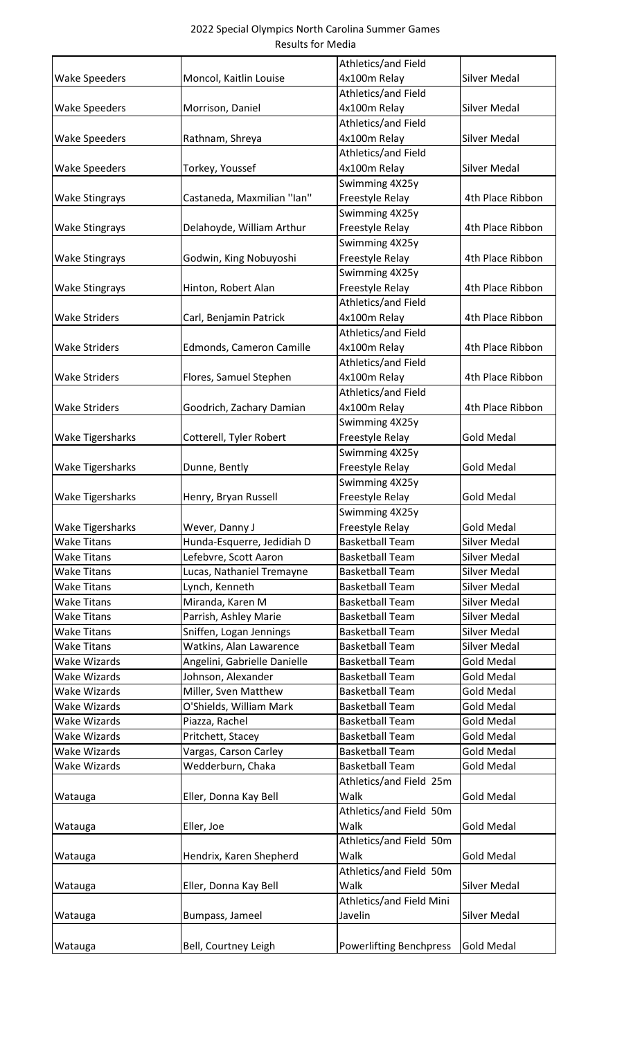| 2022 Special Olympics North Carolina Summer Games |
|---------------------------------------------------|
| Results for Media                                 |

|                         |                              | Athletics/and Field            |                     |
|-------------------------|------------------------------|--------------------------------|---------------------|
| <b>Wake Speeders</b>    | Moncol, Kaitlin Louise       | 4x100m Relay                   | Silver Medal        |
|                         |                              | Athletics/and Field            |                     |
| <b>Wake Speeders</b>    | Morrison, Daniel             | 4x100m Relay                   | <b>Silver Medal</b> |
|                         |                              | Athletics/and Field            |                     |
| <b>Wake Speeders</b>    | Rathnam, Shreya              | 4x100m Relay                   | Silver Medal        |
|                         |                              | Athletics/and Field            |                     |
| <b>Wake Speeders</b>    | Torkey, Youssef              | 4x100m Relay                   | <b>Silver Medal</b> |
|                         |                              | Swimming 4X25y                 |                     |
| <b>Wake Stingrays</b>   | Castaneda, Maxmilian "Ian"   | Freestyle Relay                | 4th Place Ribbon    |
|                         |                              | Swimming 4X25y                 |                     |
| <b>Wake Stingrays</b>   | Delahoyde, William Arthur    | Freestyle Relay                | 4th Place Ribbon    |
|                         |                              | Swimming 4X25y                 |                     |
| <b>Wake Stingrays</b>   | Godwin, King Nobuyoshi       | Freestyle Relay                | 4th Place Ribbon    |
|                         |                              | Swimming 4X25y                 |                     |
| <b>Wake Stingrays</b>   | Hinton, Robert Alan          | Freestyle Relay                | 4th Place Ribbon    |
|                         |                              | Athletics/and Field            |                     |
| <b>Wake Striders</b>    | Carl, Benjamin Patrick       | 4x100m Relay                   | 4th Place Ribbon    |
|                         |                              | Athletics/and Field            |                     |
| <b>Wake Striders</b>    | Edmonds, Cameron Camille     | 4x100m Relay                   | 4th Place Ribbon    |
|                         |                              | Athletics/and Field            |                     |
| <b>Wake Striders</b>    | Flores, Samuel Stephen       | 4x100m Relay                   | 4th Place Ribbon    |
|                         |                              | Athletics/and Field            |                     |
| <b>Wake Striders</b>    | Goodrich, Zachary Damian     | 4x100m Relay                   | 4th Place Ribbon    |
|                         |                              | Swimming 4X25y                 |                     |
| <b>Wake Tigersharks</b> | Cotterell, Tyler Robert      | Freestyle Relay                | <b>Gold Medal</b>   |
|                         |                              | Swimming 4X25y                 |                     |
| <b>Wake Tigersharks</b> | Dunne, Bently                | Freestyle Relay                | <b>Gold Medal</b>   |
|                         |                              | Swimming 4X25y                 |                     |
| <b>Wake Tigersharks</b> | Henry, Bryan Russell         | Freestyle Relay                | <b>Gold Medal</b>   |
|                         |                              | Swimming 4X25y                 |                     |
| <b>Wake Tigersharks</b> | Wever, Danny J               | Freestyle Relay                | <b>Gold Medal</b>   |
| <b>Wake Titans</b>      | Hunda-Esquerre, Jedidiah D   | <b>Basketball Team</b>         | Silver Medal        |
| <b>Wake Titans</b>      | Lefebvre, Scott Aaron        | <b>Basketball Team</b>         | <b>Silver Medal</b> |
| <b>Wake Titans</b>      | Lucas, Nathaniel Tremayne    | <b>Basketball Team</b>         | <b>Silver Medal</b> |
| <b>Wake Titans</b>      | Lynch, Kenneth               | <b>Basketball Team</b>         | Silver Medal        |
| <b>Wake Titans</b>      | Miranda, Karen M             | <b>Basketball Team</b>         | <b>Silver Medal</b> |
| <b>Wake Titans</b>      | Parrish, Ashley Marie        | <b>Basketball Team</b>         | <b>Silver Medal</b> |
| <b>Wake Titans</b>      | Sniffen, Logan Jennings      | <b>Basketball Team</b>         | <b>Silver Medal</b> |
| <b>Wake Titans</b>      | Watkins, Alan Lawarence      | <b>Basketball Team</b>         | Silver Medal        |
| Wake Wizards            | Angelini, Gabrielle Danielle | <b>Basketball Team</b>         | <b>Gold Medal</b>   |
| Wake Wizards            | Johnson, Alexander           | <b>Basketball Team</b>         | <b>Gold Medal</b>   |
| <b>Wake Wizards</b>     | Miller, Sven Matthew         | <b>Basketball Team</b>         | <b>Gold Medal</b>   |
| Wake Wizards            | O'Shields, William Mark      | <b>Basketball Team</b>         | <b>Gold Medal</b>   |
| Wake Wizards            | Piazza, Rachel               | <b>Basketball Team</b>         | <b>Gold Medal</b>   |
| <b>Wake Wizards</b>     | Pritchett, Stacey            | <b>Basketball Team</b>         | <b>Gold Medal</b>   |
| <b>Wake Wizards</b>     | Vargas, Carson Carley        | <b>Basketball Team</b>         | <b>Gold Medal</b>   |
| <b>Wake Wizards</b>     | Wedderburn, Chaka            | <b>Basketball Team</b>         | <b>Gold Medal</b>   |
|                         |                              | Athletics/and Field 25m        |                     |
| Watauga                 | Eller, Donna Kay Bell        | Walk                           | <b>Gold Medal</b>   |
|                         |                              | Athletics/and Field 50m        |                     |
| Watauga                 | Eller, Joe                   | Walk                           | <b>Gold Medal</b>   |
|                         |                              | Athletics/and Field 50m        |                     |
| Watauga                 | Hendrix, Karen Shepherd      | Walk                           | <b>Gold Medal</b>   |
|                         |                              | Athletics/and Field 50m        |                     |
| Watauga                 | Eller, Donna Kay Bell        | Walk                           | Silver Medal        |
|                         |                              | Athletics/and Field Mini       |                     |
| Watauga                 | Bumpass, Jameel              | Javelin                        | Silver Medal        |
|                         |                              |                                |                     |
| Watauga                 | Bell, Courtney Leigh         | <b>Powerlifting Benchpress</b> | <b>Gold Medal</b>   |
|                         |                              |                                |                     |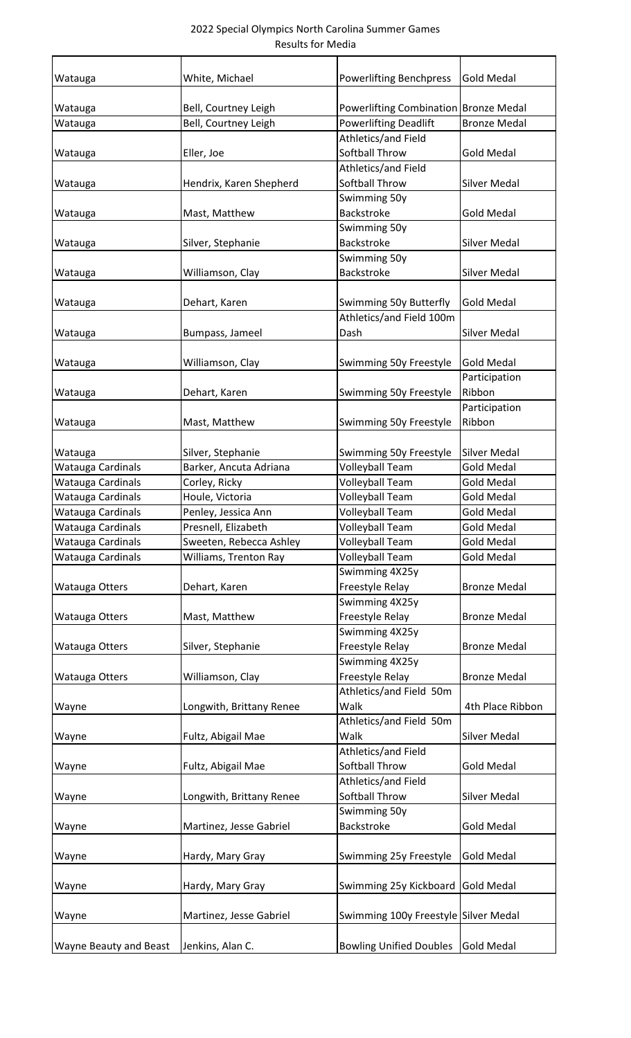| Watauga                | White, Michael           | <b>Powerlifting Benchpress</b>        | <b>Gold Medal</b>                  |
|------------------------|--------------------------|---------------------------------------|------------------------------------|
|                        |                          |                                       |                                    |
| Watauga                | Bell, Courtney Leigh     | Powerlifting Combination Bronze Medal |                                    |
| Watauga                | Bell, Courtney Leigh     | <b>Powerlifting Deadlift</b>          | <b>Bronze Medal</b>                |
|                        |                          | Athletics/and Field                   |                                    |
| Watauga                | Eller, Joe               | Softball Throw                        | <b>Gold Medal</b>                  |
|                        |                          | Athletics/and Field                   |                                    |
| Watauga                | Hendrix, Karen Shepherd  | Softball Throw                        | <b>Silver Medal</b>                |
|                        |                          | Swimming 50y                          |                                    |
| Watauga                | Mast, Matthew            | Backstroke                            | <b>Gold Medal</b>                  |
|                        |                          | Swimming 50y                          |                                    |
| Watauga                | Silver, Stephanie        | Backstroke                            | <b>Silver Medal</b>                |
|                        |                          | Swimming 50y                          |                                    |
| Watauga                | Williamson, Clay         | Backstroke                            | Silver Medal                       |
|                        |                          |                                       |                                    |
| Watauga                | Dehart, Karen            | Swimming 50y Butterfly                | <b>Gold Medal</b>                  |
|                        |                          | Athletics/and Field 100m              |                                    |
| Watauga                | Bumpass, Jameel          | Dash                                  | <b>Silver Medal</b>                |
|                        |                          |                                       |                                    |
| Watauga                | Williamson, Clay         | Swimming 50y Freestyle                | <b>Gold Medal</b><br>Participation |
|                        |                          |                                       | Ribbon                             |
| Watauga                | Dehart, Karen            | Swimming 50y Freestyle                | Participation                      |
| Watauga                | Mast, Matthew            | Swimming 50y Freestyle                | Ribbon                             |
|                        |                          |                                       |                                    |
| Watauga                | Silver, Stephanie        | Swimming 50y Freestyle                | Silver Medal                       |
| Watauga Cardinals      | Barker, Ancuta Adriana   | Volleyball Team                       | <b>Gold Medal</b>                  |
| Watauga Cardinals      | Corley, Ricky            | <b>Volleyball Team</b>                | <b>Gold Medal</b>                  |
| Watauga Cardinals      | Houle, Victoria          | Volleyball Team                       | <b>Gold Medal</b>                  |
| Watauga Cardinals      | Penley, Jessica Ann      | <b>Volleyball Team</b>                | <b>Gold Medal</b>                  |
| Watauga Cardinals      | Presnell, Elizabeth      | <b>Volleyball Team</b>                | <b>Gold Medal</b>                  |
| Watauga Cardinals      | Sweeten, Rebecca Ashley  | <b>Volleyball Team</b>                | <b>Gold Medal</b>                  |
| Watauga Cardinals      | Williams, Trenton Ray    | Volleyball Team                       | <b>Gold Medal</b>                  |
|                        |                          | Swimming 4X25y                        |                                    |
| Watauga Otters         | Dehart, Karen            | Freestyle Relay                       | <b>Bronze Medal</b>                |
|                        |                          | Swimming 4X25y                        |                                    |
| Watauga Otters         | Mast, Matthew            | Freestyle Relay                       | <b>Bronze Medal</b>                |
|                        |                          | Swimming 4X25y                        |                                    |
| Watauga Otters         | Silver, Stephanie        | Freestyle Relay                       | <b>Bronze Medal</b>                |
|                        |                          | Swimming 4X25y                        |                                    |
| Watauga Otters         | Williamson, Clay         | Freestyle Relay                       | <b>Bronze Medal</b>                |
|                        |                          | Athletics/and Field 50m               |                                    |
| Wayne                  | Longwith, Brittany Renee | Walk                                  | 4th Place Ribbon                   |
|                        |                          | Athletics/and Field 50m               |                                    |
| Wayne                  | Fultz, Abigail Mae       | Walk                                  | Silver Medal                       |
|                        |                          | Athletics/and Field                   |                                    |
| Wayne                  | Fultz, Abigail Mae       | Softball Throw                        | <b>Gold Medal</b>                  |
|                        |                          | Athletics/and Field                   |                                    |
| Wayne                  | Longwith, Brittany Renee | Softball Throw                        | <b>Silver Medal</b>                |
|                        |                          | Swimming 50y                          |                                    |
| Wayne                  | Martinez, Jesse Gabriel  | <b>Backstroke</b>                     | <b>Gold Medal</b>                  |
|                        |                          |                                       |                                    |
| Wayne                  | Hardy, Mary Gray         | Swimming 25y Freestyle                | <b>Gold Medal</b>                  |
|                        |                          |                                       |                                    |
| Wayne                  | Hardy, Mary Gray         | Swimming 25y Kickboard                | <b>Gold Medal</b>                  |
|                        |                          |                                       |                                    |
| Wayne                  | Martinez, Jesse Gabriel  | Swimming 100y Freestyle Silver Medal  |                                    |
|                        |                          |                                       |                                    |
| Wayne Beauty and Beast | Jenkins, Alan C.         | <b>Bowling Unified Doubles</b>        | <b>Gold Medal</b>                  |